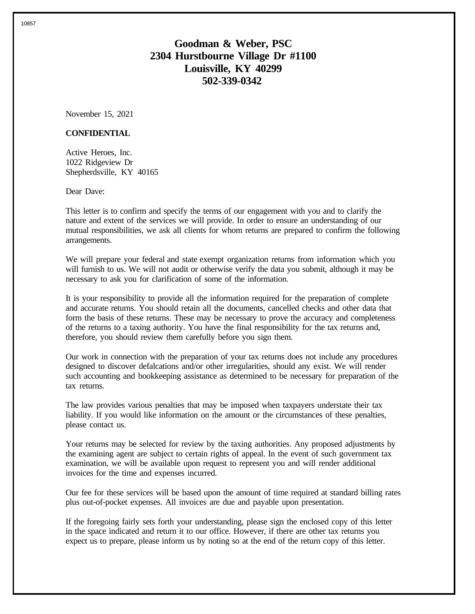# **Goodman & Weber, PSC 2304 Hurstbourne Village Dr #1100 Louisville, KY 40299 502-339-0342**

November 15, 2021

### **CONFIDENTIAL**

Active Heroes, Inc. 1022 Ridgeview Dr Shepherdsville, KY 40165

Dear Dave:

This letter is to confirm and specify the terms of our engagement with you and to clarify the nature and extent of the services we will provide. In order to ensure an understanding of our mutual responsibilities, we ask all clients for whom returns are prepared to confirm the following arrangements.

We will prepare your federal and state exempt organization returns from information which you will furnish to us. We will not audit or otherwise verify the data you submit, although it may be necessary to ask you for clarification of some of the information.

It is your responsibility to provide all the information required for the preparation of complete and accurate returns. You should retain all the documents, cancelled checks and other data that form the basis of these returns. These may be necessary to prove the accuracy and completeness of the returns to a taxing authority. You have the final responsibility for the tax returns and, therefore, you should review them carefully before you sign them.

Our work in connection with the preparation of your tax returns does not include any procedures designed to discover defalcations and/or other irregularities, should any exist. We will render such accounting and bookkeeping assistance as determined to be necessary for preparation of the tax returns.

The law provides various penalties that may be imposed when taxpayers understate their tax liability. If you would like information on the amount or the circumstances of these penalties, please contact us.

Your returns may be selected for review by the taxing authorities. Any proposed adjustments by the examining agent are subject to certain rights of appeal. In the event of such government tax examination, we will be available upon request to represent you and will render additional invoices for the time and expenses incurred.

Our fee for these services will be based upon the amount of time required at standard billing rates plus out-of-pocket expenses. All invoices are due and payable upon presentation.

If the foregoing fairly sets forth your understanding, please sign the enclosed copy of this letter in the space indicated and return it to our office. However, if there are other tax returns you expect us to prepare, please inform us by noting so at the end of the return copy of this letter.

10857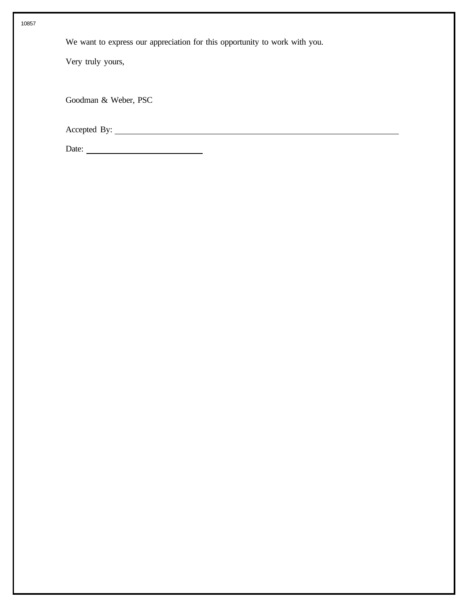We want to express our appreciation for this opportunity to work with you.

Very truly yours,

Goodman & Weber, PSC

Accepted By:

Date: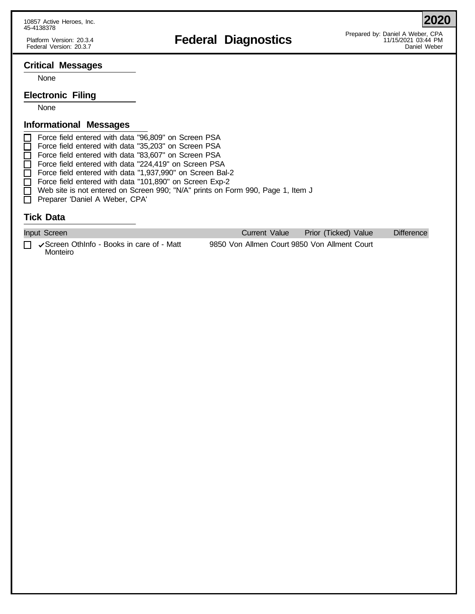# Platform Version: 20.3.4 **Federal Diagnostics**<br>Federal Participal of the the third of the team of the team of the team of the team of the team of the team of t<br>Federal Version: 20.3.4 PM

**2020**

## **Critical Messages**

None

## **Electronic Filing**

None

## **Informational Messages**

Force field entered with data "96,809" on Screen PSA Force field entered with data "35,203" on Screen PSA  $\overline{\Box}$  Force field entered with data "83,607" on Screen PSA Force field entered with data "224,419" on Screen PSA Force field entered with data "1,937,990" on Screen Bal-2 Force field entered with data "101,890" on Screen Exp-2 □ Web site is not entered on Screen 990; "N/A" prints on Form 990, Page 1, Item J Preparer 'Daniel A Weber, CPA'

## **Tick Data**

| Input Screen                                                             | Current Value                                | Prior (Ticked) Value | Difference |
|--------------------------------------------------------------------------|----------------------------------------------|----------------------|------------|
| $\Box$ $\checkmark$ Screen OthInfo - Books in care of - Matt<br>Monteiro | 9850 Von Allmen Court 9850 Von Allment Court |                      |            |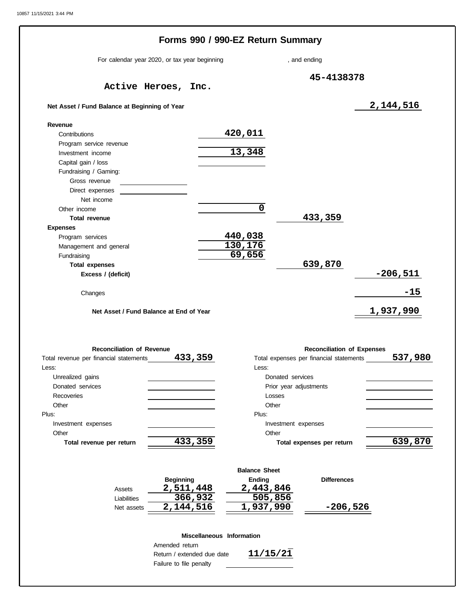|                                                          | Forms 990 / 990-EZ Return Summary             |                      |                                         |                                   |                  |         |
|----------------------------------------------------------|-----------------------------------------------|----------------------|-----------------------------------------|-----------------------------------|------------------|---------|
|                                                          | For calendar year 2020, or tax year beginning |                      | , and ending                            |                                   |                  |         |
|                                                          | Active Heroes, Inc.                           |                      |                                         | 45-4138378                        |                  |         |
| Net Asset / Fund Balance at Beginning of Year            |                                               |                      |                                         |                                   | 2,144,516        |         |
| Revenue                                                  |                                               |                      |                                         |                                   |                  |         |
| Contributions                                            |                                               | 420,011              |                                         |                                   |                  |         |
| Program service revenue                                  |                                               |                      |                                         |                                   |                  |         |
| Investment income                                        |                                               | 13,348               |                                         |                                   |                  |         |
| Capital gain / loss                                      |                                               |                      |                                         |                                   |                  |         |
| Fundraising / Gaming:                                    |                                               |                      |                                         |                                   |                  |         |
| Gross revenue                                            |                                               |                      |                                         |                                   |                  |         |
| Direct expenses                                          |                                               |                      |                                         |                                   |                  |         |
| Net income                                               |                                               |                      |                                         |                                   |                  |         |
| Other income                                             |                                               | 0                    |                                         |                                   |                  |         |
| <b>Total revenue</b>                                     |                                               |                      |                                         | 433,359                           |                  |         |
| <b>Expenses</b>                                          |                                               |                      |                                         |                                   |                  |         |
| Program services                                         |                                               | 440,038              |                                         |                                   |                  |         |
| Management and general                                   |                                               | 130,176              |                                         |                                   |                  |         |
| Fundraising                                              |                                               | 69,656               |                                         |                                   |                  |         |
| <b>Total expenses</b>                                    |                                               |                      |                                         | 639,870                           |                  |         |
| Excess / (deficit)                                       |                                               |                      |                                         |                                   | $-206,511$       |         |
|                                                          |                                               |                      |                                         |                                   |                  |         |
| Changes                                                  |                                               |                      |                                         |                                   |                  | $-15$   |
|                                                          | Net Asset / Fund Balance at End of Year       |                      |                                         |                                   | <u>1,937,990</u> |         |
| <b>Reconciliation of Revenue</b>                         |                                               |                      |                                         | <b>Reconciliation of Expenses</b> |                  |         |
|                                                          | 433,359                                       |                      | Total expenses per financial statements |                                   |                  |         |
|                                                          |                                               | Less:                |                                         |                                   |                  |         |
| Unrealized gains                                         |                                               |                      | Donated services                        |                                   |                  |         |
| Donated services                                         |                                               |                      | Prior year adjustments                  |                                   |                  |         |
| Recoveries                                               |                                               |                      | Losses                                  |                                   |                  |         |
| Total revenue per financial statements<br>Less:<br>Other |                                               | Other                |                                         |                                   |                  | 537,980 |
|                                                          |                                               | Plus:                |                                         |                                   |                  |         |
| Investment expenses                                      |                                               |                      | Investment expenses                     |                                   |                  |         |
| Other                                                    |                                               | Other                |                                         |                                   |                  |         |
| Total revenue per return                                 | 433, 359                                      |                      | Total expenses per return               |                                   |                  |         |
|                                                          |                                               | <b>Balance Sheet</b> |                                         |                                   |                  |         |
|                                                          | <b>Beginning</b>                              | Ending               |                                         | <b>Differences</b>                |                  |         |
| Assets                                                   | 2,511,448                                     | 2,443,846            |                                         |                                   |                  |         |
| Liabilities                                              | 366,932                                       | 505,856              |                                         |                                   |                  | 639,870 |
| Plus:<br>Net assets                                      | 2,144,516                                     | 1,937,990            |                                         | $-206,526$                        |                  |         |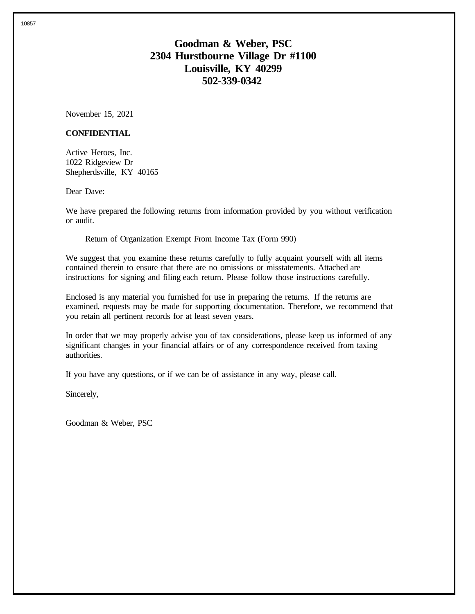# **Goodman & Weber, PSC 2304 Hurstbourne Village Dr #1100 Louisville, KY 40299 502-339-0342**

November 15, 2021

### **CONFIDENTIAL**

Active Heroes, Inc. 1022 Ridgeview Dr Shepherdsville, KY 40165

Dear Dave:

We have prepared the following returns from information provided by you without verification or audit.

Return of Organization Exempt From Income Tax (Form 990)

We suggest that you examine these returns carefully to fully acquaint yourself with all items contained therein to ensure that there are no omissions or misstatements. Attached are instructions for signing and filing each return. Please follow those instructions carefully.

Enclosed is any material you furnished for use in preparing the returns. If the returns are examined, requests may be made for supporting documentation. Therefore, we recommend that you retain all pertinent records for at least seven years.

In order that we may properly advise you of tax considerations, please keep us informed of any significant changes in your financial affairs or of any correspondence received from taxing authorities.

If you have any questions, or if we can be of assistance in any way, please call.

Sincerely,

Goodman & Weber, PSC

10857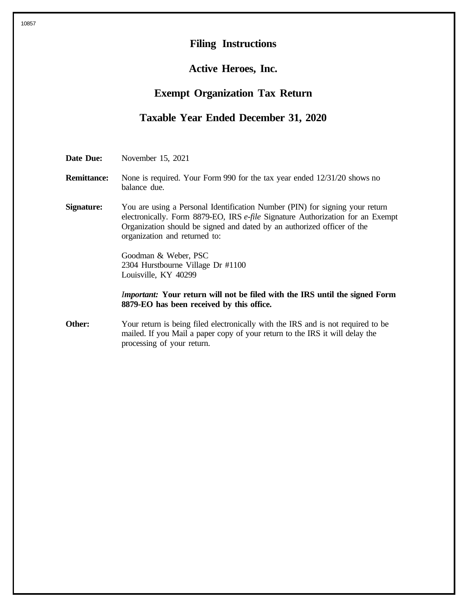# **Filing Instructions**

# **Active Heroes, Inc.**

## **Exempt Organization Tax Return**

# **Taxable Year Ended December 31, 2020**

**Date Due:** November 15, 2021

- **Remittance:** None is required. Your Form 990 for the tax year ended  $12/31/20$  shows no balance due.
- **Signature:** You are using a Personal Identification Number (PIN) for signing your return electronically. Form 8879-EO, IRS *e-file* Signature Authorization for an Exempt Organization should be signed and dated by an authorized officer of the organization and returned to:

Goodman & Weber, PSC 2304 Hurstbourne Village Dr #1100 Louisville, KY 40299

*Important:* **Your return will not be filed with the IRS until the signed Form 8879-EO has been received by this office.**

**Other:** Your return is being filed electronically with the IRS and is not required to be mailed. If you Mail a paper copy of your return to the IRS it will delay the processing of your return.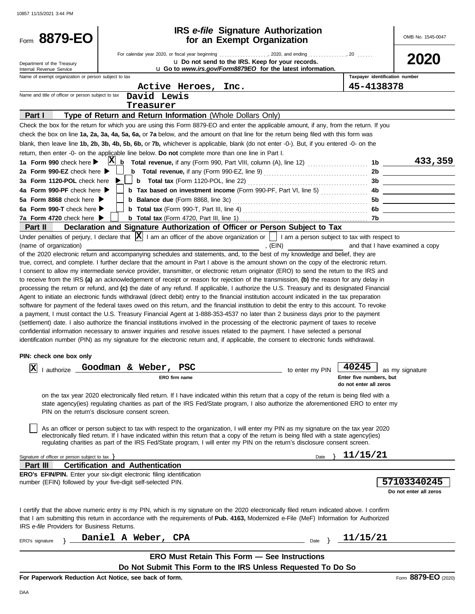| Form 8879-EO                                                            |                                                                                                                                       | <b>IRS</b> e-file Signature Authorization<br>for an Exempt Organization                                                                                                                                                                                                                                                                                                                                                                                                                                                                                                                                                                                                                                                                                                                                                                                                                                                                                                                                                                                                                                                                                                                                                                                                                                                                                                                                                                                                                                                                                                                                                                                                                                                                                                                                                                                                            | OMB No. 1545-0047                                                                                                |
|-------------------------------------------------------------------------|---------------------------------------------------------------------------------------------------------------------------------------|------------------------------------------------------------------------------------------------------------------------------------------------------------------------------------------------------------------------------------------------------------------------------------------------------------------------------------------------------------------------------------------------------------------------------------------------------------------------------------------------------------------------------------------------------------------------------------------------------------------------------------------------------------------------------------------------------------------------------------------------------------------------------------------------------------------------------------------------------------------------------------------------------------------------------------------------------------------------------------------------------------------------------------------------------------------------------------------------------------------------------------------------------------------------------------------------------------------------------------------------------------------------------------------------------------------------------------------------------------------------------------------------------------------------------------------------------------------------------------------------------------------------------------------------------------------------------------------------------------------------------------------------------------------------------------------------------------------------------------------------------------------------------------------------------------------------------------------------------------------------------------|------------------------------------------------------------------------------------------------------------------|
| Department of the Treasury<br>Internal Revenue Service                  |                                                                                                                                       | U Do not send to the IRS. Keep for your records.<br><b>u Go to</b> www.irs.gov/Form8879EO for the latest information.                                                                                                                                                                                                                                                                                                                                                                                                                                                                                                                                                                                                                                                                                                                                                                                                                                                                                                                                                                                                                                                                                                                                                                                                                                                                                                                                                                                                                                                                                                                                                                                                                                                                                                                                                              | 2020                                                                                                             |
| Name of exempt organization or person subject to tax                    |                                                                                                                                       |                                                                                                                                                                                                                                                                                                                                                                                                                                                                                                                                                                                                                                                                                                                                                                                                                                                                                                                                                                                                                                                                                                                                                                                                                                                                                                                                                                                                                                                                                                                                                                                                                                                                                                                                                                                                                                                                                    | Taxpayer identification number                                                                                   |
|                                                                         | Active Heroes, Inc.                                                                                                                   |                                                                                                                                                                                                                                                                                                                                                                                                                                                                                                                                                                                                                                                                                                                                                                                                                                                                                                                                                                                                                                                                                                                                                                                                                                                                                                                                                                                                                                                                                                                                                                                                                                                                                                                                                                                                                                                                                    | 45-4138378                                                                                                       |
| Name and title of officer or person subject to tax                      | David Lewis                                                                                                                           |                                                                                                                                                                                                                                                                                                                                                                                                                                                                                                                                                                                                                                                                                                                                                                                                                                                                                                                                                                                                                                                                                                                                                                                                                                                                                                                                                                                                                                                                                                                                                                                                                                                                                                                                                                                                                                                                                    |                                                                                                                  |
|                                                                         | Treasurer                                                                                                                             |                                                                                                                                                                                                                                                                                                                                                                                                                                                                                                                                                                                                                                                                                                                                                                                                                                                                                                                                                                                                                                                                                                                                                                                                                                                                                                                                                                                                                                                                                                                                                                                                                                                                                                                                                                                                                                                                                    |                                                                                                                  |
| Part I                                                                  | Type of Return and Return Information (Whole Dollars Only)                                                                            |                                                                                                                                                                                                                                                                                                                                                                                                                                                                                                                                                                                                                                                                                                                                                                                                                                                                                                                                                                                                                                                                                                                                                                                                                                                                                                                                                                                                                                                                                                                                                                                                                                                                                                                                                                                                                                                                                    |                                                                                                                  |
|                                                                         |                                                                                                                                       | Check the box for the return for which you are using this Form 8879-EO and enter the applicable amount, if any, from the return. If you                                                                                                                                                                                                                                                                                                                                                                                                                                                                                                                                                                                                                                                                                                                                                                                                                                                                                                                                                                                                                                                                                                                                                                                                                                                                                                                                                                                                                                                                                                                                                                                                                                                                                                                                            |                                                                                                                  |
|                                                                         |                                                                                                                                       | check the box on line 1a, 2a, 3a, 4a, 5a, 6a, or 7a below, and the amount on that line for the return being filed with this form was<br>blank, then leave line 1b, 2b, 3b, 4b, 5b, 6b, or 7b, whichever is applicable, blank (do not enter -0-). But, if you entered -0- on the                                                                                                                                                                                                                                                                                                                                                                                                                                                                                                                                                                                                                                                                                                                                                                                                                                                                                                                                                                                                                                                                                                                                                                                                                                                                                                                                                                                                                                                                                                                                                                                                    |                                                                                                                  |
|                                                                         | return, then enter -0- on the applicable line below. Do not complete more than one line in Part I.                                    |                                                                                                                                                                                                                                                                                                                                                                                                                                                                                                                                                                                                                                                                                                                                                                                                                                                                                                                                                                                                                                                                                                                                                                                                                                                                                                                                                                                                                                                                                                                                                                                                                                                                                                                                                                                                                                                                                    |                                                                                                                  |
| 1a Form 990 check here $\blacktriangleright$                            | $ \mathbf{X} $                                                                                                                        | <b>b</b> Total revenue, if any (Form 990, Part VIII, column (A), line 12) <i>[[[[[[[[[[[[[[[[[[[[[[[[[[[[[[[[[]]]]</i>                                                                                                                                                                                                                                                                                                                                                                                                                                                                                                                                                                                                                                                                                                                                                                                                                                                                                                                                                                                                                                                                                                                                                                                                                                                                                                                                                                                                                                                                                                                                                                                                                                                                                                                                                             | 433,359<br>1b                                                                                                    |
| 2a Form 990-EZ check here ▶                                             |                                                                                                                                       | <b>b</b> Total revenue, if any (Form 990-EZ, line 9) $\ldots$ $\ldots$ $\ldots$ $\ldots$ $\ldots$ $\ldots$                                                                                                                                                                                                                                                                                                                                                                                                                                                                                                                                                                                                                                                                                                                                                                                                                                                                                                                                                                                                                                                                                                                                                                                                                                                                                                                                                                                                                                                                                                                                                                                                                                                                                                                                                                         | 2b                                                                                                               |
| 3a Form 1120-POL check here                                             |                                                                                                                                       |                                                                                                                                                                                                                                                                                                                                                                                                                                                                                                                                                                                                                                                                                                                                                                                                                                                                                                                                                                                                                                                                                                                                                                                                                                                                                                                                                                                                                                                                                                                                                                                                                                                                                                                                                                                                                                                                                    | 3b<br><u> 1999 - Johann Barn, mars ann an t-Amhain</u>                                                           |
| 4a Form 990-PF check here                                               |                                                                                                                                       | <b>b</b> Tax based on investment income (Form 990-PF, Part VI, line 5)                                                                                                                                                                                                                                                                                                                                                                                                                                                                                                                                                                                                                                                                                                                                                                                                                                                                                                                                                                                                                                                                                                                                                                                                                                                                                                                                                                                                                                                                                                                                                                                                                                                                                                                                                                                                             | 4b<br><u> 1989 - Johann Barn, mars an t-Amerikaansk kommunister (</u>                                            |
| 5a Form 8868 check here $\blacktriangleright$                           | <b>b</b> Balance due (Form 8868, line 3c)                                                                                             |                                                                                                                                                                                                                                                                                                                                                                                                                                                                                                                                                                                                                                                                                                                                                                                                                                                                                                                                                                                                                                                                                                                                                                                                                                                                                                                                                                                                                                                                                                                                                                                                                                                                                                                                                                                                                                                                                    | 5b<br><u> 1999 - Johann Barn, mars ann an t-</u>                                                                 |
| 6a Form 990-T check here                                                |                                                                                                                                       |                                                                                                                                                                                                                                                                                                                                                                                                                                                                                                                                                                                                                                                                                                                                                                                                                                                                                                                                                                                                                                                                                                                                                                                                                                                                                                                                                                                                                                                                                                                                                                                                                                                                                                                                                                                                                                                                                    | 6b<br><u> 1990 - Johann Barn, mars ann an t-</u>                                                                 |
| 7a Form 4720 check here $\blacktriangleright$                           |                                                                                                                                       |                                                                                                                                                                                                                                                                                                                                                                                                                                                                                                                                                                                                                                                                                                                                                                                                                                                                                                                                                                                                                                                                                                                                                                                                                                                                                                                                                                                                                                                                                                                                                                                                                                                                                                                                                                                                                                                                                    |                                                                                                                  |
| Part II                                                                 |                                                                                                                                       | Declaration and Signature Authorization of Officer or Person Subject to Tax<br>Under penalties of perjury, I declare that $ \mathbf{X} $ I am an officer of the above organization or     I am a person subject to tax with respect to                                                                                                                                                                                                                                                                                                                                                                                                                                                                                                                                                                                                                                                                                                                                                                                                                                                                                                                                                                                                                                                                                                                                                                                                                                                                                                                                                                                                                                                                                                                                                                                                                                             |                                                                                                                  |
| (name of organization)<br>PIN: check one box only<br> x <br>I authorize | Goodman & Weber, PSC<br>ERO firm name<br>PIN on the return's disclosure consent screen.                                               | , (EIN)<br>of the 2020 electronic return and accompanying schedules and statements, and, to the best of my knowledge and belief, they are<br>true, correct, and complete. I further declare that the amount in Part I above is the amount shown on the copy of the electronic return.<br>I consent to allow my intermediate service provider, transmitter, or electronic return originator (ERO) to send the return to the IRS and<br>to receive from the IRS (a) an acknowledgement of receipt or reason for rejection of the transmission, (b) the reason for any delay in<br>processing the return or refund, and (c) the date of any refund. If applicable, I authorize the U.S. Treasury and its designated Financial<br>Agent to initiate an electronic funds withdrawal (direct debit) entry to the financial institution account indicated in the tax preparation<br>software for payment of the federal taxes owed on this return, and the financial institution to debit the entry to this account. To revoke<br>a payment, I must contact the U.S. Treasury Financial Agent at 1-888-353-4537 no later than 2 business days prior to the payment<br>(settlement) date. I also authorize the financial institutions involved in the processing of the electronic payment of taxes to receive<br>confidential information necessary to answer inquiries and resolve issues related to the payment. I have selected a personal<br>identification number (PIN) as my signature for the electronic return and, if applicable, the consent to electronic funds withdrawal.<br>to enter my PIN<br>on the tax year 2020 electronically filed return. If I have indicated within this return that a copy of the return is being filed with a<br>state agency(ies) regulating charities as part of the IRS Fed/State program, I also authorize the aforementioned ERO to enter my | and that I have examined a copy<br>40245<br>as my signature<br>Enter five numbers, but<br>do not enter all zeros |
|                                                                         |                                                                                                                                       | As an officer or person subject to tax with respect to the organization, I will enter my PIN as my signature on the tax year 2020<br>electronically filed return. If I have indicated within this return that a copy of the return is being filed with a state agency(ies)<br>regulating charities as part of the IRS Fed/State program, I will enter my PIN on the return's disclosure consent screen.                                                                                                                                                                                                                                                                                                                                                                                                                                                                                                                                                                                                                                                                                                                                                                                                                                                                                                                                                                                                                                                                                                                                                                                                                                                                                                                                                                                                                                                                            |                                                                                                                  |
| Signature of officer or person subject to tax >                         |                                                                                                                                       | Date                                                                                                                                                                                                                                                                                                                                                                                                                                                                                                                                                                                                                                                                                                                                                                                                                                                                                                                                                                                                                                                                                                                                                                                                                                                                                                                                                                                                                                                                                                                                                                                                                                                                                                                                                                                                                                                                               | 11/15/21                                                                                                         |
| Part III                                                                | <b>Certification and Authentication</b>                                                                                               |                                                                                                                                                                                                                                                                                                                                                                                                                                                                                                                                                                                                                                                                                                                                                                                                                                                                                                                                                                                                                                                                                                                                                                                                                                                                                                                                                                                                                                                                                                                                                                                                                                                                                                                                                                                                                                                                                    |                                                                                                                  |
|                                                                         | ERO's EFIN/PIN. Enter your six-digit electronic filing identification<br>number (EFIN) followed by your five-digit self-selected PIN. |                                                                                                                                                                                                                                                                                                                                                                                                                                                                                                                                                                                                                                                                                                                                                                                                                                                                                                                                                                                                                                                                                                                                                                                                                                                                                                                                                                                                                                                                                                                                                                                                                                                                                                                                                                                                                                                                                    | 57103340245<br>Do not enter all zeros                                                                            |
| IRS e-file Providers for Business Returns.                              |                                                                                                                                       | I certify that the above numeric entry is my PIN, which is my signature on the 2020 electronically filed return indicated above. I confirm<br>that I am submitting this return in accordance with the requirements of Pub. 4163, Modernized e-File (MeF) Information for Authorized                                                                                                                                                                                                                                                                                                                                                                                                                                                                                                                                                                                                                                                                                                                                                                                                                                                                                                                                                                                                                                                                                                                                                                                                                                                                                                                                                                                                                                                                                                                                                                                                |                                                                                                                  |
| ERO's signature                                                         | Daniel A Weber, CPA                                                                                                                   | Date                                                                                                                                                                                                                                                                                                                                                                                                                                                                                                                                                                                                                                                                                                                                                                                                                                                                                                                                                                                                                                                                                                                                                                                                                                                                                                                                                                                                                                                                                                                                                                                                                                                                                                                                                                                                                                                                               | 11/15/21                                                                                                         |
|                                                                         |                                                                                                                                       | <b>ERO Must Retain This Form - See Instructions</b>                                                                                                                                                                                                                                                                                                                                                                                                                                                                                                                                                                                                                                                                                                                                                                                                                                                                                                                                                                                                                                                                                                                                                                                                                                                                                                                                                                                                                                                                                                                                                                                                                                                                                                                                                                                                                                |                                                                                                                  |
|                                                                         |                                                                                                                                       | Do Not Submit This Form to the IRS Unless Requested To Do So                                                                                                                                                                                                                                                                                                                                                                                                                                                                                                                                                                                                                                                                                                                                                                                                                                                                                                                                                                                                                                                                                                                                                                                                                                                                                                                                                                                                                                                                                                                                                                                                                                                                                                                                                                                                                       |                                                                                                                  |
|                                                                         | For Paperwork Reduction Act Notice, see back of form.                                                                                 |                                                                                                                                                                                                                                                                                                                                                                                                                                                                                                                                                                                                                                                                                                                                                                                                                                                                                                                                                                                                                                                                                                                                                                                                                                                                                                                                                                                                                                                                                                                                                                                                                                                                                                                                                                                                                                                                                    | Form 8879-EO (2020)                                                                                              |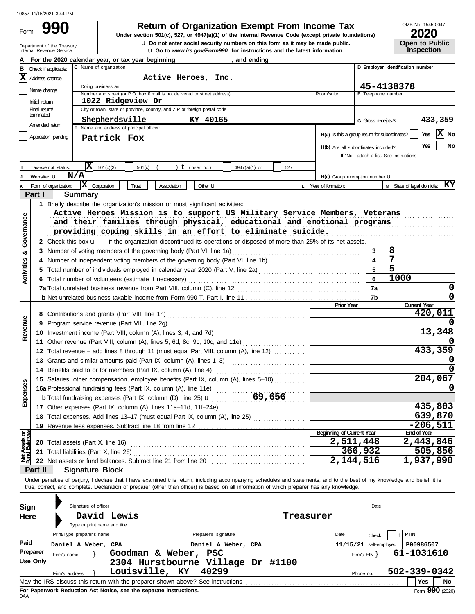Form

# **990 2000 2020 Return of Organization Exempt From Income Tax**

**U** Go to *www.irs.gov/Form990* for instructions and the latest information. **u** Do not enter social security numbers on this form as it may be made public. **Under section 501(c), 527, or 4947(a)(1) of the Internal Revenue Code (except private foundations)** OMB No. 1545-0047

|  | LULU                  |
|--|-----------------------|
|  | <b>Open to Public</b> |
|  | <b>Inspection</b>     |

|                                | Department of the Treasury<br>Internal Revenue Service |                                        |                                                                                                                                            |                    |                      | U Do not enter social security numbers on this form as it may be made public.<br>U Go to www.irs.gov/Form990 for instructions and the latest information. |                      |                                               |                          | Open to Public<br>Inspection                                                                                                                                               |
|--------------------------------|--------------------------------------------------------|----------------------------------------|--------------------------------------------------------------------------------------------------------------------------------------------|--------------------|----------------------|-----------------------------------------------------------------------------------------------------------------------------------------------------------|----------------------|-----------------------------------------------|--------------------------|----------------------------------------------------------------------------------------------------------------------------------------------------------------------------|
|                                |                                                        |                                        | For the 2020 calendar year, or tax year beginning                                                                                          |                    |                      | , and ending                                                                                                                                              |                      |                                               |                          |                                                                                                                                                                            |
| в                              | Check if applicable:                                   |                                        | C Name of organization                                                                                                                     |                    |                      |                                                                                                                                                           |                      |                                               |                          | D Employer identification number                                                                                                                                           |
|                                | $\vert \mathbf{X} \vert$ Address change                |                                        |                                                                                                                                            |                    | Active Heroes, Inc.  |                                                                                                                                                           |                      |                                               |                          |                                                                                                                                                                            |
|                                | Name change                                            |                                        | Doing business as                                                                                                                          |                    |                      |                                                                                                                                                           |                      |                                               |                          | 45-4138378                                                                                                                                                                 |
|                                |                                                        |                                        | Number and street (or P.O. box if mail is not delivered to street address)                                                                 |                    |                      |                                                                                                                                                           |                      | Room/suite                                    | E Telephone number       |                                                                                                                                                                            |
|                                | Initial retum<br>Final return/                         |                                        | 1022 Ridgeview Dr<br>City or town, state or province, country, and ZIP or foreign postal code                                              |                    |                      |                                                                                                                                                           |                      |                                               |                          |                                                                                                                                                                            |
|                                | terminated                                             |                                        | Shepherdsville                                                                                                                             |                    | KY 40165             |                                                                                                                                                           |                      |                                               |                          | 433,359                                                                                                                                                                    |
|                                | Amended return                                         |                                        | F Name and address of principal officer:                                                                                                   |                    |                      |                                                                                                                                                           |                      |                                               | G Gross receipts \$      |                                                                                                                                                                            |
|                                | Application pending                                    |                                        | Patrick Fox                                                                                                                                |                    |                      |                                                                                                                                                           |                      | H(a) Is this a group return for subordinates? |                          | X No<br>Yes                                                                                                                                                                |
|                                |                                                        |                                        |                                                                                                                                            |                    |                      |                                                                                                                                                           |                      | H(b) Are all subordinates included?           |                          | No<br>Yes                                                                                                                                                                  |
|                                |                                                        |                                        |                                                                                                                                            |                    |                      |                                                                                                                                                           |                      |                                               |                          | If "No," attach a list. See instructions                                                                                                                                   |
|                                | Tax-exempt status:                                     | IXI                                    | 501(c)(3)<br>501(c)                                                                                                                        |                    | $t$ (insert no.)     | 4947(a)(1) or<br>527                                                                                                                                      |                      |                                               |                          |                                                                                                                                                                            |
|                                | Website: U                                             | N/A                                    |                                                                                                                                            |                    |                      |                                                                                                                                                           |                      | $H(c)$ Group exemption number $U$             |                          |                                                                                                                                                                            |
| κ                              | Form of organization:                                  | $ \mathbf{X} $ Corporation             | Trust                                                                                                                                      | <b>Association</b> | Other <b>LI</b>      |                                                                                                                                                           | L Year of formation: |                                               |                          | <b>M</b> State of legal domicile: $KY$                                                                                                                                     |
|                                | Part I                                                 | <b>Summary</b>                         |                                                                                                                                            |                    |                      |                                                                                                                                                           |                      |                                               |                          |                                                                                                                                                                            |
|                                |                                                        |                                        | 1 Briefly describe the organization's mission or most significant activities:                                                              |                    |                      |                                                                                                                                                           |                      |                                               |                          |                                                                                                                                                                            |
|                                |                                                        |                                        | Active Heroes Mission is to support US Military Service Members, Veterans                                                                  |                    |                      |                                                                                                                                                           |                      |                                               |                          |                                                                                                                                                                            |
| Governance                     |                                                        |                                        | and their families through physical, educational and emotional programs                                                                    |                    |                      |                                                                                                                                                           |                      |                                               |                          |                                                                                                                                                                            |
|                                |                                                        |                                        | providing coping skills in an effort to eliminate suicide.                                                                                 |                    |                      |                                                                                                                                                           |                      |                                               |                          |                                                                                                                                                                            |
|                                |                                                        |                                        | 2 Check this box $\mathbf{u}$   if the organization discontinued its operations or disposed of more than 25% of its net assets.            |                    |                      |                                                                                                                                                           |                      |                                               |                          |                                                                                                                                                                            |
| න්                             | 3                                                      |                                        | Number of voting members of the governing body (Part VI, line 1a)                                                                          |                    |                      |                                                                                                                                                           |                      |                                               | 3                        | 8                                                                                                                                                                          |
|                                |                                                        |                                        | Number of independent voting members of the governing body (Part VI, line 1b) [[[[[[[[[[[[[[[[[[[[[[[[[[[[[[[                              |                    |                      |                                                                                                                                                           |                      |                                               | 4                        | 7                                                                                                                                                                          |
|                                |                                                        |                                        |                                                                                                                                            |                    |                      |                                                                                                                                                           |                      |                                               | 5                        | $\overline{5}$                                                                                                                                                             |
| <b>Activities</b>              |                                                        |                                        | 6 Total number of volunteers (estimate if necessary)                                                                                       |                    |                      |                                                                                                                                                           |                      |                                               | 6                        | 1000                                                                                                                                                                       |
|                                |                                                        |                                        |                                                                                                                                            |                    |                      |                                                                                                                                                           |                      |                                               | 7a                       | 0                                                                                                                                                                          |
|                                |                                                        |                                        |                                                                                                                                            |                    |                      |                                                                                                                                                           |                      |                                               | 7b                       | 0                                                                                                                                                                          |
|                                |                                                        |                                        |                                                                                                                                            |                    |                      |                                                                                                                                                           |                      | Prior Year                                    |                          | <b>Current Year</b>                                                                                                                                                        |
|                                |                                                        |                                        |                                                                                                                                            |                    |                      |                                                                                                                                                           |                      |                                               |                          | 420,011                                                                                                                                                                    |
| Revenue                        | 9                                                      |                                        |                                                                                                                                            |                    |                      |                                                                                                                                                           |                      |                                               |                          |                                                                                                                                                                            |
|                                |                                                        |                                        |                                                                                                                                            |                    |                      |                                                                                                                                                           |                      |                                               |                          | 13,348                                                                                                                                                                     |
|                                |                                                        |                                        | 11 Other revenue (Part VIII, column (A), lines 5, 6d, 8c, 9c, 10c, and 11e)                                                                |                    |                      |                                                                                                                                                           |                      |                                               |                          |                                                                                                                                                                            |
|                                |                                                        |                                        | 12 Total revenue – add lines 8 through 11 (must equal Part VIII, column (A), line 12)                                                      |                    |                      |                                                                                                                                                           |                      |                                               |                          | 433,359                                                                                                                                                                    |
|                                |                                                        |                                        |                                                                                                                                            |                    |                      |                                                                                                                                                           |                      |                                               |                          |                                                                                                                                                                            |
|                                |                                                        |                                        | 14 Benefits paid to or for members (Part IX, column (A), line 4)                                                                           |                    |                      |                                                                                                                                                           |                      |                                               |                          |                                                                                                                                                                            |
| မ္တ                            |                                                        |                                        | 15 Salaries, other compensation, employee benefits (Part IX, column (A), lines 5-10)                                                       |                    |                      |                                                                                                                                                           |                      |                                               |                          | 204,067                                                                                                                                                                    |
|                                |                                                        |                                        | 16a Professional fundraising fees (Part IX, column (A), line 11e)                                                                          |                    |                      |                                                                                                                                                           |                      |                                               |                          |                                                                                                                                                                            |
| Exper                          |                                                        |                                        | <b>b</b> Total fundraising expenses (Part IX, column (D), line 25) <b>u</b> 69, 656                                                        |                    |                      |                                                                                                                                                           |                      |                                               |                          |                                                                                                                                                                            |
|                                |                                                        |                                        | 17 Other expenses (Part IX, column (A), lines 11a-11d, 11f-24e)                                                                            |                    |                      |                                                                                                                                                           |                      |                                               |                          | 435,803                                                                                                                                                                    |
|                                |                                                        |                                        | 18 Total expenses. Add lines 13-17 (must equal Part IX, column (A), line 25)                                                               |                    |                      |                                                                                                                                                           |                      |                                               |                          | 639,870                                                                                                                                                                    |
|                                |                                                        |                                        |                                                                                                                                            |                    |                      |                                                                                                                                                           |                      | <b>Beginning of Current Year</b>              |                          | $-206,511$<br><b>End of Year</b>                                                                                                                                           |
|                                |                                                        | 20 Total assets (Part X, line 16)      |                                                                                                                                            |                    |                      |                                                                                                                                                           |                      | 2,511,448                                     |                          | 2,443,846                                                                                                                                                                  |
|                                |                                                        | 21 Total liabilities (Part X, line 26) |                                                                                                                                            |                    |                      |                                                                                                                                                           |                      |                                               | 366,932                  | 505,856                                                                                                                                                                    |
| Net Assets or<br>Fund Balances |                                                        |                                        |                                                                                                                                            |                    |                      |                                                                                                                                                           |                      | 2,144,516                                     |                          | 1,937,990                                                                                                                                                                  |
|                                | Part II                                                | <b>Signature Block</b>                 |                                                                                                                                            |                    |                      |                                                                                                                                                           |                      |                                               |                          |                                                                                                                                                                            |
|                                |                                                        |                                        |                                                                                                                                            |                    |                      |                                                                                                                                                           |                      |                                               |                          | Under penalties of perjury, I declare that I have examined this return, including accompanying schedules and statements, and to the best of my knowledge and belief, it is |
|                                |                                                        |                                        | true, correct, and complete. Declaration of preparer (other than officer) is based on all information of which preparer has any knowledge. |                    |                      |                                                                                                                                                           |                      |                                               |                          |                                                                                                                                                                            |
|                                |                                                        |                                        |                                                                                                                                            |                    |                      |                                                                                                                                                           |                      |                                               |                          |                                                                                                                                                                            |
| Sign                           |                                                        | Signature of officer                   |                                                                                                                                            |                    |                      |                                                                                                                                                           |                      |                                               | Date                     |                                                                                                                                                                            |
|                                | Here                                                   |                                        | David Lewis                                                                                                                                |                    |                      |                                                                                                                                                           | Treasurer            |                                               |                          |                                                                                                                                                                            |
|                                |                                                        |                                        | Type or print name and title                                                                                                               |                    |                      |                                                                                                                                                           |                      |                                               |                          |                                                                                                                                                                            |
|                                |                                                        | Print/Type preparer's name             |                                                                                                                                            |                    | Preparer's signature |                                                                                                                                                           |                      | Date                                          | Check                    | <b>PTIN</b>                                                                                                                                                                |
| Paid                           |                                                        | Daniel A Weber, CPA                    |                                                                                                                                            |                    | Daniel A Weber, CPA  |                                                                                                                                                           |                      |                                               | $11/15/21$ self-employed | P00986507                                                                                                                                                                  |
|                                | Preparer                                               | Firm's name                            | Goodman & Weber, PSC                                                                                                                       |                    |                      |                                                                                                                                                           |                      |                                               | Firm's $EIN$ }           | 61-1031610                                                                                                                                                                 |
|                                | <b>Use Only</b>                                        |                                        |                                                                                                                                            |                    |                      | 2304 Hurstbourne Village Dr #1100                                                                                                                         |                      |                                               |                          |                                                                                                                                                                            |
|                                |                                                        | Firm's address                         | Louisville, KY                                                                                                                             |                    | 40299                |                                                                                                                                                           |                      |                                               | Phone no.                | 502-339-0342                                                                                                                                                               |
|                                |                                                        |                                        |                                                                                                                                            |                    |                      |                                                                                                                                                           |                      |                                               |                          | Yes<br>No                                                                                                                                                                  |

| Sign     |                                                                                       | Signature of officer         |                                                                                 |                      |           |      | Date                     |              |     |
|----------|---------------------------------------------------------------------------------------|------------------------------|---------------------------------------------------------------------------------|----------------------|-----------|------|--------------------------|--------------|-----|
| Here     |                                                                                       |                              | David Lewis                                                                     |                      | Treasurer |      |                          |              |     |
|          |                                                                                       | Type or print name and title |                                                                                 |                      |           |      |                          |              |     |
|          |                                                                                       | Print/Type preparer's name   |                                                                                 | Preparer's signature |           | Date | Check                    | PTIN<br>if I |     |
| Paid     |                                                                                       | Daniel A Weber, CPA          |                                                                                 | Daniel A Weber, CPA  |           |      | $11/15/21$ self-employed | P00986507    |     |
| Preparer | Firm's name                                                                           |                              | Weber,<br>Goodman &                                                             | <b>PSC</b>           |           |      | Firm's $EIN$ $\}$        | 61-1031610   |     |
| Use Only |                                                                                       |                              | 2304 Hurstbourne Village Dr                                                     |                      | #1100     |      |                          |              |     |
|          | Firm's address                                                                        |                              | Louisville, KY                                                                  | 40299                |           |      | Phone no.                | 502-339-0342 |     |
|          |                                                                                       |                              | May the IRS discuss this return with the preparer shown above? See instructions |                      |           |      |                          | Yes          | No. |
|          | Form 990 (2020)<br>For Paperwork Reduction Act Notice, see the separate instructions. |                              |                                                                                 |                      |           |      |                          |              |     |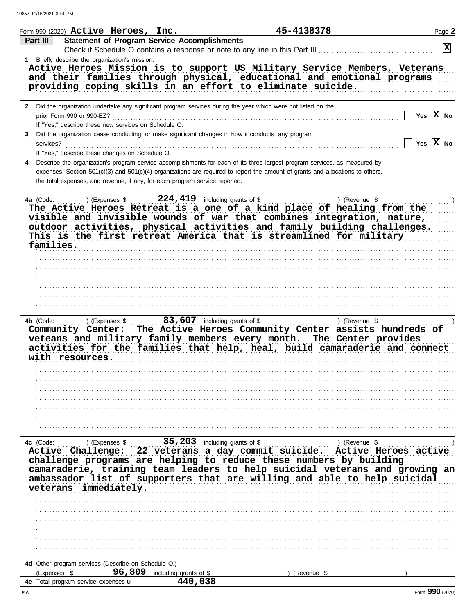10857 11/15/2021 3:44 PM

|                        | Form 990 (2020) $\texttt{Active}$ Heroes, Inc.                                    |                                                                             | 45-4138378                                                                                                                                                                                                                                                                                                                  | Page 2          |
|------------------------|-----------------------------------------------------------------------------------|-----------------------------------------------------------------------------|-----------------------------------------------------------------------------------------------------------------------------------------------------------------------------------------------------------------------------------------------------------------------------------------------------------------------------|-----------------|
| Part III               |                                                                                   | <b>Statement of Program Service Accomplishments</b>                         |                                                                                                                                                                                                                                                                                                                             | $\mathbf x$     |
|                        | 1 Briefly describe the organization's mission:                                    |                                                                             | Check if Schedule O contains a response or note to any line in this Part III                                                                                                                                                                                                                                                |                 |
|                        |                                                                                   |                                                                             | Active Heroes Mission is to support US Military Service Members, Veterans<br>and their families through physical, educational and emotional programs<br>providing coping skills in an effort to eliminate suicide.                                                                                                          |                 |
|                        | prior Form 990 or 990-EZ?<br>If "Yes," describe these new services on Schedule O. |                                                                             | 2 Did the organization undertake any significant program services during the year which were not listed on the                                                                                                                                                                                                              | Yes $ X $ No    |
| 3<br>services?         | If "Yes," describe these changes on Schedule O.                                   |                                                                             | Did the organization cease conducting, or make significant changes in how it conducts, any program                                                                                                                                                                                                                          | $ X $ No<br>Yes |
|                        |                                                                                   | the total expenses, and revenue, if any, for each program service reported. | Describe the organization's program service accomplishments for each of its three largest program services, as measured by<br>expenses. Section 501(c)(3) and 501(c)(4) organizations are required to report the amount of grants and allocations to others,                                                                |                 |
| 4a (Code:<br>families. | ) (Expenses \$                                                                    | 224,419                                                                     | including grants of \$<br>The Active Heroes Retreat is a one of a kind place of healing from the<br>visible and invisible wounds of war that combines integration, nature,<br>outdoor activities, physical activities and family building challenges.<br>This is the first retreat America that is streamlined for military | ) (Revenue \$   |
| 4b (Code:              | (Express \$<br>Community Center:<br>with resources.                               |                                                                             | The Active Heroes Community Center assists hundreds of<br>veteans and military family members every month. The Center provides<br>activities for the families that help, heal, build camaraderie and connect                                                                                                                |                 |
|                        |                                                                                   |                                                                             |                                                                                                                                                                                                                                                                                                                             |                 |
| 4c (Code:              | ) (Expenses $\frac{1}{2}$                                                         | 35, 203 including grants of $$$                                             | ) (Revenue \$<br>Active Challenge: 22 veterans a day commit suicide. Active Heroes active<br>challenge programs are helping to reduce these numbers by building<br>camaraderie, training team leaders to help suicidal veterans and growing an<br>ambassador list of supporters that are willing and able to help suicidal  |                 |
|                        | veterans immediately.                                                             |                                                                             |                                                                                                                                                                                                                                                                                                                             |                 |
|                        |                                                                                   |                                                                             |                                                                                                                                                                                                                                                                                                                             |                 |
|                        |                                                                                   |                                                                             |                                                                                                                                                                                                                                                                                                                             |                 |
| (Expenses \$           | 4d Other program services (Describe on Schedule O.)                               | 96,809 including grants of \$                                               | ) (Revenue \$                                                                                                                                                                                                                                                                                                               |                 |
|                        | 4e Total program service expenses <b>u</b>                                        | 440,038                                                                     |                                                                                                                                                                                                                                                                                                                             |                 |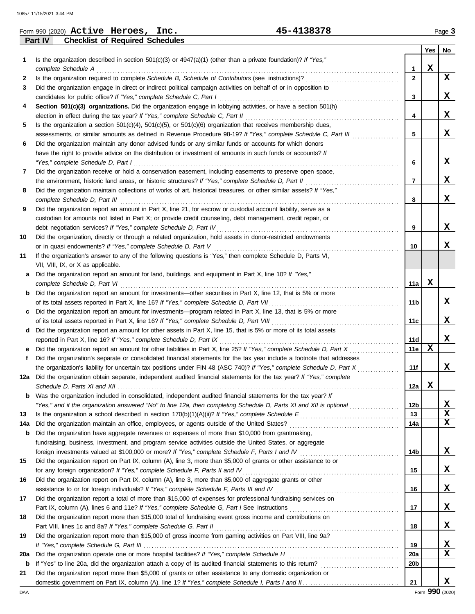|             | Form 990 (2020) $\texttt{Active}$ Heroes, $\texttt{Inc.}$                                 | 45-4138378                                                                                                                                                                                                                                        |                         |             | Page 3      |
|-------------|-------------------------------------------------------------------------------------------|---------------------------------------------------------------------------------------------------------------------------------------------------------------------------------------------------------------------------------------------------|-------------------------|-------------|-------------|
|             | <b>Checklist of Required Schedules</b><br>Part IV                                         |                                                                                                                                                                                                                                                   |                         |             |             |
|             |                                                                                           |                                                                                                                                                                                                                                                   |                         | Yes         | No          |
| 1.          |                                                                                           | Is the organization described in section 501(c)(3) or 4947(a)(1) (other than a private foundation)? If "Yes,"                                                                                                                                     |                         |             |             |
|             | complete Schedule A                                                                       |                                                                                                                                                                                                                                                   | 1                       | $\mathbf x$ |             |
| 2           |                                                                                           | Is the organization required to complete Schedule B, Schedule of Contributors (see instructions)?                                                                                                                                                 | $\mathbf{2}$            |             | X           |
| 3           | candidates for public office? If "Yes," complete Schedule C, Part I                       | Did the organization engage in direct or indirect political campaign activities on behalf of or in opposition to                                                                                                                                  | 3                       |             | X           |
| 4           |                                                                                           | Section 501(c)(3) organizations. Did the organization engage in lobbying activities, or have a section 501(h)                                                                                                                                     |                         |             |             |
|             |                                                                                           |                                                                                                                                                                                                                                                   | 4                       |             | x           |
| 5           |                                                                                           | Is the organization a section $501(c)(4)$ , $501(c)(5)$ , or $501(c)(6)$ organization that receives membership dues,                                                                                                                              |                         |             |             |
|             |                                                                                           | assessments, or similar amounts as defined in Revenue Procedure 98-19? If "Yes," complete Schedule C, Part III                                                                                                                                    | 5                       |             | x           |
| 6           |                                                                                           | Did the organization maintain any donor advised funds or any similar funds or accounts for which donors                                                                                                                                           |                         |             |             |
|             |                                                                                           | have the right to provide advice on the distribution or investment of amounts in such funds or accounts? If                                                                                                                                       |                         |             |             |
|             | "Yes," complete Schedule D, Part I                                                        |                                                                                                                                                                                                                                                   | 6                       |             | X           |
| 7           |                                                                                           | Did the organization receive or hold a conservation easement, including easements to preserve open space,                                                                                                                                         |                         |             |             |
|             |                                                                                           | the environment, historic land areas, or historic structures? If "Yes," complete Schedule D, Part II                                                                                                                                              | $\overline{\mathbf{r}}$ |             | x           |
| 8           |                                                                                           | Did the organization maintain collections of works of art, historical treasures, or other similar assets? If "Yes,"                                                                                                                               |                         |             |             |
|             | complete Schedule D, Part III                                                             |                                                                                                                                                                                                                                                   | 8                       |             | x           |
| 9           |                                                                                           | Did the organization report an amount in Part X, line 21, for escrow or custodial account liability, serve as a                                                                                                                                   |                         |             |             |
|             |                                                                                           | custodian for amounts not listed in Part X; or provide credit counseling, debt management, credit repair, or                                                                                                                                      |                         |             | x           |
| 10          | debt negotiation services? If "Yes," complete Schedule D, Part IV                         | Did the organization, directly or through a related organization, hold assets in donor-restricted endowments                                                                                                                                      | 9                       |             |             |
|             | or in quasi endowments? If "Yes," complete Schedule D, Part V                             |                                                                                                                                                                                                                                                   | 10                      |             | x           |
| 11          |                                                                                           | If the organization's answer to any of the following questions is "Yes," then complete Schedule D, Parts VI,                                                                                                                                      |                         |             |             |
|             | VII, VIII, IX, or X as applicable.                                                        |                                                                                                                                                                                                                                                   |                         |             |             |
| а           |                                                                                           | Did the organization report an amount for land, buildings, and equipment in Part X, line 10? If "Yes,"                                                                                                                                            |                         |             |             |
|             | complete Schedule D, Part VI                                                              |                                                                                                                                                                                                                                                   | 11a                     | x           |             |
|             |                                                                                           | Did the organization report an amount for investments—other securities in Part X, line 12, that is 5% or more                                                                                                                                     |                         |             |             |
|             |                                                                                           |                                                                                                                                                                                                                                                   | 11 <sub>b</sub>         |             | x           |
|             |                                                                                           | Did the organization report an amount for investments—program related in Part X, line 13, that is 5% or more                                                                                                                                      |                         |             |             |
|             | of its total assets reported in Part X, line 16? If "Yes," complete Schedule D, Part VIII |                                                                                                                                                                                                                                                   | 11c                     |             | x           |
| d           |                                                                                           | Did the organization report an amount for other assets in Part X, line 15, that is 5% or more of its total assets                                                                                                                                 |                         |             |             |
|             | reported in Part X, line 16? If "Yes," complete Schedule D, Part IX                       |                                                                                                                                                                                                                                                   | 11d                     |             | x           |
|             |                                                                                           | Did the organization report an amount for other liabilities in Part X, line 25? If "Yes," complete Schedule D, Part X                                                                                                                             | 11e                     | X           |             |
|             |                                                                                           | Did the organization's separate or consolidated financial statements for the tax year include a footnote that addresses                                                                                                                           |                         |             | x           |
|             |                                                                                           | the organization's liability for uncertain tax positions under FIN 48 (ASC 740)? If "Yes," complete Schedule D, Part X<br>12a Did the organization obtain separate, independent audited financial statements for the tax year? If "Yes," complete | 11f                     |             |             |
|             |                                                                                           |                                                                                                                                                                                                                                                   | 12a                     | X           |             |
| b           |                                                                                           | Was the organization included in consolidated, independent audited financial statements for the tax year? If                                                                                                                                      |                         |             |             |
|             |                                                                                           | "Yes," and if the organization answered "No" to line 12a, then completing Schedule D, Parts XI and XII is optional                                                                                                                                | 12b                     |             | x           |
| 13          |                                                                                           |                                                                                                                                                                                                                                                   | 13                      |             | $\mathbf x$ |
| 14a         |                                                                                           |                                                                                                                                                                                                                                                   | 14a                     |             | $\mathbf x$ |
| b           |                                                                                           | Did the organization have aggregate revenues or expenses of more than \$10,000 from grantmaking,                                                                                                                                                  |                         |             |             |
|             |                                                                                           | fundraising, business, investment, and program service activities outside the United States, or aggregate                                                                                                                                         |                         |             |             |
|             |                                                                                           |                                                                                                                                                                                                                                                   | 14b                     |             | x           |
| 15          |                                                                                           | Did the organization report on Part IX, column (A), line 3, more than \$5,000 of grants or other assistance to or                                                                                                                                 |                         |             |             |
|             |                                                                                           | for any foreign organization? If "Yes," complete Schedule F, Parts II and IV [[[[[[[[[[[[[[[[[[[[[[[[[[[[[[[[[                                                                                                                                    | 15                      |             | X           |
| 16          |                                                                                           | Did the organization report on Part IX, column (A), line 3, more than \$5,000 of aggregate grants or other                                                                                                                                        |                         |             | X           |
|             |                                                                                           | assistance to or for foreign individuals? If "Yes," complete Schedule F, Parts III and IV [[[[[[[[[[[[[[[[[[[                                                                                                                                     | 16                      |             |             |
| 17          |                                                                                           | Did the organization report a total of more than \$15,000 of expenses for professional fundraising services on                                                                                                                                    | 17                      |             | X           |
| 18          |                                                                                           | Did the organization report more than \$15,000 total of fundraising event gross income and contributions on                                                                                                                                       |                         |             |             |
|             | Part VIII, lines 1c and 8a? If "Yes," complete Schedule G, Part II                        |                                                                                                                                                                                                                                                   | 18                      |             | X           |
| 19          |                                                                                           | Did the organization report more than \$15,000 of gross income from gaming activities on Part VIII, line 9a?                                                                                                                                      |                         |             |             |
|             |                                                                                           |                                                                                                                                                                                                                                                   | 19                      |             | X           |
| 20a         |                                                                                           |                                                                                                                                                                                                                                                   | 20a                     |             | $\mathbf x$ |
| $\mathbf b$ |                                                                                           |                                                                                                                                                                                                                                                   | 20 <sub>b</sub>         |             |             |
| 21          |                                                                                           | Did the organization report more than \$5,000 of grants or other assistance to any domestic organization or                                                                                                                                       |                         |             |             |
|             |                                                                                           |                                                                                                                                                                                                                                                   | 21                      |             | x           |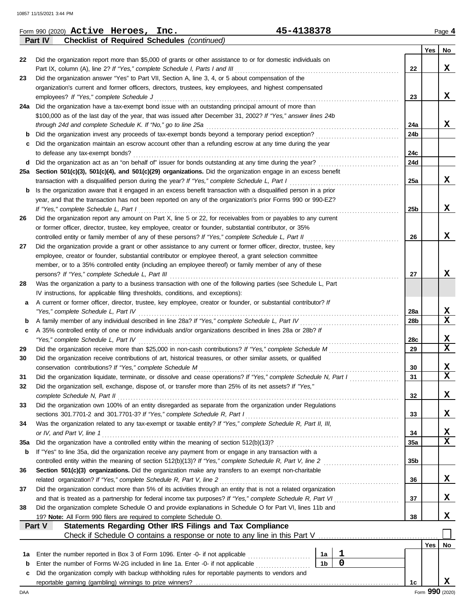10857 11/15/2021 3:44 PM

|     | 45-4138378<br>Form 990 (2020) Active Heroes, Inc.                                                                                                                                                              |                |             |                 |                 | Page 4                  |
|-----|----------------------------------------------------------------------------------------------------------------------------------------------------------------------------------------------------------------|----------------|-------------|-----------------|-----------------|-------------------------|
|     | <b>Checklist of Required Schedules (continued)</b><br>Part IV                                                                                                                                                  |                |             |                 |                 |                         |
|     |                                                                                                                                                                                                                |                |             |                 | Yes             | No                      |
| 22  | Did the organization report more than \$5,000 of grants or other assistance to or for domestic individuals on                                                                                                  |                |             |                 |                 |                         |
|     | Part IX, column (A), line 2? If "Yes," complete Schedule I, Parts I and III                                                                                                                                    |                |             | 22              |                 | X                       |
| 23  | Did the organization answer "Yes" to Part VII, Section A, line 3, 4, or 5 about compensation of the<br>organization's current and former officers, directors, trustees, key employees, and highest compensated |                |             |                 |                 |                         |
|     | employees? If "Yes," complete Schedule J                                                                                                                                                                       |                |             | 23              |                 | x                       |
|     | 24a Did the organization have a tax-exempt bond issue with an outstanding principal amount of more than                                                                                                        |                |             |                 |                 |                         |
|     | \$100,000 as of the last day of the year, that was issued after December 31, 2002? If "Yes," answer lines 24b                                                                                                  |                |             |                 |                 |                         |
|     | through 24d and complete Schedule K. If "No," go to line 25a                                                                                                                                                   |                |             | 24a             |                 | X                       |
| b   | Did the organization invest any proceeds of tax-exempt bonds beyond a temporary period exception?                                                                                                              |                |             | 24b             |                 |                         |
|     | Did the organization maintain an escrow account other than a refunding escrow at any time during the year                                                                                                      |                |             |                 |                 |                         |
|     | to defease any tax-exempt bonds?                                                                                                                                                                               |                |             | 24c             |                 |                         |
|     | d Did the organization act as an "on behalf of" issuer for bonds outstanding at any time during the year?                                                                                                      |                |             | 24d             |                 |                         |
|     | 25a Section 501(c)(3), 501(c)(4), and 501(c)(29) organizations. Did the organization engage in an excess benefit                                                                                               |                |             |                 |                 |                         |
|     | transaction with a disqualified person during the year? If "Yes," complete Schedule L, Part I                                                                                                                  |                |             | 25a             |                 | x                       |
| b   | Is the organization aware that it engaged in an excess benefit transaction with a disqualified person in a prior                                                                                               |                |             |                 |                 |                         |
|     | year, and that the transaction has not been reported on any of the organization's prior Forms 990 or 990-EZ?<br>If "Yes," complete Schedule L, Part I                                                          |                |             | 25 <sub>b</sub> |                 | X                       |
| 26  | Did the organization report any amount on Part X, line 5 or 22, for receivables from or payables to any current                                                                                                |                |             |                 |                 |                         |
|     | or former officer, director, trustee, key employee, creator or founder, substantial contributor, or 35%                                                                                                        |                |             |                 |                 |                         |
|     | controlled entity or family member of any of these persons? If "Yes," complete Schedule L, Part II                                                                                                             |                |             | 26              |                 | x                       |
| 27  | Did the organization provide a grant or other assistance to any current or former officer, director, trustee, key                                                                                              |                |             |                 |                 |                         |
|     | employee, creator or founder, substantial contributor or employee thereof, a grant selection committee                                                                                                         |                |             |                 |                 |                         |
|     | member, or to a 35% controlled entity (including an employee thereof) or family member of any of these                                                                                                         |                |             |                 |                 |                         |
|     | persons? If "Yes," complete Schedule L, Part III                                                                                                                                                               |                |             | 27              |                 | x                       |
| 28  | Was the organization a party to a business transaction with one of the following parties (see Schedule L, Part                                                                                                 |                |             |                 |                 |                         |
|     | IV instructions, for applicable filing thresholds, conditions, and exceptions):                                                                                                                                |                |             |                 |                 |                         |
| а   | A current or former officer, director, trustee, key employee, creator or founder, or substantial contributor? If                                                                                               |                |             |                 |                 |                         |
|     | "Yes," complete Schedule L, Part IV                                                                                                                                                                            |                |             | 28a             |                 | x                       |
| b   |                                                                                                                                                                                                                |                |             | 28 <sub>b</sub> |                 | x                       |
| c   | A 35% controlled entity of one or more individuals and/or organizations described in lines 28a or 28b? If                                                                                                      |                |             |                 |                 | x                       |
| 29  | "Yes," complete Schedule L, Part IV                                                                                                                                                                            |                |             | 28c<br>29       |                 | x                       |
| 30  | Did the organization receive contributions of art, historical treasures, or other similar assets, or qualified                                                                                                 |                |             |                 |                 |                         |
|     |                                                                                                                                                                                                                |                |             | 30              |                 | X                       |
| 31  | Did the organization liquidate, terminate, or dissolve and cease operations? If "Yes," complete Schedule N, Part I                                                                                             |                |             | 31              |                 | $\overline{\mathbf{x}}$ |
| 32  | Did the organization sell, exchange, dispose of, or transfer more than 25% of its net assets? If "Yes,"                                                                                                        |                |             |                 |                 |                         |
|     | complete Schedule N, Part II                                                                                                                                                                                   |                |             | 32              |                 | x                       |
| 33  | Did the organization own 100% of an entity disregarded as separate from the organization under Regulations                                                                                                     |                |             |                 |                 |                         |
|     | sections 301.7701-2 and 301.7701-3? If "Yes," complete Schedule R, Part I                                                                                                                                      |                |             | 33              |                 | x                       |
| 34  | Was the organization related to any tax-exempt or taxable entity? If "Yes," complete Schedule R, Part II, III,                                                                                                 |                |             |                 |                 |                         |
|     | or IV, and Part V, line 1                                                                                                                                                                                      |                |             | 34              |                 | X                       |
| 35a |                                                                                                                                                                                                                |                |             | 35a             |                 | $\overline{\mathbf{x}}$ |
| b   | If "Yes" to line 35a, did the organization receive any payment from or engage in any transaction with a                                                                                                        |                |             |                 |                 |                         |
|     | controlled entity within the meaning of section 512(b)(13)? If "Yes," complete Schedule R, Part V, line 2                                                                                                      |                |             | 35 <sub>b</sub> |                 |                         |
| 36  | Section 501(c)(3) organizations. Did the organization make any transfers to an exempt non-charitable<br>related organization? If "Yes," complete Schedule R, Part V, line 2                                    |                |             | 36              |                 | x                       |
| 37  | Did the organization conduct more than 5% of its activities through an entity that is not a related organization                                                                                               |                |             |                 |                 |                         |
|     |                                                                                                                                                                                                                |                |             | 37              |                 | X                       |
| 38  | Did the organization complete Schedule O and provide explanations in Schedule O for Part VI, lines 11b and                                                                                                     |                |             |                 |                 |                         |
|     | 19? Note: All Form 990 filers are required to complete Schedule O.                                                                                                                                             |                |             | 38              |                 | x                       |
|     | Statements Regarding Other IRS Filings and Tax Compliance<br>Part V                                                                                                                                            |                |             |                 |                 |                         |
|     |                                                                                                                                                                                                                |                |             |                 |                 |                         |
|     |                                                                                                                                                                                                                |                |             |                 | Yes             | No                      |
| 1a  | Enter the number reported in Box 3 of Form 1096. Enter -0- if not applicable                                                                                                                                   | 1a             | $\mathbf 1$ |                 |                 |                         |
| b   | Enter the number of Forms W-2G included in line 1a. Enter -0- if not applicable [1] [1] [1] [1] [1] [1] [1] [1                                                                                                 | 1 <sub>b</sub> | $\mathbf 0$ |                 |                 |                         |
| c   | Did the organization comply with backup withholding rules for reportable payments to vendors and                                                                                                               |                |             |                 |                 |                         |
|     |                                                                                                                                                                                                                |                |             | 1c              |                 | x                       |
| DAA |                                                                                                                                                                                                                |                |             |                 | Form 990 (2020) |                         |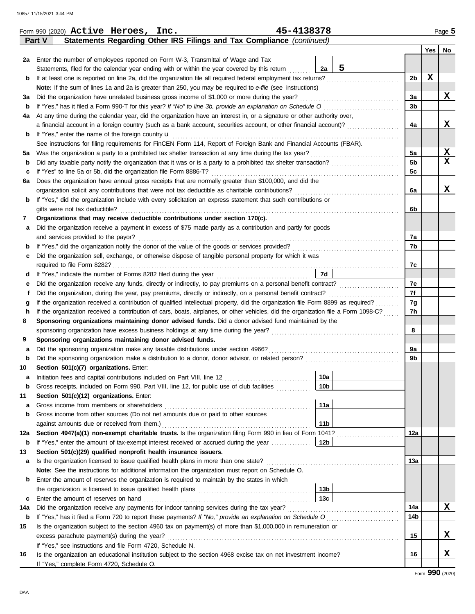| Yes<br>No<br>Enter the number of employees reported on Form W-3, Transmittal of Wage and Tax<br>2a<br>5<br>Statements, filed for the calendar year ending with or within the year covered by this return<br>2a<br>X<br>If at least one is reported on line 2a, did the organization file all required federal employment tax returns?<br>2b<br>b<br>Note: If the sum of lines 1a and 2a is greater than 250, you may be required to e-file (see instructions)<br>x<br>Did the organization have unrelated business gross income of \$1,000 or more during the year?<br>За<br>за<br>3b<br>b<br>At any time during the calendar year, did the organization have an interest in, or a signature or other authority over,<br>4a<br>x<br>a financial account in a foreign country (such as a bank account, securities account, or other financial account)?<br>4a<br>If "Yes," enter the name of the foreign country <b>u</b><br>b<br>See instructions for filing requirements for FinCEN Form 114, Report of Foreign Bank and Financial Accounts (FBAR).<br>X<br>5a<br>Was the organization a party to a prohibited tax shelter transaction at any time during the tax year?<br>5а<br>$\mathbf x$<br>5 <sub>b</sub><br>b<br>If "Yes" to line 5a or 5b, did the organization file Form 8886-T?<br>5c<br>c<br>Does the organization have annual gross receipts that are normally greater than \$100,000, and did the<br>6а<br>x<br>6a<br>If "Yes," did the organization include with every solicitation an express statement that such contributions or<br>b<br>gifts were not tax deductible?<br>6b<br>Organizations that may receive deductible contributions under section 170(c).<br>7<br>Did the organization receive a payment in excess of \$75 made partly as a contribution and partly for goods<br>а<br>and services provided to the payor?<br>7a<br>7b<br>b<br>Did the organization sell, exchange, or otherwise dispose of tangible personal property for which it was<br>c<br>7c<br>7d<br>d<br>7e<br>Did the organization receive any funds, directly or indirectly, to pay premiums on a personal benefit contract?<br>е<br>7f<br>Did the organization, during the year, pay premiums, directly or indirectly, on a personal benefit contract?<br>If the organization received a contribution of qualified intellectual property, did the organization file Form 8899 as required?<br>7g<br>g<br>If the organization received a contribution of cars, boats, airplanes, or other vehicles, did the organization file a Form 1098-C?<br>7h<br>h<br>Sponsoring organizations maintaining donor advised funds. Did a donor advised fund maintained by the<br>8<br>8<br>Sponsoring organizations maintaining donor advised funds.<br>9<br>Did the sponsoring organization make any taxable distributions under section 4966?<br>9a<br>а<br>9b<br>b<br>Section 501(c)(7) organizations. Enter:<br>10<br>10a<br>Initiation fees and capital contributions included on Part VIII, line 12 [100] [100] [100] [100] [100] [100] [100] [100] [100] [100] [100] [100] [100] [100] [100] [100] [100] [100] [100] [100] [100] [100] [100] [100] [100]<br>а<br>10 <sub>b</sub><br>Gross receipts, included on Form 990, Part VIII, line 12, for public use of club facilities<br>Section 501(c)(12) organizations. Enter:<br>11<br>11a<br>Gross income from members or shareholders<br>а<br>Gross income from other sources (Do not net amounts due or paid to other sources<br>b<br>11 <sub>b</sub><br>against amounts due or received from them.)<br>Section 4947(a)(1) non-exempt charitable trusts. Is the organization filing Form 990 in lieu of Form 1041?<br>12a<br>12a<br>If "Yes," enter the amount of tax-exempt interest received or accrued during the year<br>12b<br>b<br>Section 501(c)(29) qualified nonprofit health insurance issuers.<br>13<br>Is the organization licensed to issue qualified health plans in more than one state?<br>13a<br>а<br>Note: See the instructions for additional information the organization must report on Schedule O.<br>Enter the amount of reserves the organization is required to maintain by the states in which<br>b<br>13b<br>13 <sub>c</sub><br>Enter the amount of reserves on hand<br>с<br>X<br>Did the organization receive any payments for indoor tanning services during the tax year?<br>14a<br>14a<br>14b<br>If "Yes," has it filed a Form 720 to report these payments? If "No," provide an explanation on Schedule O<br>b<br>Is the organization subject to the section 4960 tax on payment(s) of more than \$1,000,000 in remuneration or<br>15<br>x<br>excess parachute payment(s) during the year?<br>15<br>If "Yes," see instructions and file Form 4720, Schedule N.<br>x<br>Is the organization an educational institution subject to the section 4968 excise tax on net investment income?<br>16<br>16<br>If "Yes," complete Form 4720, Schedule O.<br>Form 990 (2020) | Statements Regarding Other IRS Filings and Tax Compliance (continued)<br>Part V |  |  |  |
|---------------------------------------------------------------------------------------------------------------------------------------------------------------------------------------------------------------------------------------------------------------------------------------------------------------------------------------------------------------------------------------------------------------------------------------------------------------------------------------------------------------------------------------------------------------------------------------------------------------------------------------------------------------------------------------------------------------------------------------------------------------------------------------------------------------------------------------------------------------------------------------------------------------------------------------------------------------------------------------------------------------------------------------------------------------------------------------------------------------------------------------------------------------------------------------------------------------------------------------------------------------------------------------------------------------------------------------------------------------------------------------------------------------------------------------------------------------------------------------------------------------------------------------------------------------------------------------------------------------------------------------------------------------------------------------------------------------------------------------------------------------------------------------------------------------------------------------------------------------------------------------------------------------------------------------------------------------------------------------------------------------------------------------------------------------------------------------------------------------------------------------------------------------------------------------------------------------------------------------------------------------------------------------------------------------------------------------------------------------------------------------------------------------------------------------------------------------------------------------------------------------------------------------------------------------------------------------------------------------------------------------------------------------------------------------------------------------------------------------------------------------------------------------------------------------------------------------------------------------------------------------------------------------------------------------------------------------------------------------------------------------------------------------------------------------------------------------------------------------------------------------------------------------------------------------------------------------------------------------------------------------------------------------------------------------------------------------------------------------------------------------------------------------------------------------------------------------------------------------------------------------------------------------------------------------------------------------------------------------------------------------------------------------------------------------------------------------------------------------------------------------------------------------------------------------------------------------------------------------------------------------------------------------------------------------------------------------------------------------------------------------------------------------------------------------------------------------------------------------------------------------------------------------------------------------------------------------------------------------------------------------------------------------------------------------------------------------------------------------------------------------------------------------------------------------------------------------------------------------------------------------------------------------------------------------------------------------------------------------------------------------------------------------------------------------------------------------------------------------------------------------------------------------------------------------------------------------------------------------------------------------------------------------------------------------------|---------------------------------------------------------------------------------|--|--|--|
|                                                                                                                                                                                                                                                                                                                                                                                                                                                                                                                                                                                                                                                                                                                                                                                                                                                                                                                                                                                                                                                                                                                                                                                                                                                                                                                                                                                                                                                                                                                                                                                                                                                                                                                                                                                                                                                                                                                                                                                                                                                                                                                                                                                                                                                                                                                                                                                                                                                                                                                                                                                                                                                                                                                                                                                                                                                                                                                                                                                                                                                                                                                                                                                                                                                                                                                                                                                                                                                                                                                                                                                                                                                                                                                                                                                                                                                                                                                                                                                                                                                                                                                                                                                                                                                                                                                                                                                                                                                                                                                                                                                                                                                                                                                                                                                                                                                                                                                                             |                                                                                 |  |  |  |
|                                                                                                                                                                                                                                                                                                                                                                                                                                                                                                                                                                                                                                                                                                                                                                                                                                                                                                                                                                                                                                                                                                                                                                                                                                                                                                                                                                                                                                                                                                                                                                                                                                                                                                                                                                                                                                                                                                                                                                                                                                                                                                                                                                                                                                                                                                                                                                                                                                                                                                                                                                                                                                                                                                                                                                                                                                                                                                                                                                                                                                                                                                                                                                                                                                                                                                                                                                                                                                                                                                                                                                                                                                                                                                                                                                                                                                                                                                                                                                                                                                                                                                                                                                                                                                                                                                                                                                                                                                                                                                                                                                                                                                                                                                                                                                                                                                                                                                                                             |                                                                                 |  |  |  |
|                                                                                                                                                                                                                                                                                                                                                                                                                                                                                                                                                                                                                                                                                                                                                                                                                                                                                                                                                                                                                                                                                                                                                                                                                                                                                                                                                                                                                                                                                                                                                                                                                                                                                                                                                                                                                                                                                                                                                                                                                                                                                                                                                                                                                                                                                                                                                                                                                                                                                                                                                                                                                                                                                                                                                                                                                                                                                                                                                                                                                                                                                                                                                                                                                                                                                                                                                                                                                                                                                                                                                                                                                                                                                                                                                                                                                                                                                                                                                                                                                                                                                                                                                                                                                                                                                                                                                                                                                                                                                                                                                                                                                                                                                                                                                                                                                                                                                                                                             |                                                                                 |  |  |  |
|                                                                                                                                                                                                                                                                                                                                                                                                                                                                                                                                                                                                                                                                                                                                                                                                                                                                                                                                                                                                                                                                                                                                                                                                                                                                                                                                                                                                                                                                                                                                                                                                                                                                                                                                                                                                                                                                                                                                                                                                                                                                                                                                                                                                                                                                                                                                                                                                                                                                                                                                                                                                                                                                                                                                                                                                                                                                                                                                                                                                                                                                                                                                                                                                                                                                                                                                                                                                                                                                                                                                                                                                                                                                                                                                                                                                                                                                                                                                                                                                                                                                                                                                                                                                                                                                                                                                                                                                                                                                                                                                                                                                                                                                                                                                                                                                                                                                                                                                             |                                                                                 |  |  |  |
|                                                                                                                                                                                                                                                                                                                                                                                                                                                                                                                                                                                                                                                                                                                                                                                                                                                                                                                                                                                                                                                                                                                                                                                                                                                                                                                                                                                                                                                                                                                                                                                                                                                                                                                                                                                                                                                                                                                                                                                                                                                                                                                                                                                                                                                                                                                                                                                                                                                                                                                                                                                                                                                                                                                                                                                                                                                                                                                                                                                                                                                                                                                                                                                                                                                                                                                                                                                                                                                                                                                                                                                                                                                                                                                                                                                                                                                                                                                                                                                                                                                                                                                                                                                                                                                                                                                                                                                                                                                                                                                                                                                                                                                                                                                                                                                                                                                                                                                                             |                                                                                 |  |  |  |
|                                                                                                                                                                                                                                                                                                                                                                                                                                                                                                                                                                                                                                                                                                                                                                                                                                                                                                                                                                                                                                                                                                                                                                                                                                                                                                                                                                                                                                                                                                                                                                                                                                                                                                                                                                                                                                                                                                                                                                                                                                                                                                                                                                                                                                                                                                                                                                                                                                                                                                                                                                                                                                                                                                                                                                                                                                                                                                                                                                                                                                                                                                                                                                                                                                                                                                                                                                                                                                                                                                                                                                                                                                                                                                                                                                                                                                                                                                                                                                                                                                                                                                                                                                                                                                                                                                                                                                                                                                                                                                                                                                                                                                                                                                                                                                                                                                                                                                                                             |                                                                                 |  |  |  |
|                                                                                                                                                                                                                                                                                                                                                                                                                                                                                                                                                                                                                                                                                                                                                                                                                                                                                                                                                                                                                                                                                                                                                                                                                                                                                                                                                                                                                                                                                                                                                                                                                                                                                                                                                                                                                                                                                                                                                                                                                                                                                                                                                                                                                                                                                                                                                                                                                                                                                                                                                                                                                                                                                                                                                                                                                                                                                                                                                                                                                                                                                                                                                                                                                                                                                                                                                                                                                                                                                                                                                                                                                                                                                                                                                                                                                                                                                                                                                                                                                                                                                                                                                                                                                                                                                                                                                                                                                                                                                                                                                                                                                                                                                                                                                                                                                                                                                                                                             |                                                                                 |  |  |  |
|                                                                                                                                                                                                                                                                                                                                                                                                                                                                                                                                                                                                                                                                                                                                                                                                                                                                                                                                                                                                                                                                                                                                                                                                                                                                                                                                                                                                                                                                                                                                                                                                                                                                                                                                                                                                                                                                                                                                                                                                                                                                                                                                                                                                                                                                                                                                                                                                                                                                                                                                                                                                                                                                                                                                                                                                                                                                                                                                                                                                                                                                                                                                                                                                                                                                                                                                                                                                                                                                                                                                                                                                                                                                                                                                                                                                                                                                                                                                                                                                                                                                                                                                                                                                                                                                                                                                                                                                                                                                                                                                                                                                                                                                                                                                                                                                                                                                                                                                             |                                                                                 |  |  |  |
|                                                                                                                                                                                                                                                                                                                                                                                                                                                                                                                                                                                                                                                                                                                                                                                                                                                                                                                                                                                                                                                                                                                                                                                                                                                                                                                                                                                                                                                                                                                                                                                                                                                                                                                                                                                                                                                                                                                                                                                                                                                                                                                                                                                                                                                                                                                                                                                                                                                                                                                                                                                                                                                                                                                                                                                                                                                                                                                                                                                                                                                                                                                                                                                                                                                                                                                                                                                                                                                                                                                                                                                                                                                                                                                                                                                                                                                                                                                                                                                                                                                                                                                                                                                                                                                                                                                                                                                                                                                                                                                                                                                                                                                                                                                                                                                                                                                                                                                                             |                                                                                 |  |  |  |
|                                                                                                                                                                                                                                                                                                                                                                                                                                                                                                                                                                                                                                                                                                                                                                                                                                                                                                                                                                                                                                                                                                                                                                                                                                                                                                                                                                                                                                                                                                                                                                                                                                                                                                                                                                                                                                                                                                                                                                                                                                                                                                                                                                                                                                                                                                                                                                                                                                                                                                                                                                                                                                                                                                                                                                                                                                                                                                                                                                                                                                                                                                                                                                                                                                                                                                                                                                                                                                                                                                                                                                                                                                                                                                                                                                                                                                                                                                                                                                                                                                                                                                                                                                                                                                                                                                                                                                                                                                                                                                                                                                                                                                                                                                                                                                                                                                                                                                                                             |                                                                                 |  |  |  |
|                                                                                                                                                                                                                                                                                                                                                                                                                                                                                                                                                                                                                                                                                                                                                                                                                                                                                                                                                                                                                                                                                                                                                                                                                                                                                                                                                                                                                                                                                                                                                                                                                                                                                                                                                                                                                                                                                                                                                                                                                                                                                                                                                                                                                                                                                                                                                                                                                                                                                                                                                                                                                                                                                                                                                                                                                                                                                                                                                                                                                                                                                                                                                                                                                                                                                                                                                                                                                                                                                                                                                                                                                                                                                                                                                                                                                                                                                                                                                                                                                                                                                                                                                                                                                                                                                                                                                                                                                                                                                                                                                                                                                                                                                                                                                                                                                                                                                                                                             |                                                                                 |  |  |  |
|                                                                                                                                                                                                                                                                                                                                                                                                                                                                                                                                                                                                                                                                                                                                                                                                                                                                                                                                                                                                                                                                                                                                                                                                                                                                                                                                                                                                                                                                                                                                                                                                                                                                                                                                                                                                                                                                                                                                                                                                                                                                                                                                                                                                                                                                                                                                                                                                                                                                                                                                                                                                                                                                                                                                                                                                                                                                                                                                                                                                                                                                                                                                                                                                                                                                                                                                                                                                                                                                                                                                                                                                                                                                                                                                                                                                                                                                                                                                                                                                                                                                                                                                                                                                                                                                                                                                                                                                                                                                                                                                                                                                                                                                                                                                                                                                                                                                                                                                             |                                                                                 |  |  |  |
|                                                                                                                                                                                                                                                                                                                                                                                                                                                                                                                                                                                                                                                                                                                                                                                                                                                                                                                                                                                                                                                                                                                                                                                                                                                                                                                                                                                                                                                                                                                                                                                                                                                                                                                                                                                                                                                                                                                                                                                                                                                                                                                                                                                                                                                                                                                                                                                                                                                                                                                                                                                                                                                                                                                                                                                                                                                                                                                                                                                                                                                                                                                                                                                                                                                                                                                                                                                                                                                                                                                                                                                                                                                                                                                                                                                                                                                                                                                                                                                                                                                                                                                                                                                                                                                                                                                                                                                                                                                                                                                                                                                                                                                                                                                                                                                                                                                                                                                                             |                                                                                 |  |  |  |
|                                                                                                                                                                                                                                                                                                                                                                                                                                                                                                                                                                                                                                                                                                                                                                                                                                                                                                                                                                                                                                                                                                                                                                                                                                                                                                                                                                                                                                                                                                                                                                                                                                                                                                                                                                                                                                                                                                                                                                                                                                                                                                                                                                                                                                                                                                                                                                                                                                                                                                                                                                                                                                                                                                                                                                                                                                                                                                                                                                                                                                                                                                                                                                                                                                                                                                                                                                                                                                                                                                                                                                                                                                                                                                                                                                                                                                                                                                                                                                                                                                                                                                                                                                                                                                                                                                                                                                                                                                                                                                                                                                                                                                                                                                                                                                                                                                                                                                                                             |                                                                                 |  |  |  |
|                                                                                                                                                                                                                                                                                                                                                                                                                                                                                                                                                                                                                                                                                                                                                                                                                                                                                                                                                                                                                                                                                                                                                                                                                                                                                                                                                                                                                                                                                                                                                                                                                                                                                                                                                                                                                                                                                                                                                                                                                                                                                                                                                                                                                                                                                                                                                                                                                                                                                                                                                                                                                                                                                                                                                                                                                                                                                                                                                                                                                                                                                                                                                                                                                                                                                                                                                                                                                                                                                                                                                                                                                                                                                                                                                                                                                                                                                                                                                                                                                                                                                                                                                                                                                                                                                                                                                                                                                                                                                                                                                                                                                                                                                                                                                                                                                                                                                                                                             |                                                                                 |  |  |  |
|                                                                                                                                                                                                                                                                                                                                                                                                                                                                                                                                                                                                                                                                                                                                                                                                                                                                                                                                                                                                                                                                                                                                                                                                                                                                                                                                                                                                                                                                                                                                                                                                                                                                                                                                                                                                                                                                                                                                                                                                                                                                                                                                                                                                                                                                                                                                                                                                                                                                                                                                                                                                                                                                                                                                                                                                                                                                                                                                                                                                                                                                                                                                                                                                                                                                                                                                                                                                                                                                                                                                                                                                                                                                                                                                                                                                                                                                                                                                                                                                                                                                                                                                                                                                                                                                                                                                                                                                                                                                                                                                                                                                                                                                                                                                                                                                                                                                                                                                             |                                                                                 |  |  |  |
|                                                                                                                                                                                                                                                                                                                                                                                                                                                                                                                                                                                                                                                                                                                                                                                                                                                                                                                                                                                                                                                                                                                                                                                                                                                                                                                                                                                                                                                                                                                                                                                                                                                                                                                                                                                                                                                                                                                                                                                                                                                                                                                                                                                                                                                                                                                                                                                                                                                                                                                                                                                                                                                                                                                                                                                                                                                                                                                                                                                                                                                                                                                                                                                                                                                                                                                                                                                                                                                                                                                                                                                                                                                                                                                                                                                                                                                                                                                                                                                                                                                                                                                                                                                                                                                                                                                                                                                                                                                                                                                                                                                                                                                                                                                                                                                                                                                                                                                                             |                                                                                 |  |  |  |
|                                                                                                                                                                                                                                                                                                                                                                                                                                                                                                                                                                                                                                                                                                                                                                                                                                                                                                                                                                                                                                                                                                                                                                                                                                                                                                                                                                                                                                                                                                                                                                                                                                                                                                                                                                                                                                                                                                                                                                                                                                                                                                                                                                                                                                                                                                                                                                                                                                                                                                                                                                                                                                                                                                                                                                                                                                                                                                                                                                                                                                                                                                                                                                                                                                                                                                                                                                                                                                                                                                                                                                                                                                                                                                                                                                                                                                                                                                                                                                                                                                                                                                                                                                                                                                                                                                                                                                                                                                                                                                                                                                                                                                                                                                                                                                                                                                                                                                                                             |                                                                                 |  |  |  |
|                                                                                                                                                                                                                                                                                                                                                                                                                                                                                                                                                                                                                                                                                                                                                                                                                                                                                                                                                                                                                                                                                                                                                                                                                                                                                                                                                                                                                                                                                                                                                                                                                                                                                                                                                                                                                                                                                                                                                                                                                                                                                                                                                                                                                                                                                                                                                                                                                                                                                                                                                                                                                                                                                                                                                                                                                                                                                                                                                                                                                                                                                                                                                                                                                                                                                                                                                                                                                                                                                                                                                                                                                                                                                                                                                                                                                                                                                                                                                                                                                                                                                                                                                                                                                                                                                                                                                                                                                                                                                                                                                                                                                                                                                                                                                                                                                                                                                                                                             |                                                                                 |  |  |  |
|                                                                                                                                                                                                                                                                                                                                                                                                                                                                                                                                                                                                                                                                                                                                                                                                                                                                                                                                                                                                                                                                                                                                                                                                                                                                                                                                                                                                                                                                                                                                                                                                                                                                                                                                                                                                                                                                                                                                                                                                                                                                                                                                                                                                                                                                                                                                                                                                                                                                                                                                                                                                                                                                                                                                                                                                                                                                                                                                                                                                                                                                                                                                                                                                                                                                                                                                                                                                                                                                                                                                                                                                                                                                                                                                                                                                                                                                                                                                                                                                                                                                                                                                                                                                                                                                                                                                                                                                                                                                                                                                                                                                                                                                                                                                                                                                                                                                                                                                             |                                                                                 |  |  |  |
|                                                                                                                                                                                                                                                                                                                                                                                                                                                                                                                                                                                                                                                                                                                                                                                                                                                                                                                                                                                                                                                                                                                                                                                                                                                                                                                                                                                                                                                                                                                                                                                                                                                                                                                                                                                                                                                                                                                                                                                                                                                                                                                                                                                                                                                                                                                                                                                                                                                                                                                                                                                                                                                                                                                                                                                                                                                                                                                                                                                                                                                                                                                                                                                                                                                                                                                                                                                                                                                                                                                                                                                                                                                                                                                                                                                                                                                                                                                                                                                                                                                                                                                                                                                                                                                                                                                                                                                                                                                                                                                                                                                                                                                                                                                                                                                                                                                                                                                                             |                                                                                 |  |  |  |
|                                                                                                                                                                                                                                                                                                                                                                                                                                                                                                                                                                                                                                                                                                                                                                                                                                                                                                                                                                                                                                                                                                                                                                                                                                                                                                                                                                                                                                                                                                                                                                                                                                                                                                                                                                                                                                                                                                                                                                                                                                                                                                                                                                                                                                                                                                                                                                                                                                                                                                                                                                                                                                                                                                                                                                                                                                                                                                                                                                                                                                                                                                                                                                                                                                                                                                                                                                                                                                                                                                                                                                                                                                                                                                                                                                                                                                                                                                                                                                                                                                                                                                                                                                                                                                                                                                                                                                                                                                                                                                                                                                                                                                                                                                                                                                                                                                                                                                                                             |                                                                                 |  |  |  |
|                                                                                                                                                                                                                                                                                                                                                                                                                                                                                                                                                                                                                                                                                                                                                                                                                                                                                                                                                                                                                                                                                                                                                                                                                                                                                                                                                                                                                                                                                                                                                                                                                                                                                                                                                                                                                                                                                                                                                                                                                                                                                                                                                                                                                                                                                                                                                                                                                                                                                                                                                                                                                                                                                                                                                                                                                                                                                                                                                                                                                                                                                                                                                                                                                                                                                                                                                                                                                                                                                                                                                                                                                                                                                                                                                                                                                                                                                                                                                                                                                                                                                                                                                                                                                                                                                                                                                                                                                                                                                                                                                                                                                                                                                                                                                                                                                                                                                                                                             |                                                                                 |  |  |  |
|                                                                                                                                                                                                                                                                                                                                                                                                                                                                                                                                                                                                                                                                                                                                                                                                                                                                                                                                                                                                                                                                                                                                                                                                                                                                                                                                                                                                                                                                                                                                                                                                                                                                                                                                                                                                                                                                                                                                                                                                                                                                                                                                                                                                                                                                                                                                                                                                                                                                                                                                                                                                                                                                                                                                                                                                                                                                                                                                                                                                                                                                                                                                                                                                                                                                                                                                                                                                                                                                                                                                                                                                                                                                                                                                                                                                                                                                                                                                                                                                                                                                                                                                                                                                                                                                                                                                                                                                                                                                                                                                                                                                                                                                                                                                                                                                                                                                                                                                             |                                                                                 |  |  |  |
|                                                                                                                                                                                                                                                                                                                                                                                                                                                                                                                                                                                                                                                                                                                                                                                                                                                                                                                                                                                                                                                                                                                                                                                                                                                                                                                                                                                                                                                                                                                                                                                                                                                                                                                                                                                                                                                                                                                                                                                                                                                                                                                                                                                                                                                                                                                                                                                                                                                                                                                                                                                                                                                                                                                                                                                                                                                                                                                                                                                                                                                                                                                                                                                                                                                                                                                                                                                                                                                                                                                                                                                                                                                                                                                                                                                                                                                                                                                                                                                                                                                                                                                                                                                                                                                                                                                                                                                                                                                                                                                                                                                                                                                                                                                                                                                                                                                                                                                                             |                                                                                 |  |  |  |
|                                                                                                                                                                                                                                                                                                                                                                                                                                                                                                                                                                                                                                                                                                                                                                                                                                                                                                                                                                                                                                                                                                                                                                                                                                                                                                                                                                                                                                                                                                                                                                                                                                                                                                                                                                                                                                                                                                                                                                                                                                                                                                                                                                                                                                                                                                                                                                                                                                                                                                                                                                                                                                                                                                                                                                                                                                                                                                                                                                                                                                                                                                                                                                                                                                                                                                                                                                                                                                                                                                                                                                                                                                                                                                                                                                                                                                                                                                                                                                                                                                                                                                                                                                                                                                                                                                                                                                                                                                                                                                                                                                                                                                                                                                                                                                                                                                                                                                                                             |                                                                                 |  |  |  |
|                                                                                                                                                                                                                                                                                                                                                                                                                                                                                                                                                                                                                                                                                                                                                                                                                                                                                                                                                                                                                                                                                                                                                                                                                                                                                                                                                                                                                                                                                                                                                                                                                                                                                                                                                                                                                                                                                                                                                                                                                                                                                                                                                                                                                                                                                                                                                                                                                                                                                                                                                                                                                                                                                                                                                                                                                                                                                                                                                                                                                                                                                                                                                                                                                                                                                                                                                                                                                                                                                                                                                                                                                                                                                                                                                                                                                                                                                                                                                                                                                                                                                                                                                                                                                                                                                                                                                                                                                                                                                                                                                                                                                                                                                                                                                                                                                                                                                                                                             |                                                                                 |  |  |  |
|                                                                                                                                                                                                                                                                                                                                                                                                                                                                                                                                                                                                                                                                                                                                                                                                                                                                                                                                                                                                                                                                                                                                                                                                                                                                                                                                                                                                                                                                                                                                                                                                                                                                                                                                                                                                                                                                                                                                                                                                                                                                                                                                                                                                                                                                                                                                                                                                                                                                                                                                                                                                                                                                                                                                                                                                                                                                                                                                                                                                                                                                                                                                                                                                                                                                                                                                                                                                                                                                                                                                                                                                                                                                                                                                                                                                                                                                                                                                                                                                                                                                                                                                                                                                                                                                                                                                                                                                                                                                                                                                                                                                                                                                                                                                                                                                                                                                                                                                             |                                                                                 |  |  |  |
|                                                                                                                                                                                                                                                                                                                                                                                                                                                                                                                                                                                                                                                                                                                                                                                                                                                                                                                                                                                                                                                                                                                                                                                                                                                                                                                                                                                                                                                                                                                                                                                                                                                                                                                                                                                                                                                                                                                                                                                                                                                                                                                                                                                                                                                                                                                                                                                                                                                                                                                                                                                                                                                                                                                                                                                                                                                                                                                                                                                                                                                                                                                                                                                                                                                                                                                                                                                                                                                                                                                                                                                                                                                                                                                                                                                                                                                                                                                                                                                                                                                                                                                                                                                                                                                                                                                                                                                                                                                                                                                                                                                                                                                                                                                                                                                                                                                                                                                                             |                                                                                 |  |  |  |
|                                                                                                                                                                                                                                                                                                                                                                                                                                                                                                                                                                                                                                                                                                                                                                                                                                                                                                                                                                                                                                                                                                                                                                                                                                                                                                                                                                                                                                                                                                                                                                                                                                                                                                                                                                                                                                                                                                                                                                                                                                                                                                                                                                                                                                                                                                                                                                                                                                                                                                                                                                                                                                                                                                                                                                                                                                                                                                                                                                                                                                                                                                                                                                                                                                                                                                                                                                                                                                                                                                                                                                                                                                                                                                                                                                                                                                                                                                                                                                                                                                                                                                                                                                                                                                                                                                                                                                                                                                                                                                                                                                                                                                                                                                                                                                                                                                                                                                                                             |                                                                                 |  |  |  |
|                                                                                                                                                                                                                                                                                                                                                                                                                                                                                                                                                                                                                                                                                                                                                                                                                                                                                                                                                                                                                                                                                                                                                                                                                                                                                                                                                                                                                                                                                                                                                                                                                                                                                                                                                                                                                                                                                                                                                                                                                                                                                                                                                                                                                                                                                                                                                                                                                                                                                                                                                                                                                                                                                                                                                                                                                                                                                                                                                                                                                                                                                                                                                                                                                                                                                                                                                                                                                                                                                                                                                                                                                                                                                                                                                                                                                                                                                                                                                                                                                                                                                                                                                                                                                                                                                                                                                                                                                                                                                                                                                                                                                                                                                                                                                                                                                                                                                                                                             |                                                                                 |  |  |  |
|                                                                                                                                                                                                                                                                                                                                                                                                                                                                                                                                                                                                                                                                                                                                                                                                                                                                                                                                                                                                                                                                                                                                                                                                                                                                                                                                                                                                                                                                                                                                                                                                                                                                                                                                                                                                                                                                                                                                                                                                                                                                                                                                                                                                                                                                                                                                                                                                                                                                                                                                                                                                                                                                                                                                                                                                                                                                                                                                                                                                                                                                                                                                                                                                                                                                                                                                                                                                                                                                                                                                                                                                                                                                                                                                                                                                                                                                                                                                                                                                                                                                                                                                                                                                                                                                                                                                                                                                                                                                                                                                                                                                                                                                                                                                                                                                                                                                                                                                             |                                                                                 |  |  |  |
|                                                                                                                                                                                                                                                                                                                                                                                                                                                                                                                                                                                                                                                                                                                                                                                                                                                                                                                                                                                                                                                                                                                                                                                                                                                                                                                                                                                                                                                                                                                                                                                                                                                                                                                                                                                                                                                                                                                                                                                                                                                                                                                                                                                                                                                                                                                                                                                                                                                                                                                                                                                                                                                                                                                                                                                                                                                                                                                                                                                                                                                                                                                                                                                                                                                                                                                                                                                                                                                                                                                                                                                                                                                                                                                                                                                                                                                                                                                                                                                                                                                                                                                                                                                                                                                                                                                                                                                                                                                                                                                                                                                                                                                                                                                                                                                                                                                                                                                                             |                                                                                 |  |  |  |
|                                                                                                                                                                                                                                                                                                                                                                                                                                                                                                                                                                                                                                                                                                                                                                                                                                                                                                                                                                                                                                                                                                                                                                                                                                                                                                                                                                                                                                                                                                                                                                                                                                                                                                                                                                                                                                                                                                                                                                                                                                                                                                                                                                                                                                                                                                                                                                                                                                                                                                                                                                                                                                                                                                                                                                                                                                                                                                                                                                                                                                                                                                                                                                                                                                                                                                                                                                                                                                                                                                                                                                                                                                                                                                                                                                                                                                                                                                                                                                                                                                                                                                                                                                                                                                                                                                                                                                                                                                                                                                                                                                                                                                                                                                                                                                                                                                                                                                                                             |                                                                                 |  |  |  |
|                                                                                                                                                                                                                                                                                                                                                                                                                                                                                                                                                                                                                                                                                                                                                                                                                                                                                                                                                                                                                                                                                                                                                                                                                                                                                                                                                                                                                                                                                                                                                                                                                                                                                                                                                                                                                                                                                                                                                                                                                                                                                                                                                                                                                                                                                                                                                                                                                                                                                                                                                                                                                                                                                                                                                                                                                                                                                                                                                                                                                                                                                                                                                                                                                                                                                                                                                                                                                                                                                                                                                                                                                                                                                                                                                                                                                                                                                                                                                                                                                                                                                                                                                                                                                                                                                                                                                                                                                                                                                                                                                                                                                                                                                                                                                                                                                                                                                                                                             |                                                                                 |  |  |  |
|                                                                                                                                                                                                                                                                                                                                                                                                                                                                                                                                                                                                                                                                                                                                                                                                                                                                                                                                                                                                                                                                                                                                                                                                                                                                                                                                                                                                                                                                                                                                                                                                                                                                                                                                                                                                                                                                                                                                                                                                                                                                                                                                                                                                                                                                                                                                                                                                                                                                                                                                                                                                                                                                                                                                                                                                                                                                                                                                                                                                                                                                                                                                                                                                                                                                                                                                                                                                                                                                                                                                                                                                                                                                                                                                                                                                                                                                                                                                                                                                                                                                                                                                                                                                                                                                                                                                                                                                                                                                                                                                                                                                                                                                                                                                                                                                                                                                                                                                             |                                                                                 |  |  |  |
|                                                                                                                                                                                                                                                                                                                                                                                                                                                                                                                                                                                                                                                                                                                                                                                                                                                                                                                                                                                                                                                                                                                                                                                                                                                                                                                                                                                                                                                                                                                                                                                                                                                                                                                                                                                                                                                                                                                                                                                                                                                                                                                                                                                                                                                                                                                                                                                                                                                                                                                                                                                                                                                                                                                                                                                                                                                                                                                                                                                                                                                                                                                                                                                                                                                                                                                                                                                                                                                                                                                                                                                                                                                                                                                                                                                                                                                                                                                                                                                                                                                                                                                                                                                                                                                                                                                                                                                                                                                                                                                                                                                                                                                                                                                                                                                                                                                                                                                                             |                                                                                 |  |  |  |
|                                                                                                                                                                                                                                                                                                                                                                                                                                                                                                                                                                                                                                                                                                                                                                                                                                                                                                                                                                                                                                                                                                                                                                                                                                                                                                                                                                                                                                                                                                                                                                                                                                                                                                                                                                                                                                                                                                                                                                                                                                                                                                                                                                                                                                                                                                                                                                                                                                                                                                                                                                                                                                                                                                                                                                                                                                                                                                                                                                                                                                                                                                                                                                                                                                                                                                                                                                                                                                                                                                                                                                                                                                                                                                                                                                                                                                                                                                                                                                                                                                                                                                                                                                                                                                                                                                                                                                                                                                                                                                                                                                                                                                                                                                                                                                                                                                                                                                                                             |                                                                                 |  |  |  |
|                                                                                                                                                                                                                                                                                                                                                                                                                                                                                                                                                                                                                                                                                                                                                                                                                                                                                                                                                                                                                                                                                                                                                                                                                                                                                                                                                                                                                                                                                                                                                                                                                                                                                                                                                                                                                                                                                                                                                                                                                                                                                                                                                                                                                                                                                                                                                                                                                                                                                                                                                                                                                                                                                                                                                                                                                                                                                                                                                                                                                                                                                                                                                                                                                                                                                                                                                                                                                                                                                                                                                                                                                                                                                                                                                                                                                                                                                                                                                                                                                                                                                                                                                                                                                                                                                                                                                                                                                                                                                                                                                                                                                                                                                                                                                                                                                                                                                                                                             |                                                                                 |  |  |  |
|                                                                                                                                                                                                                                                                                                                                                                                                                                                                                                                                                                                                                                                                                                                                                                                                                                                                                                                                                                                                                                                                                                                                                                                                                                                                                                                                                                                                                                                                                                                                                                                                                                                                                                                                                                                                                                                                                                                                                                                                                                                                                                                                                                                                                                                                                                                                                                                                                                                                                                                                                                                                                                                                                                                                                                                                                                                                                                                                                                                                                                                                                                                                                                                                                                                                                                                                                                                                                                                                                                                                                                                                                                                                                                                                                                                                                                                                                                                                                                                                                                                                                                                                                                                                                                                                                                                                                                                                                                                                                                                                                                                                                                                                                                                                                                                                                                                                                                                                             |                                                                                 |  |  |  |
|                                                                                                                                                                                                                                                                                                                                                                                                                                                                                                                                                                                                                                                                                                                                                                                                                                                                                                                                                                                                                                                                                                                                                                                                                                                                                                                                                                                                                                                                                                                                                                                                                                                                                                                                                                                                                                                                                                                                                                                                                                                                                                                                                                                                                                                                                                                                                                                                                                                                                                                                                                                                                                                                                                                                                                                                                                                                                                                                                                                                                                                                                                                                                                                                                                                                                                                                                                                                                                                                                                                                                                                                                                                                                                                                                                                                                                                                                                                                                                                                                                                                                                                                                                                                                                                                                                                                                                                                                                                                                                                                                                                                                                                                                                                                                                                                                                                                                                                                             |                                                                                 |  |  |  |
|                                                                                                                                                                                                                                                                                                                                                                                                                                                                                                                                                                                                                                                                                                                                                                                                                                                                                                                                                                                                                                                                                                                                                                                                                                                                                                                                                                                                                                                                                                                                                                                                                                                                                                                                                                                                                                                                                                                                                                                                                                                                                                                                                                                                                                                                                                                                                                                                                                                                                                                                                                                                                                                                                                                                                                                                                                                                                                                                                                                                                                                                                                                                                                                                                                                                                                                                                                                                                                                                                                                                                                                                                                                                                                                                                                                                                                                                                                                                                                                                                                                                                                                                                                                                                                                                                                                                                                                                                                                                                                                                                                                                                                                                                                                                                                                                                                                                                                                                             |                                                                                 |  |  |  |
|                                                                                                                                                                                                                                                                                                                                                                                                                                                                                                                                                                                                                                                                                                                                                                                                                                                                                                                                                                                                                                                                                                                                                                                                                                                                                                                                                                                                                                                                                                                                                                                                                                                                                                                                                                                                                                                                                                                                                                                                                                                                                                                                                                                                                                                                                                                                                                                                                                                                                                                                                                                                                                                                                                                                                                                                                                                                                                                                                                                                                                                                                                                                                                                                                                                                                                                                                                                                                                                                                                                                                                                                                                                                                                                                                                                                                                                                                                                                                                                                                                                                                                                                                                                                                                                                                                                                                                                                                                                                                                                                                                                                                                                                                                                                                                                                                                                                                                                                             |                                                                                 |  |  |  |
|                                                                                                                                                                                                                                                                                                                                                                                                                                                                                                                                                                                                                                                                                                                                                                                                                                                                                                                                                                                                                                                                                                                                                                                                                                                                                                                                                                                                                                                                                                                                                                                                                                                                                                                                                                                                                                                                                                                                                                                                                                                                                                                                                                                                                                                                                                                                                                                                                                                                                                                                                                                                                                                                                                                                                                                                                                                                                                                                                                                                                                                                                                                                                                                                                                                                                                                                                                                                                                                                                                                                                                                                                                                                                                                                                                                                                                                                                                                                                                                                                                                                                                                                                                                                                                                                                                                                                                                                                                                                                                                                                                                                                                                                                                                                                                                                                                                                                                                                             |                                                                                 |  |  |  |
|                                                                                                                                                                                                                                                                                                                                                                                                                                                                                                                                                                                                                                                                                                                                                                                                                                                                                                                                                                                                                                                                                                                                                                                                                                                                                                                                                                                                                                                                                                                                                                                                                                                                                                                                                                                                                                                                                                                                                                                                                                                                                                                                                                                                                                                                                                                                                                                                                                                                                                                                                                                                                                                                                                                                                                                                                                                                                                                                                                                                                                                                                                                                                                                                                                                                                                                                                                                                                                                                                                                                                                                                                                                                                                                                                                                                                                                                                                                                                                                                                                                                                                                                                                                                                                                                                                                                                                                                                                                                                                                                                                                                                                                                                                                                                                                                                                                                                                                                             |                                                                                 |  |  |  |
|                                                                                                                                                                                                                                                                                                                                                                                                                                                                                                                                                                                                                                                                                                                                                                                                                                                                                                                                                                                                                                                                                                                                                                                                                                                                                                                                                                                                                                                                                                                                                                                                                                                                                                                                                                                                                                                                                                                                                                                                                                                                                                                                                                                                                                                                                                                                                                                                                                                                                                                                                                                                                                                                                                                                                                                                                                                                                                                                                                                                                                                                                                                                                                                                                                                                                                                                                                                                                                                                                                                                                                                                                                                                                                                                                                                                                                                                                                                                                                                                                                                                                                                                                                                                                                                                                                                                                                                                                                                                                                                                                                                                                                                                                                                                                                                                                                                                                                                                             |                                                                                 |  |  |  |
|                                                                                                                                                                                                                                                                                                                                                                                                                                                                                                                                                                                                                                                                                                                                                                                                                                                                                                                                                                                                                                                                                                                                                                                                                                                                                                                                                                                                                                                                                                                                                                                                                                                                                                                                                                                                                                                                                                                                                                                                                                                                                                                                                                                                                                                                                                                                                                                                                                                                                                                                                                                                                                                                                                                                                                                                                                                                                                                                                                                                                                                                                                                                                                                                                                                                                                                                                                                                                                                                                                                                                                                                                                                                                                                                                                                                                                                                                                                                                                                                                                                                                                                                                                                                                                                                                                                                                                                                                                                                                                                                                                                                                                                                                                                                                                                                                                                                                                                                             |                                                                                 |  |  |  |
|                                                                                                                                                                                                                                                                                                                                                                                                                                                                                                                                                                                                                                                                                                                                                                                                                                                                                                                                                                                                                                                                                                                                                                                                                                                                                                                                                                                                                                                                                                                                                                                                                                                                                                                                                                                                                                                                                                                                                                                                                                                                                                                                                                                                                                                                                                                                                                                                                                                                                                                                                                                                                                                                                                                                                                                                                                                                                                                                                                                                                                                                                                                                                                                                                                                                                                                                                                                                                                                                                                                                                                                                                                                                                                                                                                                                                                                                                                                                                                                                                                                                                                                                                                                                                                                                                                                                                                                                                                                                                                                                                                                                                                                                                                                                                                                                                                                                                                                                             |                                                                                 |  |  |  |
|                                                                                                                                                                                                                                                                                                                                                                                                                                                                                                                                                                                                                                                                                                                                                                                                                                                                                                                                                                                                                                                                                                                                                                                                                                                                                                                                                                                                                                                                                                                                                                                                                                                                                                                                                                                                                                                                                                                                                                                                                                                                                                                                                                                                                                                                                                                                                                                                                                                                                                                                                                                                                                                                                                                                                                                                                                                                                                                                                                                                                                                                                                                                                                                                                                                                                                                                                                                                                                                                                                                                                                                                                                                                                                                                                                                                                                                                                                                                                                                                                                                                                                                                                                                                                                                                                                                                                                                                                                                                                                                                                                                                                                                                                                                                                                                                                                                                                                                                             |                                                                                 |  |  |  |
|                                                                                                                                                                                                                                                                                                                                                                                                                                                                                                                                                                                                                                                                                                                                                                                                                                                                                                                                                                                                                                                                                                                                                                                                                                                                                                                                                                                                                                                                                                                                                                                                                                                                                                                                                                                                                                                                                                                                                                                                                                                                                                                                                                                                                                                                                                                                                                                                                                                                                                                                                                                                                                                                                                                                                                                                                                                                                                                                                                                                                                                                                                                                                                                                                                                                                                                                                                                                                                                                                                                                                                                                                                                                                                                                                                                                                                                                                                                                                                                                                                                                                                                                                                                                                                                                                                                                                                                                                                                                                                                                                                                                                                                                                                                                                                                                                                                                                                                                             |                                                                                 |  |  |  |
|                                                                                                                                                                                                                                                                                                                                                                                                                                                                                                                                                                                                                                                                                                                                                                                                                                                                                                                                                                                                                                                                                                                                                                                                                                                                                                                                                                                                                                                                                                                                                                                                                                                                                                                                                                                                                                                                                                                                                                                                                                                                                                                                                                                                                                                                                                                                                                                                                                                                                                                                                                                                                                                                                                                                                                                                                                                                                                                                                                                                                                                                                                                                                                                                                                                                                                                                                                                                                                                                                                                                                                                                                                                                                                                                                                                                                                                                                                                                                                                                                                                                                                                                                                                                                                                                                                                                                                                                                                                                                                                                                                                                                                                                                                                                                                                                                                                                                                                                             |                                                                                 |  |  |  |
|                                                                                                                                                                                                                                                                                                                                                                                                                                                                                                                                                                                                                                                                                                                                                                                                                                                                                                                                                                                                                                                                                                                                                                                                                                                                                                                                                                                                                                                                                                                                                                                                                                                                                                                                                                                                                                                                                                                                                                                                                                                                                                                                                                                                                                                                                                                                                                                                                                                                                                                                                                                                                                                                                                                                                                                                                                                                                                                                                                                                                                                                                                                                                                                                                                                                                                                                                                                                                                                                                                                                                                                                                                                                                                                                                                                                                                                                                                                                                                                                                                                                                                                                                                                                                                                                                                                                                                                                                                                                                                                                                                                                                                                                                                                                                                                                                                                                                                                                             |                                                                                 |  |  |  |
|                                                                                                                                                                                                                                                                                                                                                                                                                                                                                                                                                                                                                                                                                                                                                                                                                                                                                                                                                                                                                                                                                                                                                                                                                                                                                                                                                                                                                                                                                                                                                                                                                                                                                                                                                                                                                                                                                                                                                                                                                                                                                                                                                                                                                                                                                                                                                                                                                                                                                                                                                                                                                                                                                                                                                                                                                                                                                                                                                                                                                                                                                                                                                                                                                                                                                                                                                                                                                                                                                                                                                                                                                                                                                                                                                                                                                                                                                                                                                                                                                                                                                                                                                                                                                                                                                                                                                                                                                                                                                                                                                                                                                                                                                                                                                                                                                                                                                                                                             |                                                                                 |  |  |  |
|                                                                                                                                                                                                                                                                                                                                                                                                                                                                                                                                                                                                                                                                                                                                                                                                                                                                                                                                                                                                                                                                                                                                                                                                                                                                                                                                                                                                                                                                                                                                                                                                                                                                                                                                                                                                                                                                                                                                                                                                                                                                                                                                                                                                                                                                                                                                                                                                                                                                                                                                                                                                                                                                                                                                                                                                                                                                                                                                                                                                                                                                                                                                                                                                                                                                                                                                                                                                                                                                                                                                                                                                                                                                                                                                                                                                                                                                                                                                                                                                                                                                                                                                                                                                                                                                                                                                                                                                                                                                                                                                                                                                                                                                                                                                                                                                                                                                                                                                             |                                                                                 |  |  |  |
|                                                                                                                                                                                                                                                                                                                                                                                                                                                                                                                                                                                                                                                                                                                                                                                                                                                                                                                                                                                                                                                                                                                                                                                                                                                                                                                                                                                                                                                                                                                                                                                                                                                                                                                                                                                                                                                                                                                                                                                                                                                                                                                                                                                                                                                                                                                                                                                                                                                                                                                                                                                                                                                                                                                                                                                                                                                                                                                                                                                                                                                                                                                                                                                                                                                                                                                                                                                                                                                                                                                                                                                                                                                                                                                                                                                                                                                                                                                                                                                                                                                                                                                                                                                                                                                                                                                                                                                                                                                                                                                                                                                                                                                                                                                                                                                                                                                                                                                                             |                                                                                 |  |  |  |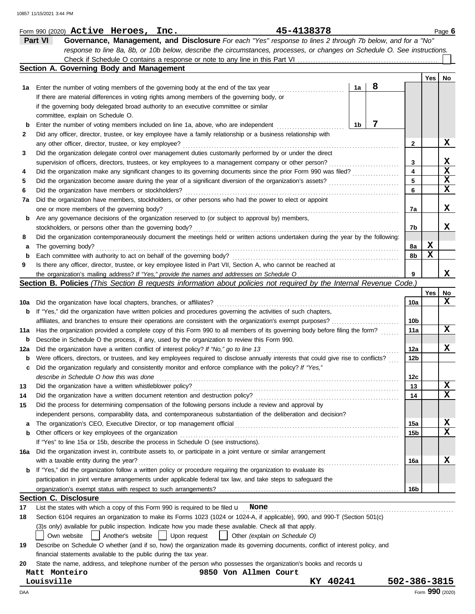|             | 45-4138378<br>Form 990 (2020) $\texttt{Active}$ Heroes, Inc.                                                                        |                 |     | Page 6          |
|-------------|-------------------------------------------------------------------------------------------------------------------------------------|-----------------|-----|-----------------|
|             | Governance, Management, and Disclosure For each "Yes" response to lines 2 through 7b below, and for a "No"<br>Part VI               |                 |     |                 |
|             | response to line 8a, 8b, or 10b below, describe the circumstances, processes, or changes on Schedule O. See instructions.           |                 |     |                 |
|             |                                                                                                                                     |                 |     |                 |
|             | Section A. Governing Body and Management                                                                                            |                 |     |                 |
|             |                                                                                                                                     |                 | Yes | No              |
| 1а          | 8<br>1a<br>Enter the number of voting members of the governing body at the end of the tax year                                      |                 |     |                 |
|             | If there are material differences in voting rights among members of the governing body, or                                          |                 |     |                 |
|             | if the governing body delegated broad authority to an executive committee or similar                                                |                 |     |                 |
|             | committee, explain on Schedule O.                                                                                                   |                 |     |                 |
| b           | 7<br>1 <sub>b</sub><br>Enter the number of voting members included on line 1a, above, who are independent                           |                 |     |                 |
| 2           | Did any officer, director, trustee, or key employee have a family relationship or a business relationship with                      |                 |     |                 |
|             | any other officer, director, trustee, or key employee?                                                                              | 2               |     | х               |
| 3           | Did the organization delegate control over management duties customarily performed by or under the direct                           |                 |     |                 |
|             | supervision of officers, directors, trustees, or key employees to a management company or other person?                             | 3               |     | X               |
| 4           | Did the organization make any significant changes to its governing documents since the prior Form 990 was filed?                    | 4               |     | X               |
| 5           | Did the organization become aware during the year of a significant diversion of the organization's assets?                          | 5               |     | X               |
| 6           | Did the organization have members or stockholders?                                                                                  | 6               |     | X               |
| 7a          | Did the organization have members, stockholders, or other persons who had the power to elect or appoint                             |                 |     |                 |
|             | one or more members of the governing body?                                                                                          | 7a              |     | x               |
| b           | Are any governance decisions of the organization reserved to (or subject to approval by) members,                                   |                 |     |                 |
|             | stockholders, or persons other than the governing body?                                                                             | 7b              |     | x               |
| 8           | Did the organization contemporaneously document the meetings held or written actions undertaken during the year by the following:   |                 |     |                 |
| а           | The governing body?                                                                                                                 | 8а              | x   |                 |
| $\mathbf b$ | Each committee with authority to act on behalf of the governing body?                                                               | 8b              | X   |                 |
| 9           | Is there any officer, director, trustee, or key employee listed in Part VII, Section A, who cannot be reached at                    |                 |     |                 |
|             |                                                                                                                                     | 9               |     | x               |
|             | Section B. Policies (This Section B requests information about policies not required by the Internal Revenue Code.)                 |                 |     |                 |
|             |                                                                                                                                     |                 | Yes | No              |
| 10a         | Did the organization have local chapters, branches, or affiliates?                                                                  | 10a             |     | x               |
| b           | If "Yes," did the organization have written policies and procedures governing the activities of such chapters,                      |                 |     |                 |
|             | affiliates, and branches to ensure their operations are consistent with the organization's exempt purposes?                         | 10b             |     |                 |
| 11a         | Has the organization provided a complete copy of this Form 990 to all members of its governing body before filing the form?         | 11a             |     | x               |
| b           | Describe in Schedule O the process, if any, used by the organization to review this Form 990.                                       |                 |     |                 |
| 12a         | Did the organization have a written conflict of interest policy? If "No," go to line 13                                             | 12a             |     | x               |
| b           | Were officers, directors, or trustees, and key employees required to disclose annually interests that could give rise to conflicts? | 12 <sub>b</sub> |     |                 |
| c           | Did the organization regularly and consistently monitor and enforce compliance with the policy? If "Yes,"                           |                 |     |                 |
|             | describe in Schedule O how this was done                                                                                            | 12c             |     |                 |
| 13          | Did the organization have a written whistleblower policy?                                                                           | 13              |     | X               |
| 14          | Did the organization have a written document retention and destruction policy?                                                      | 14              |     | X               |
| 15          | Did the process for determining compensation of the following persons include a review and approval by                              |                 |     |                 |
|             | independent persons, comparability data, and contemporaneous substantiation of the deliberation and decision?                       |                 |     |                 |
| а           | The organization's CEO, Executive Director, or top management official                                                              | 15a             |     | x               |
| b           | Other officers or key employees of the organization                                                                                 | 15 <sub>b</sub> |     | $\mathbf x$     |
|             | If "Yes" to line 15a or 15b, describe the process in Schedule O (see instructions).                                                 |                 |     |                 |
| 16a         | Did the organization invest in, contribute assets to, or participate in a joint venture or similar arrangement                      |                 |     |                 |
|             | with a taxable entity during the year?                                                                                              | 16a             |     | X               |
| b           | If "Yes," did the organization follow a written policy or procedure requiring the organization to evaluate its                      |                 |     |                 |
|             | participation in joint venture arrangements under applicable federal tax law, and take steps to safeguard the                       |                 |     |                 |
|             |                                                                                                                                     | 16b             |     |                 |
|             | <b>Section C. Disclosure</b>                                                                                                        |                 |     |                 |
| 17          | List the states with which a copy of this Form 990 is required to be filed $\mathsf{u}$ None                                        |                 |     |                 |
| 18          | Section 6104 requires an organization to make its Forms 1023 (1024 or 1024-A, if applicable), 990, and 990-T (Section 501(c)        |                 |     |                 |
|             | (3)s only) available for public inspection. Indicate how you made these available. Check all that apply.                            |                 |     |                 |
|             | Another's website<br>Own website<br>Upon request<br>Other (explain on Schedule O)                                                   |                 |     |                 |
| 19          | Describe on Schedule O whether (and if so, how) the organization made its governing documents, conflict of interest policy, and     |                 |     |                 |
|             | financial statements available to the public during the tax year.                                                                   |                 |     |                 |
| 20          | State the name, address, and telephone number of the person who possesses the organization's books and records u                    |                 |     |                 |
|             | Matt Monteiro<br>9850 Von Allmen Court                                                                                              |                 |     |                 |
|             | 40241<br>Louisville<br>KY                                                                                                           | 502-386-3815    |     |                 |
| DAA         |                                                                                                                                     |                 |     | Form 990 (2020) |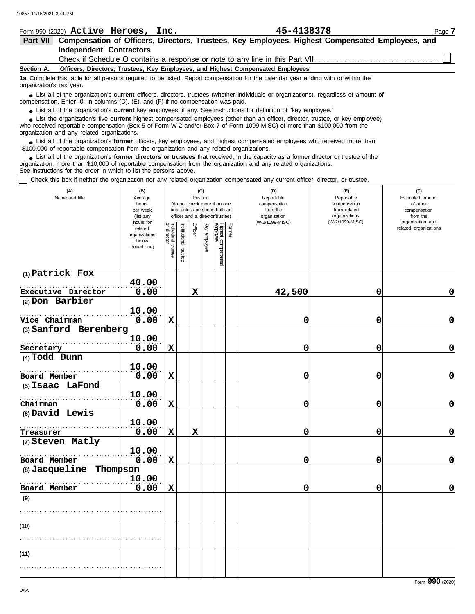|                 | Form 990 (2020) Active Heroes, Inc.                                                                                                                           |  |  | 45-4138378                                                                                                                                                                                                                          | Page 7 |  |  |  |  |
|-----------------|---------------------------------------------------------------------------------------------------------------------------------------------------------------|--|--|-------------------------------------------------------------------------------------------------------------------------------------------------------------------------------------------------------------------------------------|--------|--|--|--|--|
| <b>Part VII</b> |                                                                                                                                                               |  |  | Compensation of Officers, Directors, Trustees, Key Employees, Highest Compensated Employees, and                                                                                                                                    |        |  |  |  |  |
|                 | <b>Independent Contractors</b>                                                                                                                                |  |  |                                                                                                                                                                                                                                     |        |  |  |  |  |
|                 |                                                                                                                                                               |  |  |                                                                                                                                                                                                                                     |        |  |  |  |  |
| Section A.      |                                                                                                                                                               |  |  | Officers, Directors, Trustees, Key Employees, and Highest Compensated Employees                                                                                                                                                     |        |  |  |  |  |
|                 | 1a Complete this table for all persons required to be listed. Report compensation for the calendar year ending with or within the<br>organization's tax year. |  |  |                                                                                                                                                                                                                                     |        |  |  |  |  |
|                 |                                                                                                                                                               |  |  | • List all of the organization's current officers, directors, trustees (whether individuals or organizations), regardless of amount of<br>compensation. Enter -0- in columns $(D)$ , $(E)$ , and $(F)$ if no compensation was paid. |        |  |  |  |  |
|                 |                                                                                                                                                               |  |  | • List all of the organization's current key employees, if any. See instructions for definition of "key employee."                                                                                                                  |        |  |  |  |  |
|                 |                                                                                                                                                               |  |  | • List the organization's five current highest compensated employees (other than an officer, director, trustee, or key employee)                                                                                                    |        |  |  |  |  |

who received reportable compensation (Box 5 of Form W-2 and/or Box 7 of Form 1099-MISC) of more than \$100,000 from the organization and any related organizations. **•**

List all of the organization's **former** officers, key employees, and highest compensated employees who received more than • List all of the organization's **former** officers, key employees, and highest compensate \$100,000 of reportable compensation from the organization and any related organizations.

List all of the organization's **former directors or trustees** that received, in the capacity as a former director or trustee of the organization, more than \$10,000 of reportable compensation from the organization and any related organizations. See instructions for the order in which to list the persons above. **•**

Check this box if neither the organization nor any related organization compensated any current officer, director, or trustee.

| (A)<br>Name and title         | (B)<br>Average<br>hours<br>per week<br>(list any<br>hours for |                                   |                          | (C)<br>Position |              | (do not check more than one<br>box, unless person is both an<br>officer and a director/trustee) |        | (D)<br>Reportable<br>compensation<br>from the<br>organization<br>(W-2/1099-MISC) | (E)<br>Reportable<br>compensation<br>from related<br>organizations<br>(W-2/1099-MISC) | (F)<br>Estimated amount<br>of other<br>compensation<br>from the<br>organization and |
|-------------------------------|---------------------------------------------------------------|-----------------------------------|--------------------------|-----------------|--------------|-------------------------------------------------------------------------------------------------|--------|----------------------------------------------------------------------------------|---------------------------------------------------------------------------------------|-------------------------------------------------------------------------------------|
|                               | related<br>organizations<br>below<br>dotted line)             | Individual trustee<br>or director | Institutional<br>trustee | Officer         | Key employee | Highest compensated<br>empbyee                                                                  | Former |                                                                                  |                                                                                       | related organizations                                                               |
| (1) Patrick Fox               |                                                               |                                   |                          |                 |              |                                                                                                 |        |                                                                                  |                                                                                       |                                                                                     |
| Executive Director            | 40.00<br>0.00                                                 |                                   |                          | $\mathbf x$     |              |                                                                                                 |        | 42,500                                                                           | 0                                                                                     | 0                                                                                   |
| (2) Don Barbier               |                                                               |                                   |                          |                 |              |                                                                                                 |        |                                                                                  |                                                                                       |                                                                                     |
|                               | 10.00                                                         |                                   |                          |                 |              |                                                                                                 |        |                                                                                  |                                                                                       |                                                                                     |
| Vice Chairman                 | 0.00                                                          | $\mathbf x$                       |                          |                 |              |                                                                                                 |        | 0                                                                                | 0                                                                                     | $\mathbf 0$                                                                         |
| (3) Sanford Berenberg         |                                                               |                                   |                          |                 |              |                                                                                                 |        |                                                                                  |                                                                                       |                                                                                     |
|                               | 10.00                                                         |                                   |                          |                 |              |                                                                                                 |        |                                                                                  |                                                                                       | $\mathbf 0$                                                                         |
| Secretary<br>(4) Todd Dunn    | 0.00                                                          | $\mathbf x$                       |                          |                 |              |                                                                                                 |        | 0                                                                                | 0                                                                                     |                                                                                     |
|                               | 10.00                                                         |                                   |                          |                 |              |                                                                                                 |        |                                                                                  |                                                                                       |                                                                                     |
| Board Member                  | 0.00                                                          | $\mathbf x$                       |                          |                 |              |                                                                                                 |        | 0                                                                                | 0                                                                                     | $\mathbf 0$                                                                         |
| (5) Isaac LaFond              |                                                               |                                   |                          |                 |              |                                                                                                 |        |                                                                                  |                                                                                       |                                                                                     |
|                               | 10.00                                                         |                                   |                          |                 |              |                                                                                                 |        |                                                                                  |                                                                                       |                                                                                     |
| Chairman                      | 0.00                                                          | $\mathbf x$                       |                          |                 |              |                                                                                                 |        | 0                                                                                | 0                                                                                     | $\mathbf 0$                                                                         |
| (6) David Lewis               |                                                               |                                   |                          |                 |              |                                                                                                 |        |                                                                                  |                                                                                       |                                                                                     |
|                               | 10.00<br>0.00                                                 | $\mathbf x$                       |                          | $\mathbf x$     |              |                                                                                                 |        | 0                                                                                | 0                                                                                     | $\mathbf 0$                                                                         |
| Treasurer<br>(7) Steven Matly |                                                               |                                   |                          |                 |              |                                                                                                 |        |                                                                                  |                                                                                       |                                                                                     |
|                               | 10.00                                                         |                                   |                          |                 |              |                                                                                                 |        |                                                                                  |                                                                                       |                                                                                     |
| Board Member                  | 0.00                                                          | $\mathbf x$                       |                          |                 |              |                                                                                                 |        | 0                                                                                | 0                                                                                     | 0                                                                                   |
| Thompson<br>(8) Jacqueline    |                                                               |                                   |                          |                 |              |                                                                                                 |        |                                                                                  |                                                                                       |                                                                                     |
|                               | 10.00                                                         |                                   |                          |                 |              |                                                                                                 |        |                                                                                  |                                                                                       |                                                                                     |
| Board Member                  | 0.00                                                          | $\mathbf x$                       |                          |                 |              |                                                                                                 |        | 0                                                                                | 0                                                                                     | $\mathbf 0$                                                                         |
| (9)                           |                                                               |                                   |                          |                 |              |                                                                                                 |        |                                                                                  |                                                                                       |                                                                                     |
|                               |                                                               |                                   |                          |                 |              |                                                                                                 |        |                                                                                  |                                                                                       |                                                                                     |
| (10)                          |                                                               |                                   |                          |                 |              |                                                                                                 |        |                                                                                  |                                                                                       |                                                                                     |
|                               |                                                               |                                   |                          |                 |              |                                                                                                 |        |                                                                                  |                                                                                       |                                                                                     |
| (11)                          |                                                               |                                   |                          |                 |              |                                                                                                 |        |                                                                                  |                                                                                       |                                                                                     |
|                               |                                                               |                                   |                          |                 |              |                                                                                                 |        |                                                                                  |                                                                                       |                                                                                     |
|                               |                                                               |                                   |                          |                 |              |                                                                                                 |        |                                                                                  |                                                                                       |                                                                                     |

Form **990** (2020)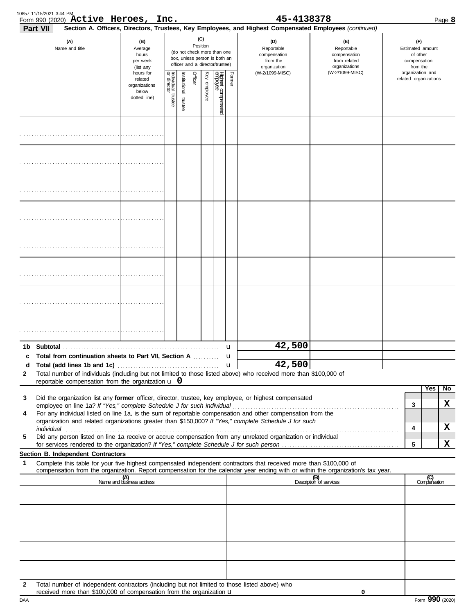|                   | 10857 11/15/2021 3:44 PM | Form 990 (2020) Active Heroes, Inc.                                                                |                                                                |                                   |                          |                |                 |                                                                                                 |        | 45-4138378                                                                                                                                                                                                           |                                                                                                                                  |                                                                 | Page 8              |
|-------------------|--------------------------|----------------------------------------------------------------------------------------------------|----------------------------------------------------------------|-----------------------------------|--------------------------|----------------|-----------------|-------------------------------------------------------------------------------------------------|--------|----------------------------------------------------------------------------------------------------------------------------------------------------------------------------------------------------------------------|----------------------------------------------------------------------------------------------------------------------------------|-----------------------------------------------------------------|---------------------|
|                   | <b>Part VII</b>          | (A)<br>Name and title                                                                              | (B)<br>Average<br>hours<br>per week<br>(list any               |                                   |                          |                | (C)<br>Position | (do not check more than one<br>box, unless person is both an<br>officer and a director/trustee) |        | Section A. Officers, Directors, Trustees, Key Employees, and Highest Compensated Employees (continued)<br>(D)<br>Reportable<br>compensation<br>from the<br>organization                                              | (E)<br>Reportable<br>compensation<br>from related<br>organizations                                                               | (F)<br>Estimated amount<br>of other<br>compensation<br>from the |                     |
|                   |                          |                                                                                                    | hours for<br>related<br>organizations<br>below<br>dotted line) | Individual trustee<br>or director | Institutional<br>trustee | <b>Officer</b> | Key employee    | Highest compensated<br>employee                                                                 | Former | (W-2/1099-MISC)                                                                                                                                                                                                      | (W-2/1099-MISC)                                                                                                                  | organization and<br>related organizations                       |                     |
|                   |                          |                                                                                                    |                                                                |                                   |                          |                |                 |                                                                                                 |        |                                                                                                                                                                                                                      |                                                                                                                                  |                                                                 |                     |
|                   |                          |                                                                                                    |                                                                |                                   |                          |                |                 |                                                                                                 |        |                                                                                                                                                                                                                      |                                                                                                                                  |                                                                 |                     |
|                   |                          |                                                                                                    |                                                                |                                   |                          |                |                 |                                                                                                 |        |                                                                                                                                                                                                                      |                                                                                                                                  |                                                                 |                     |
|                   |                          |                                                                                                    |                                                                |                                   |                          |                |                 |                                                                                                 |        |                                                                                                                                                                                                                      |                                                                                                                                  |                                                                 |                     |
|                   |                          |                                                                                                    |                                                                |                                   |                          |                |                 |                                                                                                 |        |                                                                                                                                                                                                                      |                                                                                                                                  |                                                                 |                     |
|                   |                          |                                                                                                    |                                                                |                                   |                          |                |                 |                                                                                                 |        |                                                                                                                                                                                                                      |                                                                                                                                  |                                                                 |                     |
|                   |                          |                                                                                                    |                                                                |                                   |                          |                |                 |                                                                                                 |        |                                                                                                                                                                                                                      |                                                                                                                                  |                                                                 |                     |
|                   |                          |                                                                                                    |                                                                |                                   |                          |                |                 |                                                                                                 |        |                                                                                                                                                                                                                      |                                                                                                                                  |                                                                 |                     |
|                   |                          | c Total from continuation sheets to Part VII, Section A                                            |                                                                |                                   |                          |                |                 |                                                                                                 | u      | 42,500<br>42,500                                                                                                                                                                                                     |                                                                                                                                  |                                                                 |                     |
| d<br>$\mathbf{2}$ |                          | Total (add lines 1b and 1c)<br>reportable compensation from the organization $\boldsymbol{\cup}$ 0 |                                                                |                                   |                          |                |                 |                                                                                                 | u      | Total number of individuals (including but not limited to those listed above) who received more than \$100,000 of                                                                                                    |                                                                                                                                  |                                                                 |                     |
| 3                 |                          |                                                                                                    |                                                                |                                   |                          |                |                 |                                                                                                 |        | Did the organization list any former officer, director, trustee, key employee, or highest compensated                                                                                                                |                                                                                                                                  | Yes                                                             | $\overline{N}$      |
| 4                 |                          |                                                                                                    |                                                                |                                   |                          |                |                 |                                                                                                 |        | For any individual listed on line 1a, is the sum of reportable compensation and other compensation from the<br>organization and related organizations greater than \$150,000? If "Yes," complete Schedule J for such |                                                                                                                                  | 3                                                               | X                   |
| 5                 |                          |                                                                                                    |                                                                |                                   |                          |                |                 |                                                                                                 |        | Did any person listed on line 1a receive or accrue compensation from any unrelated organization or individual                                                                                                        |                                                                                                                                  | 4                                                               | X<br>$\mathbf x$    |
|                   |                          | Section B. Independent Contractors                                                                 |                                                                |                                   |                          |                |                 |                                                                                                 |        |                                                                                                                                                                                                                      |                                                                                                                                  | 5                                                               |                     |
| 1                 |                          |                                                                                                    |                                                                |                                   |                          |                |                 |                                                                                                 |        | Complete this table for your five highest compensated independent contractors that received more than \$100,000 of                                                                                                   | compensation from the organization. Report compensation for the calendar year ending with or within the organization's tax year. |                                                                 |                     |
|                   |                          |                                                                                                    | (A)<br>Name and business address                               |                                   |                          |                |                 |                                                                                                 |        |                                                                                                                                                                                                                      | (B)<br>Description of services                                                                                                   |                                                                 | (C)<br>Compensation |
|                   |                          |                                                                                                    |                                                                |                                   |                          |                |                 |                                                                                                 |        |                                                                                                                                                                                                                      |                                                                                                                                  |                                                                 |                     |
|                   |                          |                                                                                                    |                                                                |                                   |                          |                |                 |                                                                                                 |        |                                                                                                                                                                                                                      |                                                                                                                                  |                                                                 |                     |
|                   |                          |                                                                                                    |                                                                |                                   |                          |                |                 |                                                                                                 |        |                                                                                                                                                                                                                      |                                                                                                                                  |                                                                 |                     |
| 2                 |                          | received more than \$100,000 of compensation from the organization u                               |                                                                |                                   |                          |                |                 |                                                                                                 |        | Total number of independent contractors (including but not limited to those listed above) who                                                                                                                        | 0                                                                                                                                |                                                                 |                     |

|  |  |  |  |  |  |  |  |  |  |  | received more than \$100,000 of compensation from the organization u |  |
|--|--|--|--|--|--|--|--|--|--|--|----------------------------------------------------------------------|--|
|--|--|--|--|--|--|--|--|--|--|--|----------------------------------------------------------------------|--|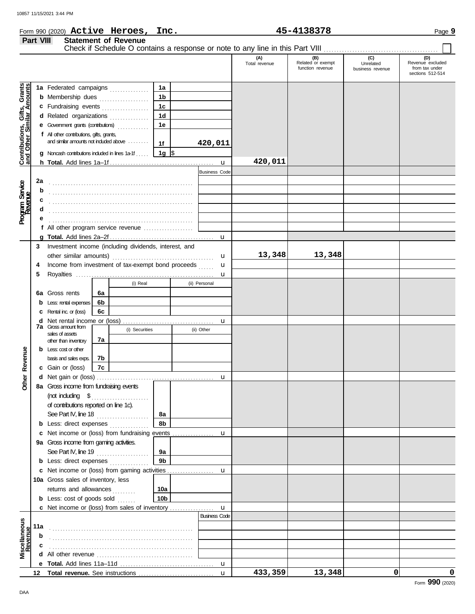**Part VIII Statement of Revenue**

### Form 990 (2020) Page **9 Active Heroes, Inc. 45-4138378**

|                                                                  |     |                                                                                        |                |          |                |                      |                      | (A)<br>Total revenue | (B)<br>Related or exempt<br>function revenue | (C)<br>Unrelated<br>business revenue | (D)<br>Revenue excluded<br>from tax under<br>sections 512-514 |
|------------------------------------------------------------------|-----|----------------------------------------------------------------------------------------|----------------|----------|----------------|----------------------|----------------------|----------------------|----------------------------------------------|--------------------------------------|---------------------------------------------------------------|
|                                                                  |     | 1a Federated campaigns                                                                 |                |          | 1a             |                      |                      |                      |                                              |                                      |                                                               |
| <b>Contributions, Gifts, Grants</b><br>and Other Similar Amounts |     | <b>b</b> Membership dues <i></i>                                                       |                |          | 1 <sub>b</sub> |                      |                      |                      |                                              |                                      |                                                               |
|                                                                  |     | c Fundraising events                                                                   |                |          | 1 <sub>c</sub> |                      |                      |                      |                                              |                                      |                                                               |
|                                                                  |     | d Related organizations                                                                |                |          | 1 <sub>d</sub> |                      |                      |                      |                                              |                                      |                                                               |
|                                                                  |     | e Government grants (contributions)                                                    |                |          | 1e             |                      |                      |                      |                                              |                                      |                                                               |
|                                                                  |     | f All other contributions, gifts, grants,                                              |                |          |                |                      |                      |                      |                                              |                                      |                                                               |
|                                                                  |     | and similar amounts not induded above                                                  |                |          | 1f             | 420,011              |                      |                      |                                              |                                      |                                                               |
|                                                                  |     | <b>g</b> Noncash contributions included in lines 1a-1f , $\parallel$ 1g $\parallel$ \$ |                |          |                |                      |                      |                      |                                              |                                      |                                                               |
|                                                                  |     |                                                                                        |                |          |                |                      | $\mathbf{u}$         | 420,011              |                                              |                                      |                                                               |
|                                                                  |     |                                                                                        |                |          |                | <b>Business Code</b> |                      |                      |                                              |                                      |                                                               |
|                                                                  | 2a  |                                                                                        |                |          |                |                      |                      |                      |                                              |                                      |                                                               |
| Program Service<br>Revenue                                       | b   |                                                                                        |                |          |                |                      |                      |                      |                                              |                                      |                                                               |
|                                                                  | c   |                                                                                        |                |          |                |                      |                      |                      |                                              |                                      |                                                               |
|                                                                  | d   |                                                                                        |                |          |                |                      |                      |                      |                                              |                                      |                                                               |
|                                                                  |     |                                                                                        |                |          |                |                      |                      |                      |                                              |                                      |                                                               |
|                                                                  |     |                                                                                        |                |          |                |                      |                      |                      |                                              |                                      |                                                               |
|                                                                  |     |                                                                                        |                |          |                |                      | u                    |                      |                                              |                                      |                                                               |
|                                                                  | 3   | Investment income (including dividends, interest, and                                  |                |          |                |                      |                      |                      |                                              |                                      |                                                               |
|                                                                  |     | other similar amounts)                                                                 |                |          |                |                      | u                    | 13,348               | 13,348                                       |                                      |                                                               |
|                                                                  | 4   | Income from investment of tax-exempt bond proceeds                                     |                |          |                |                      | u                    |                      |                                              |                                      |                                                               |
|                                                                  | 5   |                                                                                        |                |          |                |                      | u                    |                      |                                              |                                      |                                                               |
|                                                                  |     |                                                                                        |                | (i) Real |                | (ii) Personal        |                      |                      |                                              |                                      |                                                               |
|                                                                  |     | 6a Gross rents                                                                         | 6a             |          |                |                      |                      |                      |                                              |                                      |                                                               |
|                                                                  |     | <b>b</b> Less: rental expenses                                                         | 6b             |          |                |                      |                      |                      |                                              |                                      |                                                               |
|                                                                  |     | <b>c</b> Rental inc. or (loss)                                                         | 6c             |          |                |                      |                      |                      |                                              |                                      |                                                               |
|                                                                  |     |                                                                                        |                |          |                |                      | u                    |                      |                                              |                                      |                                                               |
|                                                                  |     | <b>7a</b> Gross amount from<br>sales of assets<br>7a                                   | (i) Securities |          | (ii) Other     |                      |                      |                      |                                              |                                      |                                                               |
|                                                                  |     | other than inventory                                                                   |                |          |                |                      |                      |                      |                                              |                                      |                                                               |
| Revenue                                                          |     | $b$ Less: $\cos$ or other                                                              |                |          |                |                      |                      |                      |                                              |                                      |                                                               |
|                                                                  |     | basis and sales exps.                                                                  | 7b             |          |                |                      |                      |                      |                                              |                                      |                                                               |
|                                                                  |     | c Gain or (loss)                                                                       | 7c             |          |                |                      |                      |                      |                                              |                                      |                                                               |
| <b>Other</b>                                                     |     |                                                                                        |                |          |                |                      | u                    |                      |                                              |                                      |                                                               |
|                                                                  |     | 8a Gross income from fundraising events                                                |                |          |                |                      |                      |                      |                                              |                                      |                                                               |
|                                                                  |     |                                                                                        |                |          |                |                      |                      |                      |                                              |                                      |                                                               |
|                                                                  |     | of contributions reported on line 1c).                                                 |                |          | 8а             |                      |                      |                      |                                              |                                      |                                                               |
|                                                                  |     | See Part IV, line 18<br><b>b</b> Less: direct expenses                                 |                |          | 8b             |                      |                      |                      |                                              |                                      |                                                               |
|                                                                  |     | c Net income or (loss) from fundraising events                                         |                |          |                |                      | u                    |                      |                                              |                                      |                                                               |
|                                                                  |     | 9a Gross income from gaming activities.                                                |                |          |                |                      |                      |                      |                                              |                                      |                                                               |
|                                                                  |     | See Part IV, line 19 $\ldots$                                                          |                |          | 9а             |                      |                      |                      |                                              |                                      |                                                               |
|                                                                  |     | <b>b</b> Less: direct expenses <i>minimum</i>                                          |                |          | 9 <sub>b</sub> |                      |                      |                      |                                              |                                      |                                                               |
|                                                                  |     | c Net income or (loss) from gaming activities                                          |                |          |                |                      | u                    |                      |                                              |                                      |                                                               |
|                                                                  |     | 10a Gross sales of inventory, less                                                     |                |          |                |                      |                      |                      |                                              |                                      |                                                               |
|                                                                  |     | returns and allowances                                                                 |                |          | 10a            |                      |                      |                      |                                              |                                      |                                                               |
|                                                                  |     | <b>b</b> Less: cost of goods sold                                                      |                |          | 10b            |                      |                      |                      |                                              |                                      |                                                               |
|                                                                  |     | c Net income or (loss) from sales of inventory                                         |                |          |                |                      | $\mathbf{u}$         |                      |                                              |                                      |                                                               |
|                                                                  |     |                                                                                        |                |          |                |                      | <b>Business Code</b> |                      |                                              |                                      |                                                               |
| Miscellaneous<br>Revenue                                         | 11a |                                                                                        |                |          |                |                      |                      |                      |                                              |                                      |                                                               |
|                                                                  | b   |                                                                                        |                |          |                |                      |                      |                      |                                              |                                      |                                                               |
|                                                                  | с   |                                                                                        |                |          |                |                      |                      |                      |                                              |                                      |                                                               |
|                                                                  |     |                                                                                        |                |          |                |                      |                      |                      |                                              |                                      |                                                               |
|                                                                  |     |                                                                                        |                |          |                |                      | u                    |                      |                                              |                                      |                                                               |
|                                                                  |     |                                                                                        |                |          |                |                      | $\mathbf{u}$         | 433,359              | 13,348                                       | 0                                    | 0                                                             |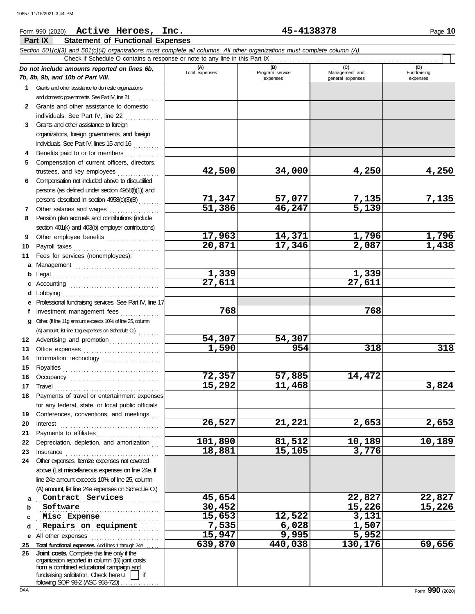### **Part IX Statement of Functional Expenses** Form 990 (2020) Page **10 Active Heroes, Inc. 45-4138378** *Section 501(c)(3) and 501(c)(4) organizations must complete all columns. All other organizations must complete column (A). Do not include amounts reported on lines 6b, 7b, 8b, 9b, and 10b of Part VIII.* **1 2 3 4 5** Grants and other assistance to domestic organizations and domestic governments. See Part IV, line 21 Grants and other assistance to domestic individuals. See Part IV, line 22 Grants and other assistance to foreign organizations, foreign governments, and foreign individuals. See Part IV, lines 15 and 16 Benefits paid to or for members . . . . . . . . . . . . . Compensation of current officers, directors, **(A) (B) (C) (D)** Total expenses **Program service** Management and expenses and in the qeneral expenses Fundraising expenses Check if Schedule O contains a response or note to any line in this Part IX . . . . . . . . . . . . . . . . . . . . . . . . . . . . . . . . . . . . . . . . . . . . . . . . . . . . . . . . . . . . . . . . **42,500 34,000 4,250 4,250**

**71,347 57,077 7,135 7,135**

**17,963 14,371 1,796 1,796**

**1,590 954 318 318**

**26,527 21,221 2,653 2,653**

**101,890 81,512 10,189 10,189**

**27,611 27,611**

**15,292 11,468 3,824**

**51,386 46,247 5,139**

**1,339 1,339**

**72,357 57,885 14,472**

**18,881 15,105 3,776**

**768 768**

**20,871 17,346 2,087 1,438**

**54,307 54,307**

**Contract Services** 15,654 22,827 22,827

**Software 30,452 15,226 15,226**

. . . . . . . . . . . . . . . . . . . . . . . . . . . . . . . . . . . . . . . . . . . . . . . **Misc Expense 15,653 12,522 3,131**

**15,947 9,995 5,952**

| 5. | Compensation of current officers, directors,      |  |
|----|---------------------------------------------------|--|
|    | trustees, and key employees                       |  |
| 6  | Compensation not included above to disqualified   |  |
|    | persons (as defined under section 4958(f)(1)) and |  |
|    | persons described in section 4958(c)(3)(B)        |  |
|    | Other salaries and wages                          |  |
|    |                                                   |  |

- **8** Pension plan accruals and contributions (include section 401(k) and 403(b) employer contributions)
- 
- **10** Payroll taxes . . . . . . . . . . . . . . . . . . . . . . . . . . . . . . . . . **11** Fees for services (nonemployees):
- 
- 
- 
- 
- **9**
- 

**c** Accounting . . . . . . . . . . . . . . . . . . . . . . . . . . . . . . . . . . . **d** Lobbying . . . . . . . . . . . . . . . . . . . . . . . . . . . . . . . . . . . . . **e** Professional fundraising services. See Part IV, line 17 f Investment management fees **. . . . . . . . . . .** . . **g** Other. (If line 11g amount exceeds 10% of line 25, column

Advertising and promotion . . . . . . . . . . . . . . . . . . . Office expenses . . . . . . . . . . . . . . . . . . . . . . . . . . . . . Information technology ....................... Royalties . . . . . . . . . . . . . . . . . . . . . . . . . . . . . . . . . . . . . Occupancy . . . . . . . . . . . . . . . . . . . . . . . . . . . . . . . . . . Travel . . . . . . . . . . . . . . . . . . . . . . . . . . . . . . . . . . . . . . . . Payments of travel or entertainment expenses for any federal, state, or local public officials Conferences, conventions, and meetings Interest . . . . . . . . . . . . . . . . . . . . . . . . . . . . . . . . . . . . . . Payments to affiliates . . . . . . . . . . . . . . . . . . . . . . . . Depreciation, depletion, and amortization Insurance . . . . . . . . . . . . . . . . . . . . . . . . . . . . . . . . . . . .

(A) amount, list line 11g expenses on Schedule O.)  $\ldots \ldots$ 

**24** Other expenses. Itemize expenses not covered

above (List miscellaneous expenses on line 24e. If line 24e amount exceeds 10% of line 25, column (A) amount, list line 24e expenses on Schedule O.)

. . . . . . . . . . . . . . . . . . . . . . . . . . . . . . . . . . . . . . . . . . . . . . .

. . . . . . . . . . . . . . . . . . . . . . . . . . . . . . . . . . . . . . . . . . . . . . .

**e** All other expenses . . . . . . . . . . . . . . . . . . . . . . . . . . .

**Total functional expenses.** Add lines 1 through 24e

**Joint costs.** Complete this line only if the

fundraising solicitation. Check here  $\mathbf{u}$  | if organization reported in column (B) joint costs from a combined educational campaign and

following SOP 98-2 (ASC 958-720) .

- 
- Other employee benefits ....................
	-
	- **a** Management ................................. **b** Legal . . . . . . . . . . . . . . . . . . . . . . . . . . . . . . . . . . . . . . . . .

**25 26**

> **a b c d**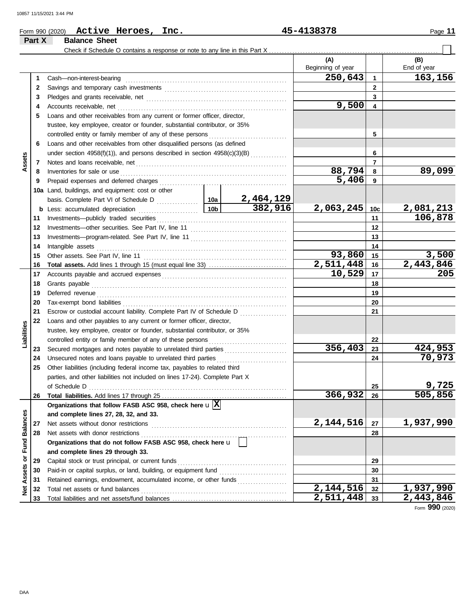### **Part X Balance Sheet** Check if Schedule O contains a response or note to any line in this Part X. **(A) (B)** Beginning of year | | End of year **250,643 163,156 1** Cash—non-interest-bearing . . . . . . . . . . . . . . . . . . . . . . . . . . . . . . . . . . . . . . . . . . . . . . . . . . . . . . . . . . . . . . **1 2 2** Savings and temporary cash investments . . . . . . . . . . . . . . . . . . . . . . . . . . . . . . . . . . . . . . . . . . . . . . . **3 3** Pledges and grants receivable, net . . . . . . . . . . . . . . . . . . . . . . . . . . . . . . . . . . . . . . . . . . . . . . . . . . . . . . **9,500 4 4** Accounts receivable, net . . . . . . . . . . . . . . . . . . . . . . . . . . . . . . . . . . . . . . . . . . . . . . . . . . . . . . . . . . . . . . . . . **5** Loans and other receivables from any current or former officer, director, trustee, key employee, creator or founder, substantial contributor, or 35% controlled entity or family member of any of these persons ............................. **5 6** Loans and other receivables from other disqualified persons (as defined **6** under section 4958(f)(1)), and persons described in section  $4958(c)(3)(B)$  ............. **Assets 7 7** Notes and loans receivable, net . . . . . . . . . . . . . . . . . . . . . . . . . . . . . . . . . . . . . . . . . . . . . . . . . . . . . . . . . . **88,794 89,099 8 8** Inventories for sale or use . . . . . . . . . . . . . . . . . . . . . . . . . . . . . . . . . . . . . . . . . . . . . . . . . . . . . . . . . . . . . . . . Prepaid expenses and deferred charges . . . . . . . . . . . . . . . . . . . . . . . . . . . . . . . . . . . . . . . . . . . . . . . . . **5,406 9 9 10a** Land, buildings, and equipment: cost or other basis. Complete Part VI of Schedule D ................. **10a 2,464,129 382,916 2,063,245 2,081,213 10c b** Less: accumulated depreciation . . . . . . . . . . . . . . . . . . 10b **106,878 11** Investments—publicly traded securities . . . . . . . . . . . . . . . . . . . . . . . . . . . . . . . . . . . . . . . . . . . . . . . . . . **11 12 12** Investments—other securities. See Part IV, line 11 . . . . . . . . . . . . . . . . . . . . . . . . . . . . . . . . . . . . . **13 13** Investments—program-related. See Part IV, line 11 . . . . . . . . . . . . . . . . . . . . . . . . . . . . . . . . . . . . . **14 14** Intangible assets . . . . . . . . . . . . . . . . . . . . . . . . . . . . . . . . . . . . . . . . . . . . . . . . . . . . . . . . . . . . . . . . . . . . . . . . . **93,860** 15 3,500<br>11,448 16 2,443,846 **15 15** Other assets. See Part IV, line 11 . . . . . . . . . . . . . . . . . . . . . . . . . . . . . . . . . . . . . . . . . . . . . . . . . . . . . . . **2,511,448 16 2,443,846**<br>**10,529 17 205 Total assets.** Add lines 1 through 15 (must equal line 33) . . . . . . . . . . . . . . . . . . . . . . . . . . . . . . **16 16 10,529 205** Accounts payable and accrued expenses . . . . . . . . . . . . . . . . . . . . . . . . . . . . . . . . . . . . . . . . . . . . . . . . **17 17 18 18** Grants payable . . . . . . . . . . . . . . . . . . . . . . . . . . . . . . . . . . . . . . . . . . . . . . . . . . . . . . . . . . . . . . . . . . . . . . . . . . . **19** Deferred revenue . . . . . . . . . . . . . . . . . . . . . . . . . . . . . . . . . . . . . . . . . . . . . . . . . . . . . . . . . . . . . . . . . . . . . . . . . **19 20 20** Tax-exempt bond liabilities . . . . . . . . . . . . . . . . . . . . . . . . . . . . . . . . . . . . . . . . . . . . . . . . . . . . . . . . . . . . . . . **21 21** Escrow or custodial account liability. Complete Part IV of Schedule D . . . . . . . . . . . . . . . . . . **22** Loans and other payables to any current or former officer, director, **Liabilities** trustee, key employee, creator or founder, substantial contributor, or 35% controlled entity or family member of any of these persons ............................. **22** Secured mortgages and notes payable to unrelated third parties ........................ **356,403 424,953 23 23 70,973 24 24** Unsecured notes and loans payable to unrelated third parties . . . . . . . . . . . . . . . . . . . . . . . . . . . **25** Other liabilities (including federal income tax, payables to related third parties, and other liabilities not included on lines 17-24). Complete Part X **9,725** of Schedule D . . . . . . . . . . . . . . . . . . . . . . . . . . . . . . . . . . . . . . . . . . . . . . . . . . . . . . . . . . . . . . . . . . . . . . . . . . . . **25 26 Total liabilities.** Add lines 17 through 25 ... **366,932 505,856 26 Organizations that follow FASB ASC 958, check here** u **X** Net Assets or Fund Balances **Net Assets or Fund Balances and complete lines 27, 28, 32, and 33.** Net assets without donor restrictions . . . . . . . . . . . . . . . . . . . . . . . . . . . . . . . . . . . . . . . . . . . . . . . . . . . . **2,144,516 1,937,990 27 27** Net assets with donor restrictions . . . . . . . . . . . . . . . . . . . . . . . . . . . . . . . . . . . . . . . . . . . . . . . . . . . . . . . . **28 28 Organizations that do not follow FASB ASC 958, check here** u **and complete lines 29 through 33.** Capital stock or trust principal, or current funds . . . . . . . . . . . . . . . . . . . . . . . . . . . . . . . . . . . . . . . . . . **29 29** Paid-in or capital surplus, or land, building, or equipment fund ........................... **30 30** Retained earnings, endowment, accumulated income, or other funds **31 31** Total net assets or fund balances . . . . . . . . . . . . . . . . . . . . . . . . . . . . . . . . . . . . . . . . . . . . . . . . . . . . . . . . **2,144,516** 32 **1,937,990**<br>**2,511,448** 33 **2,443,846 32 32** Total liabilities and net assets/fund balances .... **2,511,448 33 33**

Form **990** (2020)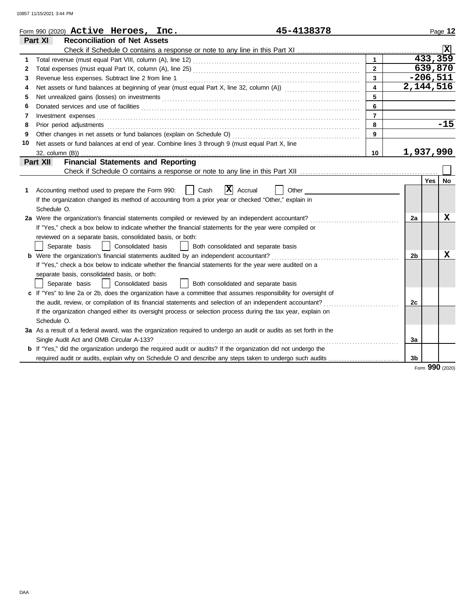10857 11/15/2021 3:44 PM

|    | 45-4138378<br>Form 990 (2020) $\operatorname{\bf Active}\nolimits$ Heroes, Inc.                                                                                                                                                |                         |             |                | Page 12   |
|----|--------------------------------------------------------------------------------------------------------------------------------------------------------------------------------------------------------------------------------|-------------------------|-------------|----------------|-----------|
|    | Part XI<br><b>Reconciliation of Net Assets</b>                                                                                                                                                                                 |                         |             |                |           |
|    |                                                                                                                                                                                                                                |                         |             |                |           |
| 1  |                                                                                                                                                                                                                                | $\mathbf{1}$            |             | 433,359        |           |
| 2  |                                                                                                                                                                                                                                | $2^{\circ}$             |             | 639,870        |           |
| 3  |                                                                                                                                                                                                                                | $\mathbf{3}$            |             | $-206,511$     |           |
| 4  |                                                                                                                                                                                                                                | $\overline{\mathbf{4}}$ | 2, 144, 516 |                |           |
| 5  |                                                                                                                                                                                                                                | 5                       |             |                |           |
| 6  |                                                                                                                                                                                                                                | 6                       |             |                |           |
| 7  |                                                                                                                                                                                                                                | $\overline{7}$          |             |                |           |
| 8  | Prior period adjustments [11, 12] and the contract of the contract of the contract of the contract of the contract of the contract of the contract of the contract of the contract of the contract of the contract of the cont | 8                       |             |                | $-15$     |
| 9  |                                                                                                                                                                                                                                | 9                       |             |                |           |
| 10 | Net assets or fund balances at end of year. Combine lines 3 through 9 (must equal Part X, line                                                                                                                                 |                         |             |                |           |
|    |                                                                                                                                                                                                                                | 10                      | 1,937,990   |                |           |
|    | <b>Financial Statements and Reporting</b><br>Part XII                                                                                                                                                                          |                         |             |                |           |
|    |                                                                                                                                                                                                                                |                         |             |                |           |
|    |                                                                                                                                                                                                                                |                         |             | Yes            | <b>No</b> |
| 1. | $\overline{\mathbf{X}}$ Accrual<br>Accounting method used to prepare the Form 990:<br>Cash<br>Other                                                                                                                            |                         |             |                |           |
|    | If the organization changed its method of accounting from a prior year or checked "Other," explain in                                                                                                                          |                         |             |                |           |
|    | Schedule O.                                                                                                                                                                                                                    |                         |             |                |           |
|    | 2a Were the organization's financial statements compiled or reviewed by an independent accountant?                                                                                                                             |                         | 2a          |                | x         |
|    | If "Yes," check a box below to indicate whether the financial statements for the year were compiled or                                                                                                                         |                         |             |                |           |
|    | reviewed on a separate basis, consolidated basis, or both:                                                                                                                                                                     |                         |             |                |           |
|    | Separate basis<br>  Consolidated basis<br>Both consolidated and separate basis<br>$\mathbf{1}$                                                                                                                                 |                         |             |                |           |
|    | b Were the organization's financial statements audited by an independent accountant?                                                                                                                                           |                         | 2b          |                | x         |
|    | If "Yes," check a box below to indicate whether the financial statements for the year were audited on a                                                                                                                        |                         |             |                |           |
|    | separate basis, consolidated basis, or both:                                                                                                                                                                                   |                         |             |                |           |
|    | Consolidated basis<br>Both consolidated and separate basis<br>Separate basis                                                                                                                                                   |                         |             |                |           |
|    | c If "Yes" to line 2a or 2b, does the organization have a committee that assumes responsibility for oversight of                                                                                                               |                         |             |                |           |
|    | the audit, review, or compilation of its financial statements and selection of an independent accountant?                                                                                                                      |                         | 2c          |                |           |
|    | If the organization changed either its oversight process or selection process during the tax year, explain on                                                                                                                  |                         |             |                |           |
|    | Schedule O.                                                                                                                                                                                                                    |                         |             |                |           |
|    | 3a As a result of a federal award, was the organization required to undergo an audit or audits as set forth in the                                                                                                             |                         |             |                |           |
|    | Single Audit Act and OMB Circular A-133?                                                                                                                                                                                       |                         | За          |                |           |
|    | <b>b</b> If "Yes," did the organization undergo the required audit or audits? If the organization did not undergo the                                                                                                          |                         |             |                |           |
|    | required audit or audits, explain why on Schedule O and describe any steps taken to undergo such audits                                                                                                                        |                         | 3b          |                |           |
|    |                                                                                                                                                                                                                                |                         |             | 0 <sub>0</sub> |           |

Form **990** (2020)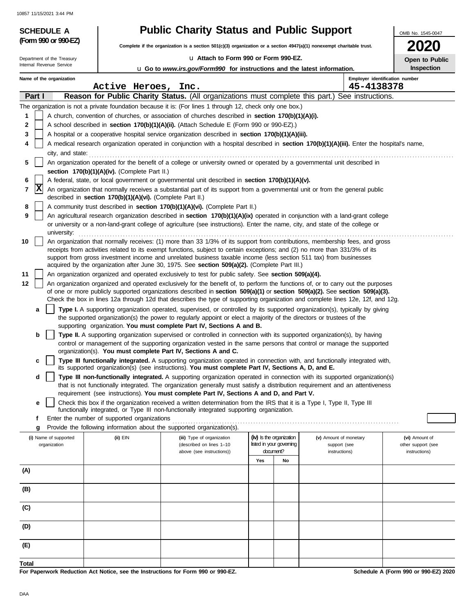10857 11/15/2021 3:44 PM

Internal Revenue Service Department of the Treasury

**(Form 990 or 990-EZ)**

# **SCHEDULE A Public Charity Status and Public Support**

**Complete if the organization is a section 501(c)(3) organization or a section 4947(a)(1) nonexempt charitable trust.**

u **Attach to Form 990 or Form 990-EZ.**

**2020 Open to Public Inspection**

OMB No. 1545-0047

| $U$ Go to <i>www.irs.gov/Form990</i> for instructions and the latest information. |  |  |
|-----------------------------------------------------------------------------------|--|--|
|                                                                                   |  |  |

|       |                                                                                                                                | Name of the organization              | Active Heroes, Inc.                                        |                                                                                                                                                                                                                                                                |     |                                                      | 45-4138378                             | Employer identification number       |  |
|-------|--------------------------------------------------------------------------------------------------------------------------------|---------------------------------------|------------------------------------------------------------|----------------------------------------------------------------------------------------------------------------------------------------------------------------------------------------------------------------------------------------------------------------|-----|------------------------------------------------------|----------------------------------------|--------------------------------------|--|
|       | Part I                                                                                                                         |                                       |                                                            |                                                                                                                                                                                                                                                                |     |                                                      |                                        |                                      |  |
|       |                                                                                                                                |                                       |                                                            | <b>Reason for Public Charity Status.</b> (All organizations must complete this part.) See instructions.<br>The organization is not a private foundation because it is: (For lines 1 through 12, check only one box.)                                           |     |                                                      |                                        |                                      |  |
| 1     |                                                                                                                                |                                       |                                                            | A church, convention of churches, or association of churches described in section 170(b)(1)(A)(i).                                                                                                                                                             |     |                                                      |                                        |                                      |  |
| 2     |                                                                                                                                |                                       |                                                            | A school described in section 170(b)(1)(A)(ii). (Attach Schedule E (Form 990 or 990-EZ).)                                                                                                                                                                      |     |                                                      |                                        |                                      |  |
| 3     |                                                                                                                                |                                       |                                                            | A hospital or a cooperative hospital service organization described in section 170(b)(1)(A)(iii).                                                                                                                                                              |     |                                                      |                                        |                                      |  |
|       |                                                                                                                                |                                       |                                                            | A medical research organization operated in conjunction with a hospital described in section 170(b)(1)(A)(iii). Enter the hospital's name,                                                                                                                     |     |                                                      |                                        |                                      |  |
|       |                                                                                                                                | city, and state:                      |                                                            |                                                                                                                                                                                                                                                                |     |                                                      |                                        |                                      |  |
| 5     |                                                                                                                                |                                       |                                                            | An organization operated for the benefit of a college or university owned or operated by a governmental unit described in                                                                                                                                      |     |                                                      |                                        |                                      |  |
|       |                                                                                                                                |                                       | section 170(b)(1)(A)(iv). (Complete Part II.)              |                                                                                                                                                                                                                                                                |     |                                                      |                                        |                                      |  |
|       |                                                                                                                                |                                       |                                                            | A federal, state, or local government or governmental unit described in section 170(b)(1)(A)(v).                                                                                                                                                               |     |                                                      |                                        |                                      |  |
| 7     | X                                                                                                                              |                                       | described in section 170(b)(1)(A)(vi). (Complete Part II.) | An organization that normally receives a substantial part of its support from a governmental unit or from the general public                                                                                                                                   |     |                                                      |                                        |                                      |  |
| 8     |                                                                                                                                |                                       |                                                            | A community trust described in section 170(b)(1)(A)(vi). (Complete Part II.)                                                                                                                                                                                   |     |                                                      |                                        |                                      |  |
| 9     |                                                                                                                                |                                       |                                                            | An agricultural research organization described in section 170(b)(1)(A)(ix) operated in conjunction with a land-grant college                                                                                                                                  |     |                                                      |                                        |                                      |  |
|       | or university or a non-land-grant college of agriculture (see instructions). Enter the name, city, and state of the college or |                                       |                                                            |                                                                                                                                                                                                                                                                |     |                                                      |                                        |                                      |  |
|       |                                                                                                                                | university:                           |                                                            |                                                                                                                                                                                                                                                                |     |                                                      |                                        |                                      |  |
| 10    |                                                                                                                                |                                       |                                                            | An organization that normally receives: (1) more than 33 1/3% of its support from contributions, membership fees, and gross<br>receipts from activities related to its exempt functions, subject to certain exceptions; and (2) no more than 331/3% of its     |     |                                                      |                                        |                                      |  |
|       |                                                                                                                                |                                       |                                                            | support from gross investment income and unrelated business taxable income (less section 511 tax) from businesses                                                                                                                                              |     |                                                      |                                        |                                      |  |
|       |                                                                                                                                |                                       |                                                            | acquired by the organization after June 30, 1975. See section 509(a)(2). (Complete Part III.)                                                                                                                                                                  |     |                                                      |                                        |                                      |  |
| 11    | An organization organized and operated exclusively to test for public safety. See section 509(a)(4).                           |                                       |                                                            |                                                                                                                                                                                                                                                                |     |                                                      |                                        |                                      |  |
| 12    |                                                                                                                                |                                       |                                                            | An organization organized and operated exclusively for the benefit of, to perform the functions of, or to carry out the purposes                                                                                                                               |     |                                                      |                                        |                                      |  |
|       |                                                                                                                                |                                       |                                                            | of one or more publicly supported organizations described in section 509(a)(1) or section 509(a)(2). See section 509(a)(3).<br>Check the box in lines 12a through 12d that describes the type of supporting organization and complete lines 12e, 12f, and 12g. |     |                                                      |                                        |                                      |  |
|       | а                                                                                                                              |                                       |                                                            | Type I. A supporting organization operated, supervised, or controlled by its supported organization(s), typically by giving                                                                                                                                    |     |                                                      |                                        |                                      |  |
|       |                                                                                                                                |                                       |                                                            | the supported organization(s) the power to regularly appoint or elect a majority of the directors or trustees of the                                                                                                                                           |     |                                                      |                                        |                                      |  |
|       |                                                                                                                                |                                       |                                                            | supporting organization. You must complete Part IV, Sections A and B.                                                                                                                                                                                          |     |                                                      |                                        |                                      |  |
|       | b                                                                                                                              |                                       |                                                            | Type II. A supporting organization supervised or controlled in connection with its supported organization(s), by having                                                                                                                                        |     |                                                      |                                        |                                      |  |
|       |                                                                                                                                |                                       |                                                            | control or management of the supporting organization vested in the same persons that control or manage the supported                                                                                                                                           |     |                                                      |                                        |                                      |  |
|       |                                                                                                                                |                                       |                                                            | organization(s). You must complete Part IV, Sections A and C.                                                                                                                                                                                                  |     |                                                      |                                        |                                      |  |
|       | c                                                                                                                              |                                       |                                                            | Type III functionally integrated. A supporting organization operated in connection with, and functionally integrated with,<br>its supported organization(s) (see instructions). You must complete Part IV, Sections A, D, and E.                               |     |                                                      |                                        |                                      |  |
|       | d                                                                                                                              |                                       |                                                            | Type III non-functionally integrated. A supporting organization operated in connection with its supported organization(s)<br>that is not functionally integrated. The organization generally must satisfy a distribution requirement and an attentiveness      |     |                                                      |                                        |                                      |  |
|       |                                                                                                                                |                                       |                                                            | requirement (see instructions). You must complete Part IV, Sections A and D, and Part V.                                                                                                                                                                       |     |                                                      |                                        |                                      |  |
|       | е                                                                                                                              |                                       |                                                            | Check this box if the organization received a written determination from the IRS that it is a Type I, Type II, Type III                                                                                                                                        |     |                                                      |                                        |                                      |  |
|       |                                                                                                                                |                                       |                                                            | functionally integrated, or Type III non-functionally integrated supporting organization.                                                                                                                                                                      |     |                                                      |                                        |                                      |  |
|       | f                                                                                                                              |                                       | Enter the number of supported organizations                |                                                                                                                                                                                                                                                                |     |                                                      |                                        |                                      |  |
|       | g                                                                                                                              |                                       |                                                            | Provide the following information about the supported organization(s).                                                                                                                                                                                         |     |                                                      |                                        |                                      |  |
|       |                                                                                                                                | (i) Name of supported<br>organization | (ii) EIN                                                   | (iii) Type of organization<br>(described on lines 1-10                                                                                                                                                                                                         |     | (iv) Is the organization<br>listed in your governing | (v) Amount of monetary<br>support (see | (vi) Amount of<br>other support (see |  |
|       | document?<br>above (see instructions))<br>instructions)                                                                        |                                       |                                                            |                                                                                                                                                                                                                                                                |     |                                                      |                                        | instructions)                        |  |
|       |                                                                                                                                |                                       |                                                            |                                                                                                                                                                                                                                                                | Yes | No                                                   |                                        |                                      |  |
| (A)   |                                                                                                                                |                                       |                                                            |                                                                                                                                                                                                                                                                |     |                                                      |                                        |                                      |  |
|       |                                                                                                                                |                                       |                                                            |                                                                                                                                                                                                                                                                |     |                                                      |                                        |                                      |  |
| (B)   |                                                                                                                                |                                       |                                                            |                                                                                                                                                                                                                                                                |     |                                                      |                                        |                                      |  |
| (C)   |                                                                                                                                |                                       |                                                            |                                                                                                                                                                                                                                                                |     |                                                      |                                        |                                      |  |
|       |                                                                                                                                |                                       |                                                            |                                                                                                                                                                                                                                                                |     |                                                      |                                        |                                      |  |
| (D)   |                                                                                                                                |                                       |                                                            |                                                                                                                                                                                                                                                                |     |                                                      |                                        |                                      |  |
|       |                                                                                                                                |                                       |                                                            |                                                                                                                                                                                                                                                                |     |                                                      |                                        |                                      |  |
| (E)   |                                                                                                                                |                                       |                                                            |                                                                                                                                                                                                                                                                |     |                                                      |                                        |                                      |  |
|       |                                                                                                                                |                                       |                                                            |                                                                                                                                                                                                                                                                |     |                                                      |                                        |                                      |  |
| Total |                                                                                                                                |                                       |                                                            |                                                                                                                                                                                                                                                                |     |                                                      |                                        |                                      |  |

**For Paperwork Reduction Act Notice, see the Instructions for Form 990 or 990-EZ.**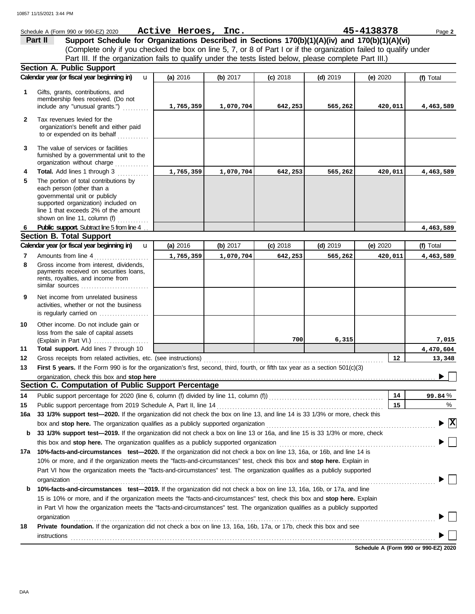|              | Schedule A (Form 990 or 990-EZ) 2020                                                                                                  | Active Heroes, Inc. |            |            |            | 45-4138378 | Page 2              |  |  |
|--------------|---------------------------------------------------------------------------------------------------------------------------------------|---------------------|------------|------------|------------|------------|---------------------|--|--|
|              | Part II<br>Support Schedule for Organizations Described in Sections 170(b)(1)(A)(iv) and 170(b)(1)(A)(vi)                             |                     |            |            |            |            |                     |  |  |
|              | (Complete only if you checked the box on line 5, 7, or 8 of Part I or if the organization failed to qualify under                     |                     |            |            |            |            |                     |  |  |
|              | Part III. If the organization fails to qualify under the tests listed below, please complete Part III.)                               |                     |            |            |            |            |                     |  |  |
|              | <b>Section A. Public Support</b>                                                                                                      |                     |            |            |            |            |                     |  |  |
|              | Calendar year (or fiscal year beginning in)<br>u                                                                                      | (a) 2016            | (b) 2017   | $(c)$ 2018 | $(d)$ 2019 | (e) $2020$ | (f) Total           |  |  |
| 1            | Gifts, grants, contributions, and                                                                                                     |                     |            |            |            |            |                     |  |  |
|              | membership fees received. (Do not                                                                                                     |                     |            |            |            |            |                     |  |  |
|              | include any "unusual grants.")                                                                                                        | 1,765,359           | 1,070,704  | 642,253    | 565,262    | 420,011    | 4,463,589           |  |  |
| $\mathbf{2}$ | Tax revenues levied for the                                                                                                           |                     |            |            |            |            |                     |  |  |
|              | organization's benefit and either paid                                                                                                |                     |            |            |            |            |                     |  |  |
|              | to or expended on its behalf                                                                                                          |                     |            |            |            |            |                     |  |  |
| 3            | The value of services or facilities                                                                                                   |                     |            |            |            |            |                     |  |  |
|              | furnished by a governmental unit to the                                                                                               |                     |            |            |            |            |                     |  |  |
|              | organization without charge                                                                                                           |                     |            |            |            |            |                     |  |  |
| 4<br>5       | Total. Add lines 1 through 3<br>The portion of total contributions by                                                                 | 1,765,359           | 1,070,704  | 642,253    | 565,262    | 420,011    | 4,463,589           |  |  |
|              | each person (other than a                                                                                                             |                     |            |            |            |            |                     |  |  |
|              | governmental unit or publicly                                                                                                         |                     |            |            |            |            |                     |  |  |
|              | supported organization) included on                                                                                                   |                     |            |            |            |            |                     |  |  |
|              | line 1 that exceeds 2% of the amount<br>shown on line 11, column (f)                                                                  |                     |            |            |            |            |                     |  |  |
| 6            | Public support. Subtract line 5 from line 4                                                                                           |                     |            |            |            |            | 4,463,589           |  |  |
|              | <b>Section B. Total Support</b>                                                                                                       |                     |            |            |            |            |                     |  |  |
|              | Calendar year (or fiscal year beginning in)<br>u                                                                                      | (a) 2016            | (b) $2017$ | $(c)$ 2018 | $(d)$ 2019 | (e) $2020$ | (f) Total           |  |  |
| 7            | Amounts from line 4                                                                                                                   | 1,765,359           | 1,070,704  | 642,253    | 565,262    | 420,011    | 4,463,589           |  |  |
| 8            | Gross income from interest, dividends,                                                                                                |                     |            |            |            |            |                     |  |  |
|              | payments received on securities loans,<br>rents, royalties, and income from                                                           |                     |            |            |            |            |                     |  |  |
|              |                                                                                                                                       |                     |            |            |            |            |                     |  |  |
| 9            | Net income from unrelated business                                                                                                    |                     |            |            |            |            |                     |  |  |
|              | activities, whether or not the business                                                                                               |                     |            |            |            |            |                     |  |  |
|              | is regularly carried on                                                                                                               |                     |            |            |            |            |                     |  |  |
| 10           | Other income. Do not include gain or                                                                                                  |                     |            |            |            |            |                     |  |  |
|              | loss from the sale of capital assets                                                                                                  |                     |            |            |            |            |                     |  |  |
|              |                                                                                                                                       |                     |            | 700        | 6,315      |            | 7,015               |  |  |
| 11<br>12     | Total support. Add lines 7 through 10<br>Gross receipts from related activities, etc. (see instructions)                              |                     |            |            |            | 12         | 4,470,604<br>13,348 |  |  |
| 13           | First 5 years. If the Form 990 is for the organization's first, second, third, fourth, or fifth tax year as a section 501(c)(3)       |                     |            |            |            |            |                     |  |  |
|              |                                                                                                                                       |                     |            |            |            |            |                     |  |  |
|              | Section C. Computation of Public Support Percentage                                                                                   |                     |            |            |            |            |                     |  |  |
| 14           | Public support percentage for 2020 (line 6, column (f) divided by line 11, column (f) [[[[[[[[[[[[[[[[[[[[[[[                         |                     |            |            |            | 14         | 99.84%              |  |  |
| 15           | Public support percentage from 2019 Schedule A, Part II, line 14                                                                      |                     |            |            |            | 15         | %                   |  |  |
| 16a          | 33 1/3% support test-2020. If the organization did not check the box on line 13, and line 14 is 33 1/3% or more, check this           |                     |            |            |            |            |                     |  |  |
|              | box and stop here. The organization qualifies as a publicly supported organization                                                    |                     |            |            |            |            | $\mathbf{x}$        |  |  |
| b            | 33 1/3% support test-2019. If the organization did not check a box on line 13 or 16a, and line 15 is 33 1/3% or more, check           |                     |            |            |            |            |                     |  |  |
|              | this box and stop here. The organization qualifies as a publicly supported organization                                               |                     |            |            |            |            |                     |  |  |
|              | 17a 10%-facts-and-circumstances test-2020. If the organization did not check a box on line 13, 16a, or 16b, and line 14 is            |                     |            |            |            |            |                     |  |  |
|              | 10% or more, and if the organization meets the "facts-and-circumstances" test, check this box and stop here. Explain in               |                     |            |            |            |            |                     |  |  |
|              | Part VI how the organization meets the "facts-and-circumstances" test. The organization qualifies as a publicly supported             |                     |            |            |            |            |                     |  |  |
| b            | organization<br>10%-facts-and-circumstances test-2019. If the organization did not check a box on line 13, 16a, 16b, or 17a, and line |                     |            |            |            |            |                     |  |  |
|              | 15 is 10% or more, and if the organization meets the "facts-and-circumstances" test, check this box and stop here. Explain            |                     |            |            |            |            |                     |  |  |
|              | in Part VI how the organization meets the "facts-and-circumstances" test. The organization qualifies as a publicly supported          |                     |            |            |            |            |                     |  |  |
|              | organization                                                                                                                          |                     |            |            |            |            |                     |  |  |
| 18           | Private foundation. If the organization did not check a box on line 13, 16a, 16b, 17a, or 17b, check this box and see                 |                     |            |            |            |            |                     |  |  |
|              |                                                                                                                                       |                     |            |            |            |            |                     |  |  |
|              |                                                                                                                                       |                     |            |            |            |            |                     |  |  |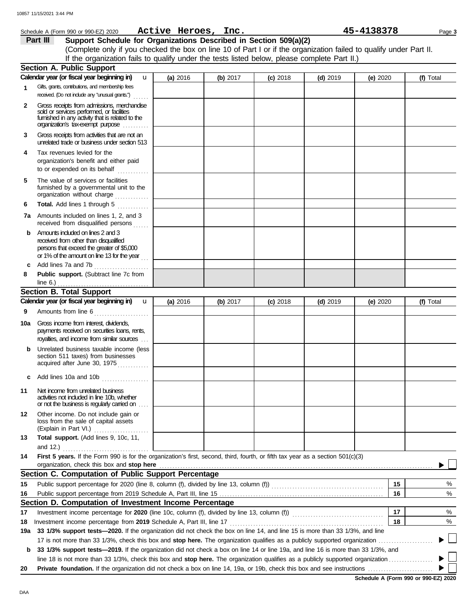|              | Schedule A (Form 990 or 990-EZ) 2020                                                                                                                                              | Active Heroes, Inc. |          |            |            | 45-4138378 | Page 3    |
|--------------|-----------------------------------------------------------------------------------------------------------------------------------------------------------------------------------|---------------------|----------|------------|------------|------------|-----------|
|              | Part III<br>Support Schedule for Organizations Described in Section 509(a)(2)                                                                                                     |                     |          |            |            |            |           |
|              | (Complete only if you checked the box on line 10 of Part I or if the organization failed to qualify under Part II.                                                                |                     |          |            |            |            |           |
|              | If the organization fails to qualify under the tests listed below, please complete Part II.)                                                                                      |                     |          |            |            |            |           |
|              | <b>Section A. Public Support</b>                                                                                                                                                  |                     |          |            |            |            |           |
|              | Calendar year (or fiscal year beginning in)<br>u                                                                                                                                  | (a) 2016            | (b) 2017 | $(c)$ 2018 | $(d)$ 2019 | (e) $2020$ | (f) Total |
| $\mathbf{1}$ | Gifts, grants, contributions, and membership fees<br>received. (Do not indude any "unusual grants.")<br>.                                                                         |                     |          |            |            |            |           |
| $\mathbf{2}$ | Gross receipts from admissions, merchandise<br>sold or services performed, or facilities<br>furnished in any activity that is related to the<br>organization's tax-exempt purpose |                     |          |            |            |            |           |
| 3            | Gross receipts from activities that are not an<br>unrelated trade or business under section 513                                                                                   |                     |          |            |            |            |           |
| 4            | Tax revenues levied for the<br>organization's benefit and either paid<br>to or expended on its behalf                                                                             |                     |          |            |            |            |           |
| 5            | The value of services or facilities<br>furnished by a governmental unit to the<br>organization without charge                                                                     |                     |          |            |            |            |           |
| 6            | Total. Add lines 1 through 5                                                                                                                                                      |                     |          |            |            |            |           |
|              | <b>7a</b> Amounts included on lines 1, 2, and 3<br>received from disqualified persons                                                                                             |                     |          |            |            |            |           |
| b            | Amounts induded on lines 2 and 3<br>received from other than disqualified<br>persons that exceed the greater of \$5,000<br>or 1% of the amount on line 13 for the year            |                     |          |            |            |            |           |
| c            | Add lines 7a and 7b<br>.                                                                                                                                                          |                     |          |            |            |            |           |
| 8            | Public support. (Subtract line 7c from<br>line 6.) $\ldots$<br>. <u>.</u> .                                                                                                       |                     |          |            |            |            |           |
|              | <b>Section B. Total Support</b>                                                                                                                                                   |                     |          |            |            |            |           |
|              | Calendar year (or fiscal year beginning in)<br>$\mathbf u$                                                                                                                        | (a) 2016            | (b) 2017 | $(c)$ 2018 | $(d)$ 2019 | (e) $2020$ | (f) Total |
| 9            | Amounts from line 6                                                                                                                                                               |                     |          |            |            |            |           |
| 10a          | Gross income from interest, dividends,<br>payments received on securities loans, rents,<br>royalties, and income from similar sources                                             |                     |          |            |            |            |           |
|              | Unrelated business taxable income (less<br>section 511 taxes) from businesses<br>acquired after June 30, 1975                                                                     |                     |          |            |            |            |           |
| c            | Add lines 10a and 10b                                                                                                                                                             |                     |          |            |            |            |           |
| 11           | Net income from unrelated business<br>activities not included in line 10b, whether<br>or not the business is regularly carried on                                                 |                     |          |            |            |            |           |
| 12           | Other income. Do not include gain or<br>loss from the sale of capital assets<br>(Explain in Part VI.)                                                                             |                     |          |            |            |            |           |
| 13           | Total support. (Add lines 9, 10c, 11,<br>and $12.$ )                                                                                                                              |                     |          |            |            |            |           |
| 14           | First 5 years. If the Form 990 is for the organization's first, second, third, fourth, or fifth tax year as a section 501(c)(3)<br>organization, check this box and stop here     |                     |          |            |            |            |           |
|              | Section C. Computation of Public Support Percentage                                                                                                                               |                     |          |            |            |            |           |
| 15           | Public support percentage for 2020 (line 8, column (f), divided by line 13, column (f) [[1][2][2][2][2][2][2][                                                                    |                     |          |            |            | 15         | %         |
| 16           |                                                                                                                                                                                   |                     |          |            |            | 16         | $\%$      |
|              | Section D. Computation of Investment Income Percentage                                                                                                                            |                     |          |            |            |            |           |
| 17           | Investment income percentage for 2020 (line 10c, column (f), divided by line 13, column (f)) contational income percentage for 2020 (line 10c, column (f)                         |                     |          |            |            | 17         | %         |
| 18           | Investment income percentage from 2019 Schedule A, Part III, line 17                                                                                                              |                     |          |            |            | 18         | %         |
| 19a          | 33 1/3% support tests-2020. If the organization did not check the box on line 14, and line 15 is more than 33 1/3%, and line                                                      |                     |          |            |            |            |           |
|              |                                                                                                                                                                                   |                     |          |            |            |            |           |
| b            | 33 1/3% support tests-2019. If the organization did not check a box on line 14 or line 19a, and line 16 is more than 33 1/3%, and                                                 |                     |          |            |            |            |           |
|              |                                                                                                                                                                                   |                     |          |            |            |            |           |
| 20           |                                                                                                                                                                                   |                     |          |            |            |            |           |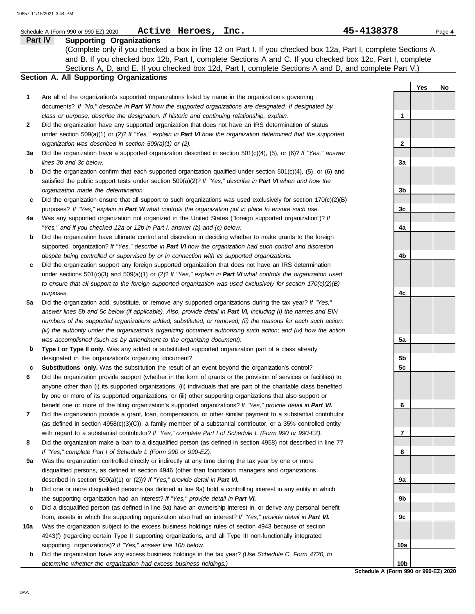|         | Active Heroes,<br>Inc.<br>Schedule A (Form 990 or 990-EZ) 2020                                                                                                                                                                    | 45-4138378      |     | Page 4 |
|---------|-----------------------------------------------------------------------------------------------------------------------------------------------------------------------------------------------------------------------------------|-----------------|-----|--------|
| Part IV | <b>Supporting Organizations</b>                                                                                                                                                                                                   |                 |     |        |
|         | (Complete only if you checked a box in line 12 on Part I. If you checked box 12a, Part I, complete Sections A                                                                                                                     |                 |     |        |
|         | and B. If you checked box 12b, Part I, complete Sections A and C. If you checked box 12c, Part I, complete                                                                                                                        |                 |     |        |
|         | Sections A, D, and E. If you checked box 12d, Part I, complete Sections A and D, and complete Part V.)                                                                                                                            |                 |     |        |
|         | Section A. All Supporting Organizations                                                                                                                                                                                           |                 |     |        |
|         |                                                                                                                                                                                                                                   |                 | Yes | No     |
| 1       | Are all of the organization's supported organizations listed by name in the organization's governing                                                                                                                              |                 |     |        |
|         | documents? If "No," describe in Part VI how the supported organizations are designated. If designated by                                                                                                                          |                 |     |        |
|         | class or purpose, describe the designation. If historic and continuing relationship, explain.                                                                                                                                     | $\mathbf{1}$    |     |        |
| 2       | Did the organization have any supported organization that does not have an IRS determination of status                                                                                                                            |                 |     |        |
|         | under section 509(a)(1) or (2)? If "Yes," explain in Part VI how the organization determined that the supported                                                                                                                   |                 |     |        |
|         | organization was described in section 509(a)(1) or (2).                                                                                                                                                                           | $\mathbf{2}$    |     |        |
| За      | Did the organization have a supported organization described in section $501(c)(4)$ , (5), or (6)? If "Yes," answer                                                                                                               |                 |     |        |
|         | lines 3b and 3c below.                                                                                                                                                                                                            | За              |     |        |
| b       | Did the organization confirm that each supported organization qualified under section 501(c)(4), (5), or (6) and<br>satisfied the public support tests under section 509(a)(2)? If "Yes," describe in Part VI when and how the    |                 |     |        |
|         | organization made the determination.                                                                                                                                                                                              | 3b              |     |        |
| C       | Did the organization ensure that all support to such organizations was used exclusively for section $170(c)(2)(B)$                                                                                                                |                 |     |        |
|         | purposes? If "Yes," explain in Part VI what controls the organization put in place to ensure such use.                                                                                                                            | 3c              |     |        |
| 4a      | Was any supported organization not organized in the United States ("foreign supported organization")? If                                                                                                                          |                 |     |        |
|         | "Yes," and if you checked 12a or 12b in Part I, answer (b) and (c) below.                                                                                                                                                         | 4a              |     |        |
| b       | Did the organization have ultimate control and discretion in deciding whether to make grants to the foreign                                                                                                                       |                 |     |        |
|         | supported organization? If "Yes," describe in Part VI how the organization had such control and discretion                                                                                                                        |                 |     |        |
|         | despite being controlled or supervised by or in connection with its supported organizations.                                                                                                                                      | 4b              |     |        |
| c       | Did the organization support any foreign supported organization that does not have an IRS determination                                                                                                                           |                 |     |        |
|         | under sections $501(c)(3)$ and $509(a)(1)$ or (2)? If "Yes," explain in Part VI what controls the organization used                                                                                                               |                 |     |        |
|         | to ensure that all support to the foreign supported organization was used exclusively for section $170(c)(2)(B)$                                                                                                                  |                 |     |        |
|         | purposes.                                                                                                                                                                                                                         | 4c              |     |        |
| 5a      | Did the organization add, substitute, or remove any supported organizations during the tax year? If "Yes,"                                                                                                                        |                 |     |        |
|         | answer lines 5b and 5c below (if applicable). Also, provide detail in Part VI, including (i) the names and EIN                                                                                                                    |                 |     |        |
|         | numbers of the supported organizations added, substituted, or removed; (ii) the reasons for each such action;                                                                                                                     |                 |     |        |
|         | (iii) the authority under the organization's organizing document authorizing such action; and (iv) how the action                                                                                                                 |                 |     |        |
|         | was accomplished (such as by amendment to the organizing document).                                                                                                                                                               | 5a              |     |        |
| b       | Type I or Type II only. Was any added or substituted supported organization part of a class already                                                                                                                               |                 |     |        |
|         | designated in the organization's organizing document?                                                                                                                                                                             | 5b              |     |        |
| c       | Substitutions only. Was the substitution the result of an event beyond the organization's control?                                                                                                                                | 5c              |     |        |
| 6       | Did the organization provide support (whether in the form of grants or the provision of services or facilities) to                                                                                                                |                 |     |        |
|         | anyone other than (i) its supported organizations, (ii) individuals that are part of the charitable class benefited                                                                                                               |                 |     |        |
|         | by one or more of its supported organizations, or (iii) other supporting organizations that also support or                                                                                                                       | 6               |     |        |
| 7       | benefit one or more of the filing organization's supported organizations? If "Yes," provide detail in Part VI.<br>Did the organization provide a grant, loan, compensation, or other similar payment to a substantial contributor |                 |     |        |
|         | (as defined in section $4958(c)(3)(C)$ ), a family member of a substantial contributor, or a 35% controlled entity                                                                                                                |                 |     |        |
|         | with regard to a substantial contributor? If "Yes," complete Part I of Schedule L (Form 990 or 990-EZ).                                                                                                                           | 7               |     |        |
| 8       | Did the organization make a loan to a disqualified person (as defined in section 4958) not described in line 7?                                                                                                                   |                 |     |        |
|         | If "Yes," complete Part I of Schedule L (Form 990 or 990-EZ).                                                                                                                                                                     | 8               |     |        |
| 9а      | Was the organization controlled directly or indirectly at any time during the tax year by one or more                                                                                                                             |                 |     |        |
|         | disqualified persons, as defined in section 4946 (other than foundation managers and organizations                                                                                                                                |                 |     |        |
|         | described in section 509(a)(1) or (2))? If "Yes," provide detail in Part VI.                                                                                                                                                      | 9a              |     |        |
| b       | Did one or more disqualified persons (as defined in line 9a) hold a controlling interest in any entity in which                                                                                                                   |                 |     |        |
|         | the supporting organization had an interest? If "Yes," provide detail in Part VI.                                                                                                                                                 | 9b              |     |        |
| c       | Did a disqualified person (as defined in line 9a) have an ownership interest in, or derive any personal benefit                                                                                                                   |                 |     |        |
|         | from, assets in which the supporting organization also had an interest? If "Yes," provide detail in Part VI.                                                                                                                      | 9c              |     |        |
| 10a     | Was the organization subject to the excess business holdings rules of section 4943 because of section                                                                                                                             |                 |     |        |
|         | 4943(f) (regarding certain Type II supporting organizations, and all Type III non-functionally integrated                                                                                                                         |                 |     |        |
|         | supporting organizations)? If "Yes," answer line 10b below.                                                                                                                                                                       | 10a             |     |        |
| b       | Did the organization have any excess business holdings in the tax year? (Use Schedule C, Form 4720, to                                                                                                                            |                 |     |        |
|         | determine whether the organization had excess business holdings.)                                                                                                                                                                 | 10 <sub>b</sub> |     |        |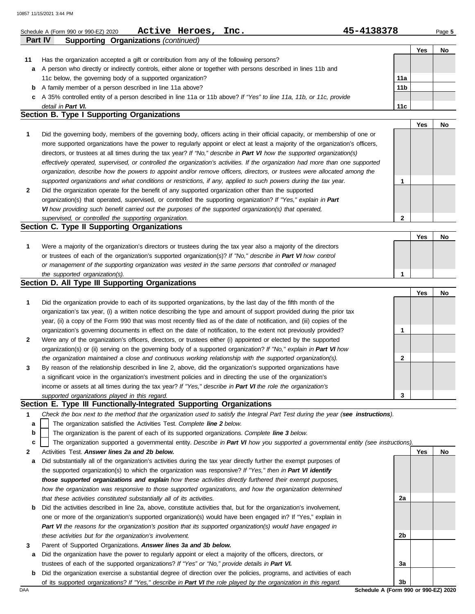|    | Active Heroes,<br>Schedule A (Form 990 or 990-EZ) 2020                                                             | Inc. | 45-4138378 |                 |     | Page 5 |
|----|--------------------------------------------------------------------------------------------------------------------|------|------------|-----------------|-----|--------|
|    | <b>Part IV</b><br><b>Supporting Organizations (continued)</b>                                                      |      |            |                 |     |        |
|    |                                                                                                                    |      |            |                 | Yes | No     |
| 11 | Has the organization accepted a gift or contribution from any of the following persons?                            |      |            |                 |     |        |
| a  | A person who directly or indirectly controls, either alone or together with persons described in lines 11b and     |      |            |                 |     |        |
|    | 11c below, the governing body of a supported organization?                                                         |      |            | 11a             |     |        |
| b  | A family member of a person described in line 11a above?                                                           |      |            | 11 <sub>b</sub> |     |        |
| c  | A 35% controlled entity of a person described in line 11a or 11b above? If "Yes" to line 11a, 11b, or 11c, provide |      |            |                 |     |        |
|    | detail in Part VI.                                                                                                 |      |            | 11c             |     |        |
|    | Section B. Type I Supporting Organizations                                                                         |      |            |                 |     |        |
|    |                                                                                                                    |      |            |                 | Yes | No     |

|              | Did the governing body, members of the governing body, officers acting in their official capacity, or membership of one or     |              |  |
|--------------|--------------------------------------------------------------------------------------------------------------------------------|--------------|--|
|              | more supported organizations have the power to regularly appoint or elect at least a majority of the organization's officers,  |              |  |
|              | directors, or trustees at all times during the tax year? If "No," describe in Part VI how the supported organization(s)        |              |  |
|              | effectively operated, supervised, or controlled the organization's activities. If the organization had more than one supported |              |  |
|              | organization, describe how the powers to appoint and/or remove officers, directors, or trustees were allocated among the       |              |  |
|              | supported organizations and what conditions or restrictions, if any, applied to such powers during the tax year.               |              |  |
| $\mathbf{2}$ | Did the organization operate for the benefit of any supported organization other than the supported                            |              |  |
|              | organization(s) that operated, supervised, or controlled the supporting organization? If "Yes," explain in Part                |              |  |
|              | VI how providing such benefit carried out the purposes of the supported organization(s) that operated,                         |              |  |
|              | supervised, or controlled the supporting organization.                                                                         | $\mathbf{2}$ |  |

## **Section C. Type II Supporting Organizations**

|                                                                                                                  |  | No |
|------------------------------------------------------------------------------------------------------------------|--|----|
| Were a majority of the organization's directors or trustees during the tax year also a majority of the directors |  |    |
| or trustees of each of the organization's supported organization(s)? If "No," describe in Part VI how control    |  |    |
| or management of the supporting organization was vested in the same persons that controlled or managed           |  |    |
| the supported organization(s).                                                                                   |  |    |

### **Section D. All Type III Supporting Organizations**

|              |                                                                                                                        |   | Yes | No |
|--------------|------------------------------------------------------------------------------------------------------------------------|---|-----|----|
| 1            | Did the organization provide to each of its supported organizations, by the last day of the fifth month of the         |   |     |    |
|              | organization's tax year, (i) a written notice describing the type and amount of support provided during the prior tax  |   |     |    |
|              | year, (ii) a copy of the Form 990 that was most recently filed as of the date of notification, and (iii) copies of the |   |     |    |
|              | organization's governing documents in effect on the date of notification, to the extent not previously provided?       |   |     |    |
| $\mathbf{2}$ | Were any of the organization's officers, directors, or trustees either (i) appointed or elected by the supported       |   |     |    |
|              | organization(s) or (ii) serving on the governing body of a supported organization? If "No," explain in Part VI how     |   |     |    |
|              | the organization maintained a close and continuous working relationship with the supported organization(s).            | າ |     |    |
| $\mathbf{3}$ | By reason of the relationship described in line 2, above, did the organization's supported organizations have          |   |     |    |
|              | a significant voice in the organization's investment policies and in directing the use of the organization's           |   |     |    |
|              | income or assets at all times during the tax year? If "Yes," describe in Part VI the role the organization's           |   |     |    |
|              | supported organizations played in this regard.                                                                         | 3 |     |    |

### **Section E. Type III Functionally-Integrated Supporting Organizations**

- **1** *Check the box next to the method that the organization used to satisfy the Integral Part Test during the year (see instructions).*
	- The organization satisfied the Activities Test. *Complete line 2 below.* **a**
	- The organization is the parent of each of its supported organizations. *Complete line 3 below.* **b**
	- The organization supported a governmental entity. *Describe in Part VI how you supported a governmental entity (see instructions).* **c**
- **2** Activities Test. *Answer lines 2a and 2b below.*
	- **a** Did substantially all of the organization's activities during the tax year directly further the exempt purposes of the supported organization(s) to which the organization was responsive? *If "Yes," then in Part VI identify those supported organizations and explain how these activities directly furthered their exempt purposes,*  how the organization was responsive to those supported organizations, and how the organization determined *that these activities constituted substantially all of its activities.*
	- **b** Did the activities described in line 2a, above, constitute activities that, but for the organization's involvement, one or more of the organization's supported organization(s) would have been engaged in? If "Yes," explain in *Part VI the reasons for the organization's position that its supported organization(s) would have engaged in these activities but for the organization's involvement.*
- **3** Parent of Supported Organizations. *Answer lines 3a and 3b below.*
- **a** Did the organization have the power to regularly appoint or elect a majority of the officers, directors, or trustees of each of the supported organizations? *If "Yes" or "No," provide details in Part VI.*
- DAA **Schedule A (Form 990 or 990-EZ) 2020 b** Did the organization exercise a substantial degree of direction over the policies, programs, and activities of each of its supported organizations? *If "Yes," describe in Part VI the role played by the organization in this regard.*

**2a**

**2b**

**3a**

**Yes No**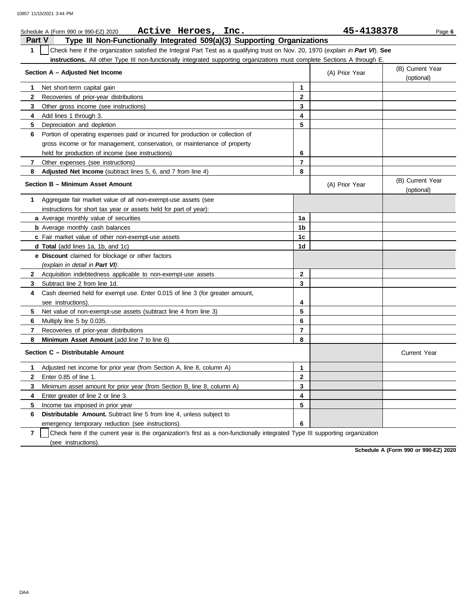| Active Heroes, Inc.<br>Schedule A (Form 990 or 990-EZ) 2020                                                                                      |                         | 45-4138378     | Page 6                         |
|--------------------------------------------------------------------------------------------------------------------------------------------------|-------------------------|----------------|--------------------------------|
| <b>Part V</b><br>Type III Non-Functionally Integrated 509(a)(3) Supporting Organizations                                                         |                         |                |                                |
| $\mathbf{1}$<br>Check here if the organization satisfied the Integral Part Test as a qualifying trust on Nov. 20, 1970 (explain in Part VI). See |                         |                |                                |
| <b>instructions.</b> All other Type III non-functionally integrated supporting organizations must complete Sections A through E.                 |                         |                |                                |
| Section A – Adjusted Net Income                                                                                                                  |                         | (A) Prior Year | (B) Current Year<br>(optional) |
| Net short-term capital gain<br>1.                                                                                                                | 1                       |                |                                |
| $\mathbf{2}$<br>Recoveries of prior-year distributions                                                                                           | $\mathbf{2}$            |                |                                |
| 3<br>Other gross income (see instructions)                                                                                                       | 3                       |                |                                |
| Add lines 1 through 3.<br>4                                                                                                                      | $\overline{\mathbf{4}}$ |                |                                |
| 5<br>Depreciation and depletion                                                                                                                  | 5                       |                |                                |
| 6<br>Portion of operating expenses paid or incurred for production or collection of                                                              |                         |                |                                |
| gross income or for management, conservation, or maintenance of property                                                                         |                         |                |                                |
| held for production of income (see instructions)                                                                                                 | 6                       |                |                                |
| $\mathbf{7}$<br>Other expenses (see instructions)                                                                                                | $\overline{7}$          |                |                                |
| 8<br>Adjusted Net Income (subtract lines 5, 6, and 7 from line 4)                                                                                | 8                       |                |                                |
| Section B - Minimum Asset Amount                                                                                                                 |                         | (A) Prior Year | (B) Current Year<br>(optional) |
| Aggregate fair market value of all non-exempt-use assets (see<br>1                                                                               |                         |                |                                |
| instructions for short tax year or assets held for part of year):                                                                                |                         |                |                                |
| <b>a</b> Average monthly value of securities                                                                                                     | 1a                      |                |                                |
| <b>b</b> Average monthly cash balances                                                                                                           | 1b                      |                |                                |
| c Fair market value of other non-exempt-use assets                                                                                               | 1c                      |                |                                |
| d Total (add lines 1a, 1b, and 1c)                                                                                                               | 1d                      |                |                                |
| e Discount claimed for blockage or other factors                                                                                                 |                         |                |                                |
| (explain in detail in Part VI):                                                                                                                  |                         |                |                                |
| $\mathbf{2}$<br>Acquisition indebtedness applicable to non-exempt-use assets                                                                     | $\mathbf{2}$            |                |                                |
| Subtract line 2 from line 1d.<br>3                                                                                                               | 3                       |                |                                |
| Cash deemed held for exempt use. Enter 0.015 of line 3 (for greater amount,<br>4                                                                 |                         |                |                                |
| see instructions).                                                                                                                               | 4                       |                |                                |
| 5<br>Net value of non-exempt-use assets (subtract line 4 from line 3)                                                                            | 5                       |                |                                |
| 6<br>Multiply line 5 by 0.035.                                                                                                                   | 6                       |                |                                |
| 7<br>Recoveries of prior-year distributions                                                                                                      | $\overline{7}$          |                |                                |
| 8<br>Minimum Asset Amount (add line 7 to line 6)                                                                                                 | 8                       |                |                                |
| Section C - Distributable Amount                                                                                                                 |                         |                | <b>Current Year</b>            |
| Adjusted net income for prior year (from Section A, line 8, column A)<br>1                                                                       | 1                       |                |                                |
| $\mathbf{2}$<br>Enter 0.85 of line 1.                                                                                                            | $\mathbf{2}$            |                |                                |
| 3<br>Minimum asset amount for prior year (from Section B, line 8, column A)                                                                      | 3                       |                |                                |
| 4<br>Enter greater of line 2 or line 3.                                                                                                          | 4                       |                |                                |
| 5<br>Income tax imposed in prior year                                                                                                            | 5                       |                |                                |
| Distributable Amount. Subtract line 5 from line 4, unless subject to<br>6                                                                        |                         |                |                                |
| emergency temporary reduction (see instructions).                                                                                                | 6                       |                |                                |

**7** (see instructions). Check here if the current year is the organization's first as a non-functionally integrated Type III supporting organization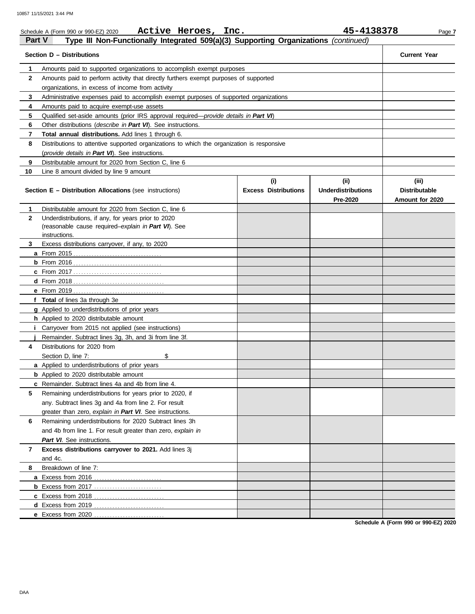| <b>Part V</b> | Active Heroes, Inc.<br>Schedule A (Form 990 or 990-EZ) 2020<br>Type III Non-Functionally Integrated 509(a)(3) Supporting Organizations (continued) |                                    | 45-4138378                                    | Page 7                                           |  |  |  |  |  |
|---------------|----------------------------------------------------------------------------------------------------------------------------------------------------|------------------------------------|-----------------------------------------------|--------------------------------------------------|--|--|--|--|--|
|               | Section D - Distributions                                                                                                                          |                                    |                                               | <b>Current Year</b>                              |  |  |  |  |  |
| 1             | Amounts paid to supported organizations to accomplish exempt purposes                                                                              |                                    |                                               |                                                  |  |  |  |  |  |
| $\mathbf{2}$  | Amounts paid to perform activity that directly furthers exempt purposes of supported                                                               |                                    |                                               |                                                  |  |  |  |  |  |
|               | organizations, in excess of income from activity                                                                                                   |                                    |                                               |                                                  |  |  |  |  |  |
| 3             | Administrative expenses paid to accomplish exempt purposes of supported organizations                                                              |                                    |                                               |                                                  |  |  |  |  |  |
| 4             | Amounts paid to acquire exempt-use assets                                                                                                          |                                    |                                               |                                                  |  |  |  |  |  |
| 5             | Qualified set-aside amounts (prior IRS approval required-provide details in Part VI)                                                               |                                    |                                               |                                                  |  |  |  |  |  |
| 6             | Other distributions (describe in Part VI). See instructions.                                                                                       |                                    |                                               |                                                  |  |  |  |  |  |
| 7             | Total annual distributions. Add lines 1 through 6.                                                                                                 |                                    |                                               |                                                  |  |  |  |  |  |
| 8             | Distributions to attentive supported organizations to which the organization is responsive                                                         |                                    |                                               |                                                  |  |  |  |  |  |
|               | (provide details in Part VI). See instructions.                                                                                                    |                                    |                                               |                                                  |  |  |  |  |  |
| 9             | Distributable amount for 2020 from Section C, line 6                                                                                               |                                    |                                               |                                                  |  |  |  |  |  |
| 10            | Line 8 amount divided by line 9 amount                                                                                                             |                                    |                                               |                                                  |  |  |  |  |  |
|               | Section E - Distribution Allocations (see instructions)                                                                                            | (i)<br><b>Excess Distributions</b> | (ii)<br><b>Underdistributions</b><br>Pre-2020 | (iii)<br><b>Distributable</b><br>Amount for 2020 |  |  |  |  |  |
| 1             | Distributable amount for 2020 from Section C, line 6                                                                                               |                                    |                                               |                                                  |  |  |  |  |  |
| $\mathbf{2}$  | Underdistributions, if any, for years prior to 2020                                                                                                |                                    |                                               |                                                  |  |  |  |  |  |
|               | (reasonable cause required-explain in Part VI). See                                                                                                |                                    |                                               |                                                  |  |  |  |  |  |
|               | instructions.                                                                                                                                      |                                    |                                               |                                                  |  |  |  |  |  |
| 3             | Excess distributions carryover, if any, to 2020                                                                                                    |                                    |                                               |                                                  |  |  |  |  |  |
|               |                                                                                                                                                    |                                    |                                               |                                                  |  |  |  |  |  |
|               |                                                                                                                                                    |                                    |                                               |                                                  |  |  |  |  |  |
|               |                                                                                                                                                    |                                    |                                               |                                                  |  |  |  |  |  |
|               |                                                                                                                                                    |                                    |                                               |                                                  |  |  |  |  |  |
|               |                                                                                                                                                    |                                    |                                               |                                                  |  |  |  |  |  |
|               | f Total of lines 3a through 3e                                                                                                                     |                                    |                                               |                                                  |  |  |  |  |  |
|               | g Applied to underdistributions of prior years                                                                                                     |                                    |                                               |                                                  |  |  |  |  |  |
|               | h Applied to 2020 distributable amount                                                                                                             |                                    |                                               |                                                  |  |  |  |  |  |
|               | Carryover from 2015 not applied (see instructions)                                                                                                 |                                    |                                               |                                                  |  |  |  |  |  |
|               | Remainder. Subtract lines 3q, 3h, and 3i from line 3f.                                                                                             |                                    |                                               |                                                  |  |  |  |  |  |
| 4             | Distributions for 2020 from                                                                                                                        |                                    |                                               |                                                  |  |  |  |  |  |
|               | \$<br>Section D, line 7:                                                                                                                           |                                    |                                               |                                                  |  |  |  |  |  |
|               | a Applied to underdistributions of prior years                                                                                                     |                                    |                                               |                                                  |  |  |  |  |  |
|               | <b>b</b> Applied to 2020 distributable amount                                                                                                      |                                    |                                               |                                                  |  |  |  |  |  |
|               | <b>c</b> Remainder. Subtract lines 4a and 4b from line 4.                                                                                          |                                    |                                               |                                                  |  |  |  |  |  |
| 5             | Remaining underdistributions for years prior to 2020, if                                                                                           |                                    |                                               |                                                  |  |  |  |  |  |
|               | any. Subtract lines 3g and 4a from line 2. For result                                                                                              |                                    |                                               |                                                  |  |  |  |  |  |
|               | greater than zero, explain in Part VI. See instructions.                                                                                           |                                    |                                               |                                                  |  |  |  |  |  |
| 6             | Remaining underdistributions for 2020 Subtract lines 3h                                                                                            |                                    |                                               |                                                  |  |  |  |  |  |
|               | and 4b from line 1. For result greater than zero, explain in                                                                                       |                                    |                                               |                                                  |  |  |  |  |  |
|               | Part VI. See instructions.                                                                                                                         |                                    |                                               |                                                  |  |  |  |  |  |
| 7             | Excess distributions carryover to 2021. Add lines 3j                                                                                               |                                    |                                               |                                                  |  |  |  |  |  |
|               | and 4c.                                                                                                                                            |                                    |                                               |                                                  |  |  |  |  |  |
| 8             | Breakdown of line 7:                                                                                                                               |                                    |                                               |                                                  |  |  |  |  |  |
|               |                                                                                                                                                    |                                    |                                               |                                                  |  |  |  |  |  |
|               |                                                                                                                                                    |                                    |                                               |                                                  |  |  |  |  |  |
|               |                                                                                                                                                    |                                    |                                               |                                                  |  |  |  |  |  |
|               |                                                                                                                                                    |                                    |                                               |                                                  |  |  |  |  |  |
|               | e Excess from 2020.                                                                                                                                |                                    |                                               |                                                  |  |  |  |  |  |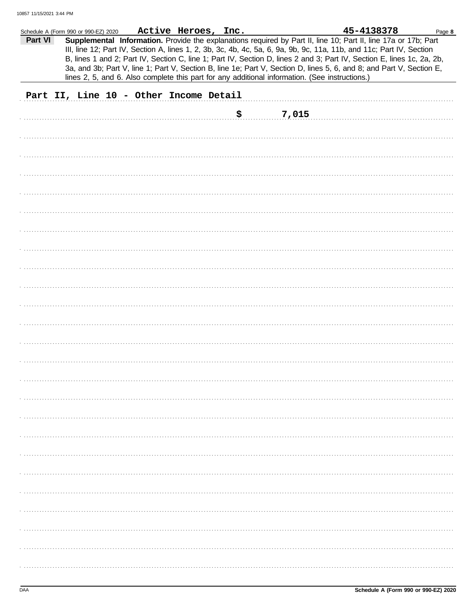|         | Schedule A (Form 990 or 990-EZ) 2020 |                                        | Active Heroes, Inc. |     |                                                                                                | 45-4138378                                                                                                                                                                                                                              | Page 8 |
|---------|--------------------------------------|----------------------------------------|---------------------|-----|------------------------------------------------------------------------------------------------|-----------------------------------------------------------------------------------------------------------------------------------------------------------------------------------------------------------------------------------------|--------|
| Part VI |                                      |                                        |                     |     |                                                                                                | Supplemental Information. Provide the explanations required by Part II, line 10; Part II, line 17a or 17b; Part<br>III, line 12; Part IV, Section A, lines 1, 2, 3b, 3c, 4b, 4c, 5a, 6, 9a, 9b, 9c, 11a, 11b, and 11c; Part IV, Section |        |
|         |                                      |                                        |                     |     |                                                                                                | B, lines 1 and 2; Part IV, Section C, line 1; Part IV, Section D, lines 2 and 3; Part IV, Section E, lines 1c, 2a, 2b,                                                                                                                  |        |
|         |                                      |                                        |                     |     | lines 2, 5, and 6. Also complete this part for any additional information. (See instructions.) | 3a, and 3b; Part V, line 1; Part V, Section B, line 1e; Part V, Section D, lines 5, 6, and 8; and Part V, Section E,                                                                                                                    |        |
|         |                                      | Part II, Line 10 - Other Income Detail |                     |     |                                                                                                |                                                                                                                                                                                                                                         |        |
|         |                                      |                                        |                     |     |                                                                                                |                                                                                                                                                                                                                                         |        |
|         |                                      |                                        |                     | \$. | 7,015                                                                                          |                                                                                                                                                                                                                                         |        |
|         |                                      |                                        |                     |     |                                                                                                |                                                                                                                                                                                                                                         |        |
|         |                                      |                                        |                     |     |                                                                                                |                                                                                                                                                                                                                                         |        |
|         |                                      |                                        |                     |     |                                                                                                |                                                                                                                                                                                                                                         |        |
|         |                                      |                                        |                     |     |                                                                                                |                                                                                                                                                                                                                                         |        |
|         |                                      |                                        |                     |     |                                                                                                |                                                                                                                                                                                                                                         |        |
|         |                                      |                                        |                     |     |                                                                                                |                                                                                                                                                                                                                                         |        |
|         |                                      |                                        |                     |     |                                                                                                |                                                                                                                                                                                                                                         |        |
|         |                                      |                                        |                     |     |                                                                                                |                                                                                                                                                                                                                                         |        |
|         |                                      |                                        |                     |     |                                                                                                |                                                                                                                                                                                                                                         |        |
|         |                                      |                                        |                     |     |                                                                                                |                                                                                                                                                                                                                                         |        |
|         |                                      |                                        |                     |     |                                                                                                |                                                                                                                                                                                                                                         |        |
|         |                                      |                                        |                     |     |                                                                                                |                                                                                                                                                                                                                                         |        |
|         |                                      |                                        |                     |     |                                                                                                |                                                                                                                                                                                                                                         |        |
|         |                                      |                                        |                     |     |                                                                                                |                                                                                                                                                                                                                                         |        |
|         |                                      |                                        |                     |     |                                                                                                |                                                                                                                                                                                                                                         |        |
|         |                                      |                                        |                     |     |                                                                                                |                                                                                                                                                                                                                                         |        |
|         |                                      |                                        |                     |     |                                                                                                |                                                                                                                                                                                                                                         |        |
|         |                                      |                                        |                     |     |                                                                                                |                                                                                                                                                                                                                                         |        |
|         |                                      |                                        |                     |     |                                                                                                |                                                                                                                                                                                                                                         |        |
|         |                                      |                                        |                     |     |                                                                                                |                                                                                                                                                                                                                                         |        |
|         |                                      |                                        |                     |     |                                                                                                |                                                                                                                                                                                                                                         |        |
|         |                                      |                                        |                     |     |                                                                                                |                                                                                                                                                                                                                                         |        |
|         |                                      |                                        |                     |     |                                                                                                |                                                                                                                                                                                                                                         |        |
|         |                                      |                                        |                     |     |                                                                                                |                                                                                                                                                                                                                                         |        |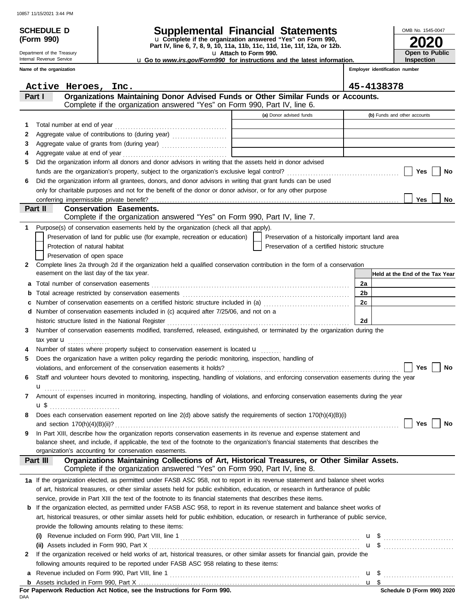|                                 | 10857 11/15/2021 3:44 PM                                    |                                                                                                                                                                                                                                                                                                  |                                                                                                      |    |                   |                                                     |
|---------------------------------|-------------------------------------------------------------|--------------------------------------------------------------------------------------------------------------------------------------------------------------------------------------------------------------------------------------------------------------------------------------------------|------------------------------------------------------------------------------------------------------|----|-------------------|-----------------------------------------------------|
| <b>SCHEDULE D</b><br>(Form 990) |                                                             | <b>Supplemental Financial Statements</b><br>u Complete if the organization answered "Yes" on Form 990,<br>Part IV, line 6, 7, 8, 9, 10, 11a, 11b, 11c, 11d, 11e, 11f, 12a, or 12b.                                                                                                               |                                                                                                      |    | OMB No. 1545-0047 |                                                     |
|                                 | Department of the Treasury                                  |                                                                                                                                                                                                                                                                                                  | U Attach to Form 990.                                                                                |    |                   | Open to Public                                      |
|                                 | Internal Revenue Service<br>Name of the organization        |                                                                                                                                                                                                                                                                                                  | <b>u Go to www.irs.gov/Form990 for instructions and the latest information.</b>                      |    |                   | <b>Inspection</b><br>Employer identification number |
|                                 |                                                             |                                                                                                                                                                                                                                                                                                  |                                                                                                      |    |                   |                                                     |
|                                 | Active Heroes, Inc.                                         |                                                                                                                                                                                                                                                                                                  |                                                                                                      |    | 45-4138378        |                                                     |
| Part I                          |                                                             | Organizations Maintaining Donor Advised Funds or Other Similar Funds or Accounts.<br>Complete if the organization answered "Yes" on Form 990, Part IV, line 6.                                                                                                                                   |                                                                                                      |    |                   |                                                     |
|                                 |                                                             |                                                                                                                                                                                                                                                                                                  | (a) Donor advised funds                                                                              |    |                   | (b) Funds and other accounts                        |
| 1                               |                                                             |                                                                                                                                                                                                                                                                                                  |                                                                                                      |    |                   |                                                     |
| 2                               |                                                             |                                                                                                                                                                                                                                                                                                  |                                                                                                      |    |                   |                                                     |
| 3                               |                                                             |                                                                                                                                                                                                                                                                                                  |                                                                                                      |    |                   |                                                     |
| 4                               |                                                             |                                                                                                                                                                                                                                                                                                  |                                                                                                      |    |                   |                                                     |
| 5                               |                                                             | Did the organization inform all donors and donor advisors in writing that the assets held in donor advised                                                                                                                                                                                       |                                                                                                      |    |                   |                                                     |
|                                 |                                                             |                                                                                                                                                                                                                                                                                                  |                                                                                                      |    |                   | Yes<br>No                                           |
| 6                               |                                                             | Did the organization inform all grantees, donors, and donor advisors in writing that grant funds can be used                                                                                                                                                                                     |                                                                                                      |    |                   |                                                     |
|                                 |                                                             | only for charitable purposes and not for the benefit of the donor or donor advisor, or for any other purpose                                                                                                                                                                                     |                                                                                                      |    |                   |                                                     |
|                                 |                                                             |                                                                                                                                                                                                                                                                                                  |                                                                                                      |    |                   | <b>Yes</b><br>No.                                   |
| Part II                         |                                                             | <b>Conservation Easements.</b>                                                                                                                                                                                                                                                                   |                                                                                                      |    |                   |                                                     |
|                                 |                                                             | Complete if the organization answered "Yes" on Form 990, Part IV, line 7.                                                                                                                                                                                                                        |                                                                                                      |    |                   |                                                     |
| 1.<br>2                         | Protection of natural habitat<br>Preservation of open space | Purpose(s) of conservation easements held by the organization (check all that apply).<br>Preservation of land for public use (for example, recreation or education)<br>Complete lines 2a through 2d if the organization held a qualified conservation contribution in the form of a conservation | Preservation of a historically important land area<br>Preservation of a certified historic structure |    |                   |                                                     |
|                                 | easement on the last day of the tax year.                   |                                                                                                                                                                                                                                                                                                  |                                                                                                      |    |                   | Held at the End of the Tax Year                     |
| а                               |                                                             |                                                                                                                                                                                                                                                                                                  |                                                                                                      | 2a |                   |                                                     |
| b                               |                                                             |                                                                                                                                                                                                                                                                                                  |                                                                                                      | 2b |                   |                                                     |
| c                               |                                                             | Number of conservation easements on a certified historic structure included in (a)                                                                                                                                                                                                               |                                                                                                      | 2c |                   |                                                     |
| d                               |                                                             | Number of conservation easements included in (c) acquired after 7/25/06, and not on a                                                                                                                                                                                                            |                                                                                                      |    |                   |                                                     |
|                                 |                                                             | historic structure listed in the National Register                                                                                                                                                                                                                                               |                                                                                                      | 2d |                   |                                                     |
| 3                               | tax year $\blacksquare$                                     | Number of conservation easements modified, transferred, released, extinguished, or terminated by the organization during the                                                                                                                                                                     |                                                                                                      |    |                   |                                                     |
|                                 |                                                             | Number of states where property subject to conservation easement is located u                                                                                                                                                                                                                    |                                                                                                      |    |                   |                                                     |
| 5                               |                                                             | Does the organization have a written policy regarding the periodic monitoring, inspection, handling of                                                                                                                                                                                           |                                                                                                      |    |                   |                                                     |
|                                 |                                                             |                                                                                                                                                                                                                                                                                                  |                                                                                                      |    |                   | Yes<br>No                                           |
| 6                               |                                                             | Staff and volunteer hours devoted to monitoring, inspecting, handling of violations, and enforcing conservation easements during the year                                                                                                                                                        |                                                                                                      |    |                   |                                                     |
| 7                               | u <sub></sub>                                               | Amount of expenses incurred in monitoring, inspecting, handling of violations, and enforcing conservation easements during the year                                                                                                                                                              |                                                                                                      |    |                   |                                                     |
| 8                               | u\$                                                         | Does each conservation easement reported on line 2(d) above satisfy the requirements of section 170(h)(4)(B)(i)                                                                                                                                                                                  |                                                                                                      |    |                   | Yes<br>No                                           |
| 9                               |                                                             | In Part XIII, describe how the organization reports conservation easements in its revenue and expense statement and<br>balance sheet, and include, if applicable, the text of the footnote to the organization's financial statements that describes the                                         |                                                                                                      |    |                   |                                                     |
|                                 |                                                             | organization's accounting for conservation easements.                                                                                                                                                                                                                                            |                                                                                                      |    |                   |                                                     |
|                                 | Part III                                                    | Organizations Maintaining Collections of Art, Historical Treasures, or Other Similar Assets.<br>Complete if the organization answered "Yes" on Form 990, Part IV, line 8.                                                                                                                        |                                                                                                      |    |                   |                                                     |
|                                 |                                                             | 1a If the organization elected, as permitted under FASB ASC 958, not to report in its revenue statement and balance sheet works                                                                                                                                                                  |                                                                                                      |    |                   |                                                     |
|                                 |                                                             | of art, historical treasures, or other similar assets held for public exhibition, education, or research in furtherance of public                                                                                                                                                                |                                                                                                      |    |                   |                                                     |
|                                 |                                                             | service, provide in Part XIII the text of the footnote to its financial statements that describes these items.                                                                                                                                                                                   |                                                                                                      |    |                   |                                                     |
|                                 |                                                             | <b>b</b> If the organization elected, as permitted under FASB ASC 958, to report in its revenue statement and balance sheet works of                                                                                                                                                             |                                                                                                      |    |                   |                                                     |
|                                 |                                                             | art, historical treasures, or other similar assets held for public exhibition, education, or research in furtherance of public service,                                                                                                                                                          |                                                                                                      |    |                   |                                                     |
|                                 |                                                             | provide the following amounts relating to these items:                                                                                                                                                                                                                                           |                                                                                                      |    |                   |                                                     |
|                                 |                                                             |                                                                                                                                                                                                                                                                                                  |                                                                                                      |    | u \$              |                                                     |

| <b>a</b> incredition included on Form 550, Fail VIII, line |  |
|------------------------------------------------------------|--|
|                                                            |  |
| $\cdots$<br>.                                              |  |

Assets included in Form 990, Part X . . . . . . . . . . . . . . . . . . . . . . . . . . . . . . . . . . . . . . . . . . . . . . . . . . . . . . . . . . . . . . . . . . . . . . . . . . . . . . . . . . . . . **b**

**For Paperwork Reduction Act Notice, see the Instructions for Form 990.**<br><sub>DAA</sub>

\$ u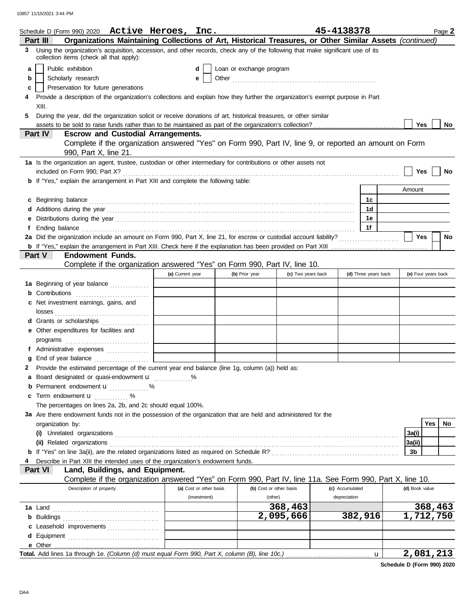10857 11/15/2021 3:44 PM

|    | Schedule D (Form 990) 2020 $\;$ Active Heroes, Inc.                                                                                                                                                                            |                                           |                         |                          |                         | 45-4138378      |                      | Page 2                 |
|----|--------------------------------------------------------------------------------------------------------------------------------------------------------------------------------------------------------------------------------|-------------------------------------------|-------------------------|--------------------------|-------------------------|-----------------|----------------------|------------------------|
|    | Organizations Maintaining Collections of Art, Historical Treasures, or Other Similar Assets (continued)<br>Part III                                                                                                            |                                           |                         |                          |                         |                 |                      |                        |
|    | 3 Using the organization's acquisition, accession, and other records, check any of the following that make significant use of its<br>collection items (check all that apply):                                                  |                                           |                         |                          |                         |                 |                      |                        |
| a  | Public exhibition                                                                                                                                                                                                              |                                           | d                       | Loan or exchange program |                         |                 |                      |                        |
| b  | Scholarly research                                                                                                                                                                                                             |                                           | е                       |                          |                         |                 |                      |                        |
| c  | Preservation for future generations                                                                                                                                                                                            |                                           |                         |                          |                         |                 |                      |                        |
| 4  | Provide a description of the organization's collections and explain how they further the organization's exempt purpose in Part                                                                                                 |                                           |                         |                          |                         |                 |                      |                        |
|    | XIII.                                                                                                                                                                                                                          |                                           |                         |                          |                         |                 |                      |                        |
| 5. | During the year, did the organization solicit or receive donations of art, historical treasures, or other similar                                                                                                              |                                           |                         |                          |                         |                 |                      |                        |
|    |                                                                                                                                                                                                                                |                                           |                         |                          |                         |                 |                      | <b>Yes</b><br>No.      |
|    | Part IV<br><b>Escrow and Custodial Arrangements.</b>                                                                                                                                                                           |                                           |                         |                          |                         |                 |                      |                        |
|    | Complete if the organization answered "Yes" on Form 990, Part IV, line 9, or reported an amount on Form                                                                                                                        |                                           |                         |                          |                         |                 |                      |                        |
|    | 990, Part X, line 21.                                                                                                                                                                                                          |                                           |                         |                          |                         |                 |                      |                        |
|    | 1a Is the organization an agent, trustee, custodian or other intermediary for contributions or other assets not                                                                                                                |                                           |                         |                          |                         |                 |                      |                        |
|    | <b>b</b> If "Yes," explain the arrangement in Part XIII and complete the following table:                                                                                                                                      |                                           |                         |                          |                         |                 |                      | Yes<br>No              |
|    |                                                                                                                                                                                                                                |                                           |                         |                          |                         |                 |                      | Amount                 |
|    |                                                                                                                                                                                                                                |                                           |                         |                          |                         |                 |                      |                        |
|    | c Beginning balance contract and contract and contract and contract and contract and contract and contract and contract and contract and contract and contract and contract and contract and contract and contract and contrac |                                           |                         |                          |                         |                 | 1c<br>1d             |                        |
|    |                                                                                                                                                                                                                                |                                           |                         |                          |                         |                 | 1е                   |                        |
|    |                                                                                                                                                                                                                                |                                           |                         |                          |                         |                 | 1f                   |                        |
|    | Ending balance continuous contract and continuous contract and continuous contract and continuous contract and continuous contract and continuous contract and continuous contract and continuous contract and continuous cont |                                           |                         |                          |                         |                 |                      | <b>Yes</b><br>No       |
|    |                                                                                                                                                                                                                                |                                           |                         |                          |                         |                 |                      |                        |
|    | Part V<br><b>Endowment Funds.</b>                                                                                                                                                                                              |                                           |                         |                          |                         |                 |                      |                        |
|    | Complete if the organization answered "Yes" on Form 990, Part IV, line 10.                                                                                                                                                     |                                           |                         |                          |                         |                 |                      |                        |
|    |                                                                                                                                                                                                                                | (a) Current year                          |                         | (b) Prior year           | (c) Two years back      |                 | (d) Three years back | (e) Four years back    |
|    | 1a Beginning of year balance                                                                                                                                                                                                   |                                           |                         |                          |                         |                 |                      |                        |
|    | <b>b</b> Contributions <b>contributions</b>                                                                                                                                                                                    | the control of the control of the control |                         |                          |                         |                 |                      |                        |
|    | c Net investment earnings, gains, and                                                                                                                                                                                          |                                           |                         |                          |                         |                 |                      |                        |
|    |                                                                                                                                                                                                                                |                                           |                         |                          |                         |                 |                      |                        |
|    | <b>d</b> Grants or scholarships<br>.                                                                                                                                                                                           |                                           |                         |                          |                         |                 |                      |                        |
|    | e Other expenditures for facilities and                                                                                                                                                                                        |                                           |                         |                          |                         |                 |                      |                        |
|    |                                                                                                                                                                                                                                |                                           |                         |                          |                         |                 |                      |                        |
|    |                                                                                                                                                                                                                                | the control of the control of the         |                         |                          |                         |                 |                      |                        |
|    |                                                                                                                                                                                                                                |                                           |                         |                          |                         |                 |                      |                        |
|    | 2 Provide the estimated percentage of the current year end balance (line 1g, column (a)) held as:                                                                                                                              |                                           |                         |                          |                         |                 |                      |                        |
|    | a Board designated or quasi-endowment u %                                                                                                                                                                                      |                                           |                         |                          |                         |                 |                      |                        |
| b  | Permanent endowment <b>u</b> %                                                                                                                                                                                                 |                                           |                         |                          |                         |                 |                      |                        |
| c  | Term endowment <b>u</b>                                                                                                                                                                                                        |                                           |                         |                          |                         |                 |                      |                        |
|    | The percentages on lines 2a, 2b, and 2c should equal 100%.                                                                                                                                                                     |                                           |                         |                          |                         |                 |                      |                        |
|    | 3a Are there endowment funds not in the possession of the organization that are held and administered for the                                                                                                                  |                                           |                         |                          |                         |                 |                      |                        |
|    | organization by:                                                                                                                                                                                                               |                                           |                         |                          |                         |                 |                      | Yes<br>No.             |
|    | (i) Unrelated organizations                                                                                                                                                                                                    |                                           |                         |                          |                         |                 |                      | 3a(i)                  |
|    | (ii) Related organizations                                                                                                                                                                                                     |                                           |                         |                          |                         |                 |                      | 3a(ii)                 |
|    |                                                                                                                                                                                                                                |                                           |                         |                          |                         |                 |                      | 3b                     |
|    | Describe in Part XIII the intended uses of the organization's endowment funds.                                                                                                                                                 |                                           |                         |                          |                         |                 |                      |                        |
|    | Part VI<br>Land, Buildings, and Equipment.                                                                                                                                                                                     |                                           |                         |                          |                         |                 |                      |                        |
|    | Complete if the organization answered "Yes" on Form 990, Part IV, line 11a. See Form 990, Part X, line 10.                                                                                                                     |                                           |                         |                          |                         |                 |                      |                        |
|    | Description of property                                                                                                                                                                                                        |                                           | (a) Cost or other basis |                          | (b) Cost or other basis | (c) Accumulated |                      | (d) Book value         |
|    |                                                                                                                                                                                                                                |                                           | (investment)            | (other)                  |                         | depreciation    |                      |                        |
|    | 1a Land                                                                                                                                                                                                                        |                                           |                         |                          | 368,463                 |                 |                      | 368,463                |
|    | <b>b</b> Buildings                                                                                                                                                                                                             |                                           |                         |                          | 2,095,666               |                 | 382,916              | $\overline{1,712,750}$ |
|    | Leasehold improvements                                                                                                                                                                                                         |                                           |                         |                          |                         |                 |                      |                        |
|    |                                                                                                                                                                                                                                |                                           |                         |                          |                         |                 |                      |                        |
|    |                                                                                                                                                                                                                                |                                           |                         |                          |                         |                 |                      |                        |
|    |                                                                                                                                                                                                                                |                                           |                         |                          |                         |                 | $\mathbf{u}$         | 2,081,213              |

| Schedule D (Form 990) 2020 |  |  |  |  |
|----------------------------|--|--|--|--|
|----------------------------|--|--|--|--|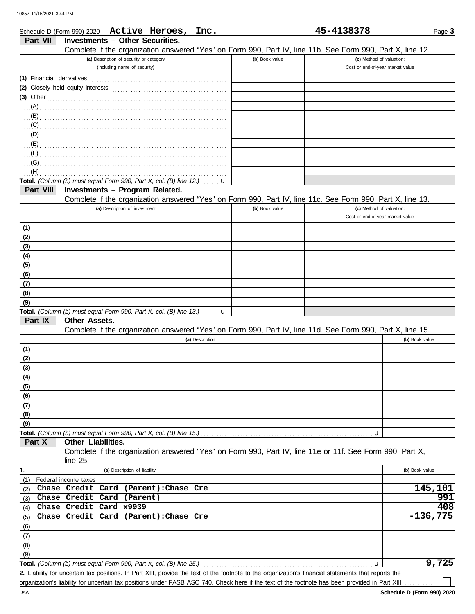|                           | Schedule D (Form 990) 2020 Active Heroes, Inc.                                                             |                | 45-4138378                       | Page 3         |
|---------------------------|------------------------------------------------------------------------------------------------------------|----------------|----------------------------------|----------------|
| Part VII                  | <b>Investments - Other Securities.</b>                                                                     |                |                                  |                |
|                           | Complete if the organization answered "Yes" on Form 990, Part IV, line 11b. See Form 990, Part X, line 12. |                |                                  |                |
|                           | (a) Description of security or category                                                                    | (b) Book value | (c) Method of valuation:         |                |
|                           | (including name of security)                                                                               |                | Cost or end-of-year market value |                |
| (1) Financial derivatives |                                                                                                            |                |                                  |                |
|                           |                                                                                                            |                |                                  |                |
| $(3)$ Other               |                                                                                                            |                |                                  |                |
| (A)                       |                                                                                                            |                |                                  |                |
| (B)                       |                                                                                                            |                |                                  |                |
| (C)                       |                                                                                                            |                |                                  |                |
|                           |                                                                                                            |                |                                  |                |
|                           |                                                                                                            |                |                                  |                |
| $\cdot$ $\cdot$ (F)       |                                                                                                            |                |                                  |                |
| (G)<br>(H)                |                                                                                                            |                |                                  |                |
|                           | Total. (Column (b) must equal Form 990, Part X, col. (B) line 12.)<br>u                                    |                |                                  |                |
| Part VIII                 | Investments - Program Related.                                                                             |                |                                  |                |
|                           | Complete if the organization answered "Yes" on Form 990, Part IV, line 11c. See Form 990, Part X, line 13. |                |                                  |                |
|                           | (a) Description of investment                                                                              | (b) Book value | (c) Method of valuation:         |                |
|                           |                                                                                                            |                | Cost or end-of-year market value |                |
| (1)                       |                                                                                                            |                |                                  |                |
| (2)                       |                                                                                                            |                |                                  |                |
| (3)                       |                                                                                                            |                |                                  |                |
| (4)                       |                                                                                                            |                |                                  |                |
| (5)                       |                                                                                                            |                |                                  |                |
| (6)                       |                                                                                                            |                |                                  |                |
| (7)                       |                                                                                                            |                |                                  |                |
| (8)                       |                                                                                                            |                |                                  |                |
| (9)                       |                                                                                                            |                |                                  |                |
|                           | Total. (Column (b) must equal Form 990, Part X, col. (B) line 13.)<br>u                                    |                |                                  |                |
| Part IX                   | Other Assets.                                                                                              |                |                                  |                |
|                           | Complete if the organization answered "Yes" on Form 990, Part IV, line 11d. See Form 990, Part X, line 15. |                |                                  | (b) Book value |
|                           | (a) Description                                                                                            |                |                                  |                |
| (1)<br>(2)                |                                                                                                            |                |                                  |                |
| (3)                       |                                                                                                            |                |                                  |                |
| (4)                       |                                                                                                            |                |                                  |                |
| (5)                       |                                                                                                            |                |                                  |                |
| (6)                       |                                                                                                            |                |                                  |                |
| (7)                       |                                                                                                            |                |                                  |                |
| (8)                       |                                                                                                            |                |                                  |                |
| (9)                       |                                                                                                            |                |                                  |                |
|                           | Total. (Column (b) must equal Form 990, Part X, col. (B) line 15.)                                         |                | u                                |                |
| Part X                    | Other Liabilities.                                                                                         |                |                                  |                |
|                           | Complete if the organization answered "Yes" on Form 990, Part IV, line 11e or 11f. See Form 990, Part X,   |                |                                  |                |
|                           | line $25$ .                                                                                                |                |                                  |                |
| 1.                        | (a) Description of liability                                                                               |                |                                  | (b) Book value |
| (1)                       | Federal income taxes                                                                                       |                |                                  |                |
| (2)                       | Chase Credit Card<br>(Parent): Chase Cre                                                                   |                |                                  | 145,101        |
| (3)                       | Chase Credit Card<br>(Parent)                                                                              |                |                                  | 991<br>408     |
| (4)                       | Chase Credit Card x9939                                                                                    |                |                                  |                |
| (5)                       | Chase Credit Card<br>(Parent): Chase Cre                                                                   |                |                                  | $-136,775$     |
| (6)                       |                                                                                                            |                |                                  |                |
| (7)                       |                                                                                                            |                |                                  |                |
| (8)<br>(9)                |                                                                                                            |                |                                  |                |
|                           | Total. (Column (b) must equal Form 990, Part X, col. (B) line 25.)                                         |                | u                                | 9,725          |
|                           |                                                                                                            |                |                                  |                |

Liability for uncertain tax positions. In Part XIII, provide the text of the footnote to the organization's financial statements that reports the **2.** organization's liability for uncertain tax positions under FASB ASC 740. Check here if the text of the footnote has been provided in Part XIII ..........

┐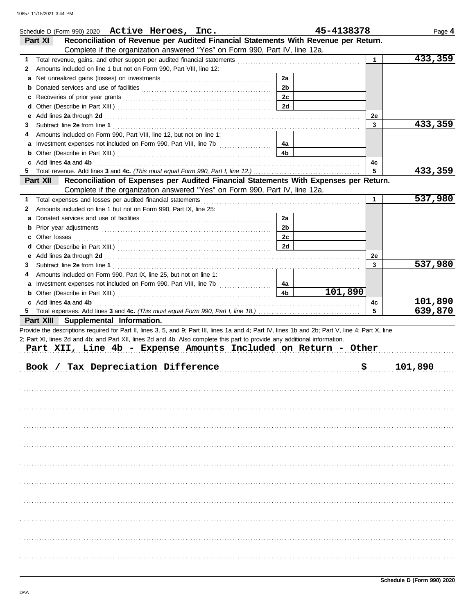|          | Schedule D (Form 990) 2020 Active Heroes, Inc.                                                                                                                                                                                 |                | 45-4138378 |              | Page 4  |
|----------|--------------------------------------------------------------------------------------------------------------------------------------------------------------------------------------------------------------------------------|----------------|------------|--------------|---------|
| Part XI  | Reconciliation of Revenue per Audited Financial Statements With Revenue per Return.                                                                                                                                            |                |            |              |         |
|          | Complete if the organization answered "Yes" on Form 990, Part IV, line 12a.                                                                                                                                                    |                |            |              |         |
| 1        |                                                                                                                                                                                                                                |                |            | $\mathbf{1}$ | 433,359 |
| 2        | Amounts included on line 1 but not on Form 990, Part VIII, line 12:                                                                                                                                                            |                |            |              |         |
| а        |                                                                                                                                                                                                                                | 2a             |            |              |         |
| b        |                                                                                                                                                                                                                                | 2 <sub>b</sub> |            |              |         |
| c        |                                                                                                                                                                                                                                | 2 <sub>c</sub> |            |              |         |
| d        |                                                                                                                                                                                                                                | 2d             |            |              |         |
| е        | Add lines 2a through 2d [11] March 2014 [12] March 2014 [12] March 2014 [12] March 2014 [12] March 2014 [12] March 2014 [12] March 2014 [12] March 2014 [12] March 2014 [12] March 2014 [12] March 2014 [12] March 2014 [12] M |                |            | 2e           |         |
| 3        |                                                                                                                                                                                                                                |                |            | 3            | 433,359 |
| 4        | Amounts included on Form 990, Part VIII, line 12, but not on line 1:                                                                                                                                                           |                |            |              |         |
| а        | Investment expenses not included on Form 990, Part VIII, line 7b [100] [100] [100] [100] [100] [100] [100] [100] [100] [100] [100] [100] [100] [100] [100] [100] [100] [100] [100] [100] [100] [100] [100] [100] [100] [100] [ | 4a             |            |              |         |
| b        |                                                                                                                                                                                                                                | 4b             |            |              |         |
| c<br>5.  | Add lines 4a and 4b                                                                                                                                                                                                            |                |            | 4c<br>5      | 433,359 |
| Part XII | Reconciliation of Expenses per Audited Financial Statements With Expenses per Return.                                                                                                                                          |                |            |              |         |
|          | Complete if the organization answered "Yes" on Form 990, Part IV, line 12a.                                                                                                                                                    |                |            |              |         |
| 1.       |                                                                                                                                                                                                                                |                |            | 1            | 537,980 |
| 2        | Amounts included on line 1 but not on Form 990, Part IX, line 25:                                                                                                                                                              |                |            |              |         |
| а        |                                                                                                                                                                                                                                | 2a             |            |              |         |
| b        |                                                                                                                                                                                                                                | 2 <sub>b</sub> |            |              |         |
| c        |                                                                                                                                                                                                                                | 2с             |            |              |         |
| d        |                                                                                                                                                                                                                                | 2d             |            |              |         |
| е        | Add lines 2a through 2d [11] Additional Contract of the Additional Contract of the Additional Contract of the Additional Contract of the Additional Contract of the Additional Contract of the Additional Contract of the Addi |                |            | 2e           |         |
| 3        |                                                                                                                                                                                                                                |                |            | 3            | 537,980 |
| 4        | Amounts included on Form 990, Part IX, line 25, but not on line 1:                                                                                                                                                             |                |            |              |         |
| a        | Investment expenses not included on Form 990, Part VIII, line 7b [                                                                                                                                                             | 4a             |            |              |         |
| b        |                                                                                                                                                                                                                                | 4 <sub>b</sub> | 101,890    |              |         |
|          | c Add lines 4a and 4b                                                                                                                                                                                                          |                |            | 4c           | 101,890 |
|          |                                                                                                                                                                                                                                |                |            | 5            | 639,870 |
|          | Part XIII Supplemental Information.                                                                                                                                                                                            |                |            |              |         |
|          | Provide the descriptions required for Part II, lines 3, 5, and 9; Part III, lines 1a and 4; Part IV, lines 1b and 2b; Part V, line 4; Part X, line                                                                             |                |            |              |         |
|          | 2; Part XI, lines 2d and 4b; and Part XII, lines 2d and 4b. Also complete this part to provide any additional information.                                                                                                     |                |            |              |         |
|          | Part XII, Line 4b - Expense Amounts Included on Return - Other                                                                                                                                                                 |                |            |              |         |
|          |                                                                                                                                                                                                                                |                |            |              |         |
| Book /   | Tax Depreciation Difference                                                                                                                                                                                                    |                | \$         |              | 101,890 |
|          |                                                                                                                                                                                                                                |                |            |              |         |
|          |                                                                                                                                                                                                                                |                |            |              |         |
|          |                                                                                                                                                                                                                                |                |            |              |         |
|          |                                                                                                                                                                                                                                |                |            |              |         |
|          |                                                                                                                                                                                                                                |                |            |              |         |
|          |                                                                                                                                                                                                                                |                |            |              |         |
|          |                                                                                                                                                                                                                                |                |            |              |         |
|          |                                                                                                                                                                                                                                |                |            |              |         |
|          |                                                                                                                                                                                                                                |                |            |              |         |
|          |                                                                                                                                                                                                                                |                |            |              |         |
|          |                                                                                                                                                                                                                                |                |            |              |         |
|          |                                                                                                                                                                                                                                |                |            |              |         |
|          |                                                                                                                                                                                                                                |                |            |              |         |
|          |                                                                                                                                                                                                                                |                |            |              |         |
|          |                                                                                                                                                                                                                                |                |            |              |         |
|          |                                                                                                                                                                                                                                |                |            |              |         |
|          |                                                                                                                                                                                                                                |                |            |              |         |
|          |                                                                                                                                                                                                                                |                |            |              |         |
|          |                                                                                                                                                                                                                                |                |            |              |         |
|          |                                                                                                                                                                                                                                |                |            |              |         |
|          |                                                                                                                                                                                                                                |                |            |              |         |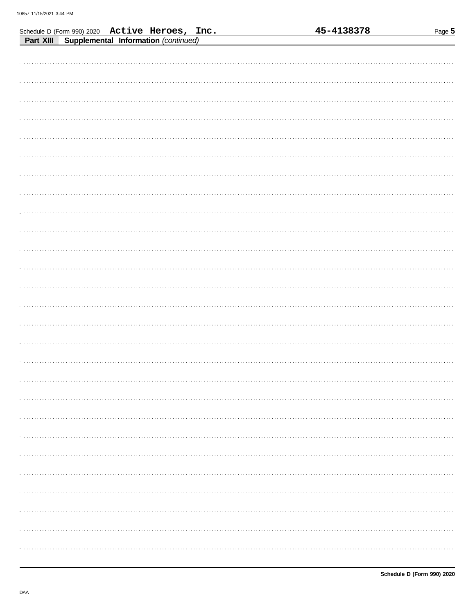|                                                                                                  | 45-4138378 | Page 5 |
|--------------------------------------------------------------------------------------------------|------------|--------|
| Schedule D (Form 990) 2020 Active Heroes, Inc.<br>Part XIII Supplemental Information (continued) |            |        |
|                                                                                                  |            |        |
|                                                                                                  |            |        |
|                                                                                                  |            |        |
|                                                                                                  |            |        |
|                                                                                                  |            |        |
|                                                                                                  |            |        |
|                                                                                                  |            |        |
|                                                                                                  |            |        |
|                                                                                                  |            |        |
|                                                                                                  |            |        |
|                                                                                                  |            |        |
|                                                                                                  |            |        |
|                                                                                                  |            |        |
|                                                                                                  |            |        |
|                                                                                                  |            |        |
|                                                                                                  |            |        |
|                                                                                                  |            |        |
|                                                                                                  |            |        |
|                                                                                                  |            |        |
|                                                                                                  |            |        |
|                                                                                                  |            |        |
|                                                                                                  |            |        |
|                                                                                                  |            |        |
|                                                                                                  |            |        |
|                                                                                                  |            |        |
|                                                                                                  |            |        |
|                                                                                                  |            |        |
|                                                                                                  |            |        |
|                                                                                                  |            |        |
|                                                                                                  |            |        |
|                                                                                                  |            | .      |
|                                                                                                  |            |        |
|                                                                                                  |            |        |
|                                                                                                  |            |        |
|                                                                                                  |            |        |
|                                                                                                  |            |        |
|                                                                                                  |            |        |
|                                                                                                  |            |        |
|                                                                                                  |            |        |
|                                                                                                  |            |        |
|                                                                                                  |            |        |
|                                                                                                  |            |        |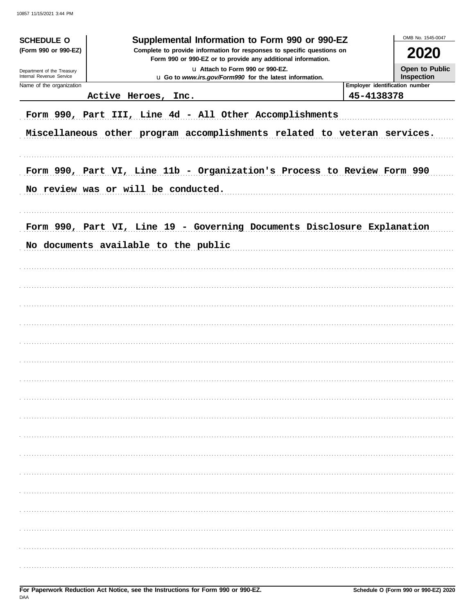| <b>SCHEDULE O</b>                                                                                                                                    | Supplemental Information to Form 990 or 990-EZ                           |            | OMB No. 1545-0047              |
|------------------------------------------------------------------------------------------------------------------------------------------------------|--------------------------------------------------------------------------|------------|--------------------------------|
| (Form 990 or 990-EZ)                                                                                                                                 | 2020                                                                     |            |                                |
| U Attach to Form 990 or 990-EZ.<br>Department of the Treasury<br>Internal Revenue Service<br>u Go to www.irs.gov/Form990 for the latest information. |                                                                          |            | Open to Public<br>Inspection   |
| Name of the organization                                                                                                                             | Active Heroes, Inc.                                                      | 45-4138378 | Employer identification number |
|                                                                                                                                                      | Form 990, Part III, Line 4d - All Other Accomplishments                  |            |                                |
|                                                                                                                                                      | Miscellaneous other program accomplishments related to veteran services. |            |                                |
|                                                                                                                                                      |                                                                          |            |                                |
|                                                                                                                                                      |                                                                          |            |                                |
|                                                                                                                                                      | Form 990, Part VI, Line 11b - Organization's Process to Review Form 990  |            |                                |
|                                                                                                                                                      | No review was or will be conducted.                                      |            |                                |
|                                                                                                                                                      |                                                                          |            |                                |
|                                                                                                                                                      | Form 990, Part VI, Line 19 - Governing Documents Disclosure Explanation  |            |                                |
|                                                                                                                                                      | No documents available to the public                                     |            |                                |
|                                                                                                                                                      |                                                                          |            |                                |
|                                                                                                                                                      |                                                                          |            |                                |
|                                                                                                                                                      |                                                                          |            |                                |
|                                                                                                                                                      |                                                                          |            |                                |
|                                                                                                                                                      |                                                                          |            |                                |
|                                                                                                                                                      |                                                                          |            |                                |
|                                                                                                                                                      |                                                                          |            |                                |
|                                                                                                                                                      |                                                                          |            |                                |
|                                                                                                                                                      |                                                                          |            |                                |
|                                                                                                                                                      |                                                                          |            |                                |
|                                                                                                                                                      |                                                                          |            |                                |
|                                                                                                                                                      |                                                                          |            |                                |
|                                                                                                                                                      |                                                                          |            |                                |
|                                                                                                                                                      |                                                                          |            |                                |
|                                                                                                                                                      |                                                                          |            |                                |
|                                                                                                                                                      |                                                                          |            |                                |
|                                                                                                                                                      |                                                                          |            |                                |
|                                                                                                                                                      |                                                                          |            |                                |
|                                                                                                                                                      |                                                                          |            |                                |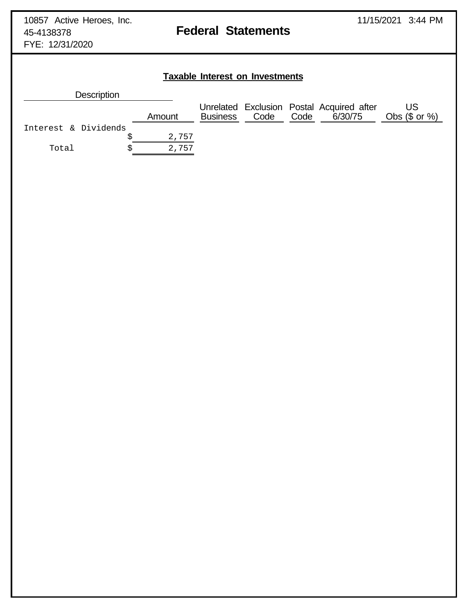FYE: 12/31/2020

**Taxable Interest on Investments**

# **Description** Unrelated Exclusion Postal Acquired after US Amount Business Code Code 6/30/75 Obs (\$ or %) Interest & Dividends  $$ 2,757$ Total  $\qquad \qquad$  \$ 2,757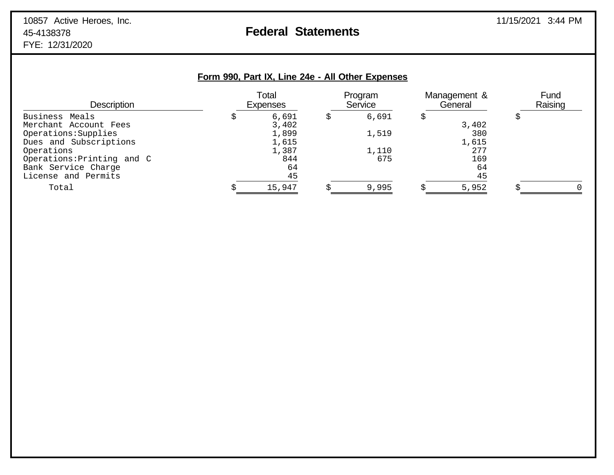| <b>Description</b>         | Total<br><b>Expenses</b> | Program<br>Service | Management &<br>General | Fund<br>Raising |
|----------------------------|--------------------------|--------------------|-------------------------|-----------------|
| Business Meals             | 6,691                    | 6,691              |                         |                 |
| Merchant Account Fees      | 3,402                    |                    | 3,402                   |                 |
| Operations: Supplies       | 1,899                    | 1,519              | 380                     |                 |
| Dues and Subscriptions     | 1,615                    |                    | 1,615                   |                 |
| Operations                 | 1,387                    | 1,110              | 277                     |                 |
| Operations: Printing and C | 844                      | 675                | 169                     |                 |
| Bank Service Charge        | 64                       |                    | 64                      |                 |
| License and Permits        | 45                       |                    | 45                      |                 |
| Total                      | 15,947                   | 9,995              | 5,952                   |                 |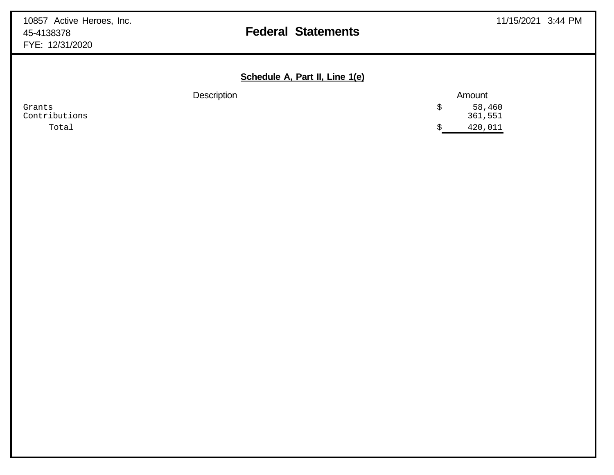|                         | Schedule A, Part II, Line 1(e) |                   |
|-------------------------|--------------------------------|-------------------|
| <b>Description</b>      |                                | Amount            |
| Grants<br>Contributions |                                | 58,460<br>361,551 |
| Total                   |                                | 420,011           |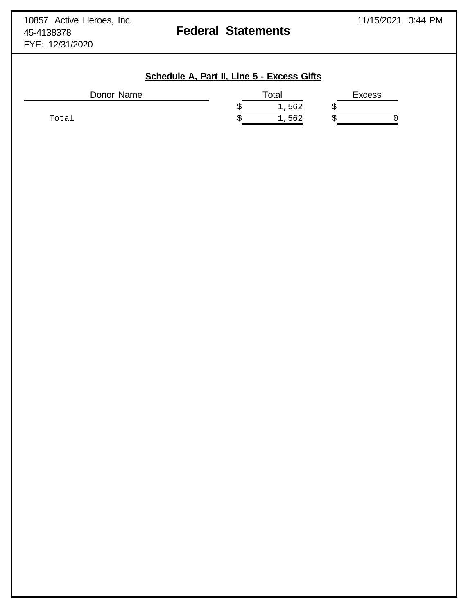# **Schedule A, Part II, Line 5 - Excess Gifts**

| Donor Name | Total |       | <b>Excess</b> |  |  |
|------------|-------|-------|---------------|--|--|
|            |       | 1,562 |               |  |  |
| Total      |       | 1,562 |               |  |  |